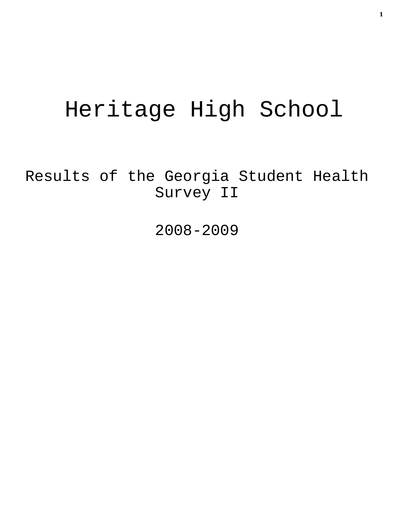# Heritage High School

Results of the Georgia Student Health Survey II

2008-2009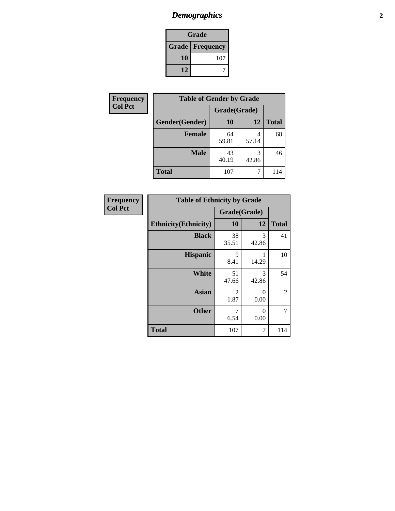# *Demographics* **2**

| Grade                    |     |  |  |  |
|--------------------------|-----|--|--|--|
| <b>Grade   Frequency</b> |     |  |  |  |
| 10                       | 107 |  |  |  |
| 12                       |     |  |  |  |

| <b>Frequency</b> | <b>Table of Gender by Grade</b> |              |            |              |  |  |
|------------------|---------------------------------|--------------|------------|--------------|--|--|
| <b>Col Pct</b>   |                                 | Grade(Grade) |            |              |  |  |
|                  | Gender(Gender)                  | <b>10</b>    | 12         | <b>Total</b> |  |  |
|                  | <b>Female</b>                   | 64<br>59.81  | 4<br>57.14 | 68           |  |  |
|                  | <b>Male</b>                     | 43<br>40.19  | 3<br>42.86 | 46           |  |  |
|                  | <b>Total</b>                    | 107          |            | 114          |  |  |

| <b>Frequency</b> |
|------------------|
| <b>Col Pct</b>   |

| <b>Table of Ethnicity by Grade</b> |              |            |              |  |  |  |
|------------------------------------|--------------|------------|--------------|--|--|--|
|                                    | Grade(Grade) |            |              |  |  |  |
| <b>Ethnicity</b> (Ethnicity)       | 10           | 12         | <b>Total</b> |  |  |  |
| <b>Black</b>                       | 38<br>35.51  | 3<br>42.86 | 41           |  |  |  |
| <b>Hispanic</b>                    | 9<br>8.41    | 14.29      | 10           |  |  |  |
| <b>White</b>                       | 51<br>47.66  | 3<br>42.86 | 54           |  |  |  |
| <b>Asian</b>                       | 2<br>1.87    | 0<br>0.00  | 2            |  |  |  |
| <b>Other</b>                       | 7<br>6.54    | 0<br>0.00  | 7            |  |  |  |
| <b>Total</b>                       | 107          | 7          | 114          |  |  |  |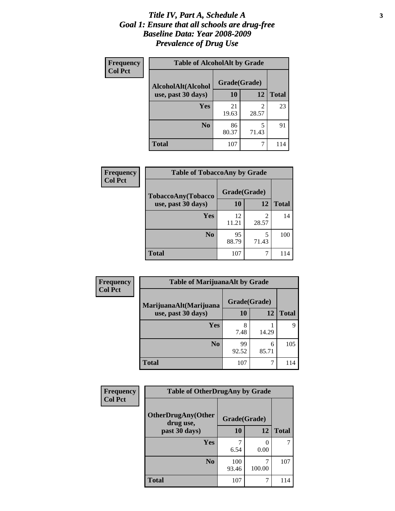#### *Title IV, Part A, Schedule A* **3** *Goal 1: Ensure that all schools are drug-free Baseline Data: Year 2008-2009 Prevalence of Drug Use*

| Frequency<br><b>Col Pct</b> | <b>Table of AlcoholAlt by Grade</b> |              |            |              |  |
|-----------------------------|-------------------------------------|--------------|------------|--------------|--|
|                             | AlcoholAlt(Alcohol                  | Grade(Grade) |            |              |  |
|                             | use, past 30 days)                  | <b>10</b>    | 12         | <b>Total</b> |  |
|                             | Yes                                 | 21<br>19.63  | 2<br>28.57 | 23           |  |
|                             | N <sub>0</sub>                      | 86<br>80.37  | 5<br>71.43 | 91           |  |
|                             | <b>Total</b>                        | 107          |            | 114          |  |

| <b>Frequency</b><br><b>Col Pct</b> | <b>Table of TobaccoAny by Grade</b> |              |            |              |
|------------------------------------|-------------------------------------|--------------|------------|--------------|
|                                    | <b>TobaccoAny(Tobacco</b>           | Grade(Grade) |            |              |
|                                    | use, past 30 days)                  | <b>10</b>    | 12         | <b>Total</b> |
|                                    | Yes                                 | 12<br>11.21  | 2<br>28.57 | 14           |
|                                    | N <sub>0</sub>                      | 95<br>88.79  | 5<br>71.43 | 100          |
|                                    | <b>Total</b>                        | 107          |            | 114          |

| Frequency      | <b>Table of MarijuanaAlt by Grade</b> |              |            |              |  |
|----------------|---------------------------------------|--------------|------------|--------------|--|
| <b>Col Pct</b> | MarijuanaAlt(Marijuana                | Grade(Grade) |            |              |  |
|                | use, past 30 days)                    | 10           | 12         | <b>Total</b> |  |
|                | <b>Yes</b>                            | 8<br>7.48    | 14.29      | Q            |  |
|                | N <sub>0</sub>                        | 99<br>92.52  | 6<br>85.71 | 105          |  |
|                | <b>Total</b>                          | 107          | 7          | 114          |  |

| Frequency<br><b>Col Pct</b> | <b>Table of OtherDrugAny by Grade</b>  |              |                           |              |  |  |
|-----------------------------|----------------------------------------|--------------|---------------------------|--------------|--|--|
|                             | <b>OtherDrugAny(Other</b><br>drug use, | Grade(Grade) |                           |              |  |  |
|                             | past 30 days)                          | 10           | 12                        | <b>Total</b> |  |  |
|                             | Yes                                    | 6.54         | $\mathbf{\Omega}$<br>0.00 | 7            |  |  |
|                             | N <sub>0</sub>                         | 100<br>93.46 | 100.00                    | 107          |  |  |
|                             | <b>Total</b>                           | 107          | 7                         | 114          |  |  |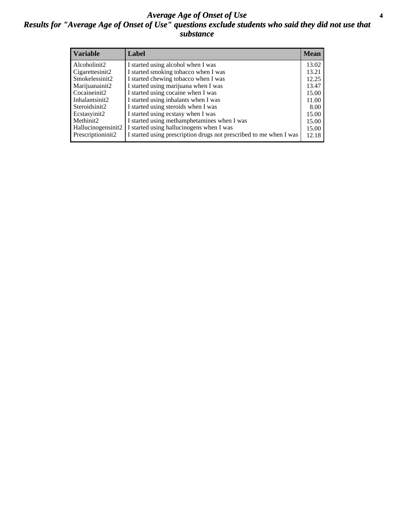#### *Average Age of Onset of Use* **4** *Results for "Average Age of Onset of Use" questions exclude students who said they did not use that substance*

| <b>Variable</b>    | Label                                                              | <b>Mean</b> |
|--------------------|--------------------------------------------------------------------|-------------|
| Alcoholinit2       | I started using alcohol when I was                                 | 13.02       |
| Cigarettesinit2    | I started smoking tobacco when I was                               | 13.21       |
| Smokelessinit2     | I started chewing tobacco when I was                               | 12.25       |
| Marijuanainit2     | I started using marijuana when I was                               | 13.47       |
| Cocaineinit2       | I started using cocaine when I was                                 | 15.00       |
| Inhalantsinit2     | I started using inhalants when I was                               | 11.00       |
| Steroidsinit2      | I started using steroids when I was                                | 8.00        |
| Ecstasyinit2       | I started using ecstasy when I was                                 | 15.00       |
| Methinit2          | I started using methamphetamines when I was                        | 15.00       |
| Hallucinogensinit2 | I started using hallucinogens when I was                           | 15.00       |
| Prescriptioninit2  | I started using prescription drugs not prescribed to me when I was | 12.18       |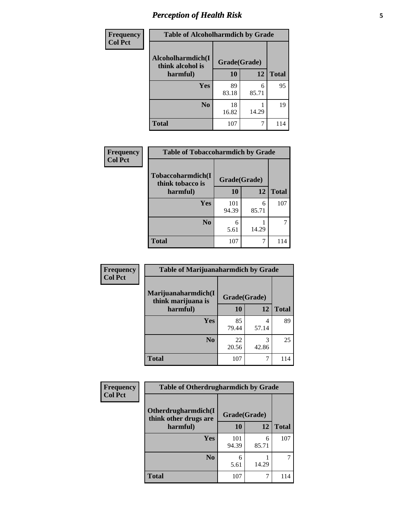# *Perception of Health Risk* **5**

| <b>Frequency</b> | <b>Table of Alcoholharmdich by Grade</b> |              |            |              |  |
|------------------|------------------------------------------|--------------|------------|--------------|--|
| <b>Col Pct</b>   | Alcoholharmdich(I<br>think alcohol is    | Grade(Grade) |            |              |  |
|                  | harmful)                                 | 10           | 12         | <b>Total</b> |  |
|                  | <b>Yes</b>                               | 89<br>83.18  | 6<br>85.71 | 95           |  |
|                  | N <sub>0</sub>                           | 18<br>16.82  | 14.29      | 19           |  |
|                  | <b>Total</b>                             | 107          | 7          | 114          |  |

| Frequency      | <b>Table of Tobaccoharmdich by Grade</b> |              |            |              |
|----------------|------------------------------------------|--------------|------------|--------------|
| <b>Col Pct</b> | Tobaccoharmdich(I<br>think tobacco is    | Grade(Grade) |            |              |
|                | harmful)                                 | 10           | 12         | <b>Total</b> |
|                | <b>Yes</b>                               | 101<br>94.39 | 6<br>85.71 | 107          |
|                | N <sub>0</sub>                           | 6<br>5.61    | 14.29      |              |
|                | <b>Total</b>                             | 107          | 7          | 114          |

| Frequency      | <b>Table of Marijuanaharmdich by Grade</b> |              |            |              |  |  |
|----------------|--------------------------------------------|--------------|------------|--------------|--|--|
| <b>Col Pct</b> | Marijuanaharmdich(I<br>think marijuana is  | Grade(Grade) |            |              |  |  |
|                | harmful)                                   | 10           | 12         | <b>Total</b> |  |  |
|                | Yes                                        | 85<br>79.44  | 4<br>57.14 | 89           |  |  |
|                | N <sub>0</sub>                             | 22<br>20.56  | 3<br>42.86 | 25           |  |  |
|                | <b>Total</b>                               | 107          | 7          | 114          |  |  |

| Frequency      | <b>Table of Otherdrugharmdich by Grade</b>                   |              |            |              |  |
|----------------|--------------------------------------------------------------|--------------|------------|--------------|--|
| <b>Col Pct</b> | Otherdrugharmdich(I<br>Grade(Grade)<br>think other drugs are |              |            |              |  |
|                | harmful)                                                     | <b>10</b>    | 12         | <b>Total</b> |  |
|                | <b>Yes</b>                                                   | 101<br>94.39 | 6<br>85.71 | 107          |  |
|                | N <sub>0</sub>                                               | 6<br>5.61    | 14.29      |              |  |
|                | <b>Total</b>                                                 | 107          | 7          | 114          |  |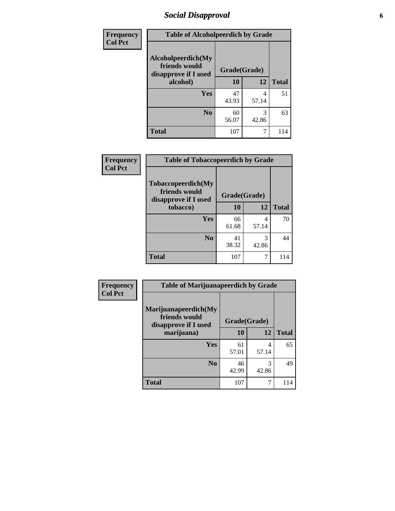# *Social Disapproval* **6**

| Frequency      | <b>Table of Alcoholpeerdich by Grade</b>                    |              |            |              |
|----------------|-------------------------------------------------------------|--------------|------------|--------------|
| <b>Col Pct</b> | Alcoholpeerdich(My<br>friends would<br>disapprove if I used | Grade(Grade) |            |              |
|                | alcohol)                                                    | 10           | 12         | <b>Total</b> |
|                | <b>Yes</b>                                                  | 47<br>43.93  | 4<br>57.14 | 51           |
|                | N <sub>0</sub>                                              | 60<br>56.07  | 3<br>42.86 | 63           |
|                | <b>Total</b>                                                | 107          | 7          | 114          |

| <b>Frequency</b> |
|------------------|
| <b>Col Pct</b>   |

| <b>Table of Tobaccopeerdich by Grade</b>                    |              |            |              |  |
|-------------------------------------------------------------|--------------|------------|--------------|--|
| Tobaccopeerdich(My<br>friends would<br>disapprove if I used | Grade(Grade) |            |              |  |
| tobacco)                                                    | 10           | 12         | <b>Total</b> |  |
| Yes                                                         | 66<br>61.68  | 4<br>57.14 | 70           |  |
| N <sub>0</sub>                                              | 41<br>38.32  | 3<br>42.86 | 44           |  |
| <b>Total</b>                                                | 107          | 7          | 114          |  |

| Frequency      | <b>Table of Marijuanapeerdich by Grade</b>                    |              |            |              |  |
|----------------|---------------------------------------------------------------|--------------|------------|--------------|--|
| <b>Col Pct</b> | Marijuanapeerdich(My<br>friends would<br>disapprove if I used | Grade(Grade) |            |              |  |
|                | marijuana)                                                    | 10           | 12         | <b>Total</b> |  |
|                | <b>Yes</b>                                                    | 61<br>57.01  | 4<br>57.14 | 65           |  |
|                | N <sub>0</sub>                                                | 46<br>42.99  | 3<br>42.86 | 49           |  |
|                | <b>Total</b>                                                  | 107          | 7          | 114          |  |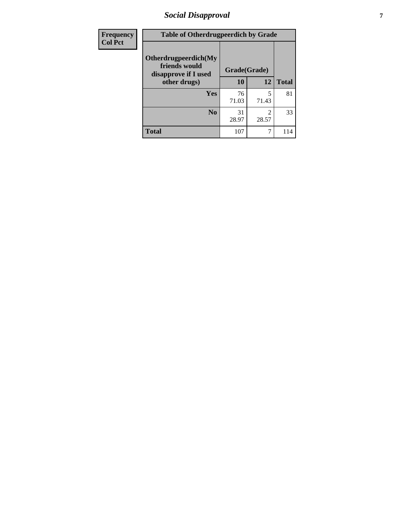# *Social Disapproval* **7**

| Frequency      | <b>Table of Otherdrugpeerdich by Grade</b>                    |              |            |              |  |
|----------------|---------------------------------------------------------------|--------------|------------|--------------|--|
| <b>Col Pct</b> | Otherdrugpeerdich(My<br>friends would<br>disapprove if I used | Grade(Grade) |            |              |  |
|                | other drugs)                                                  | 10           | 12         | <b>Total</b> |  |
|                | <b>Yes</b>                                                    | 76<br>71.03  | 5<br>71.43 | 81           |  |
|                | N <sub>0</sub>                                                | 31<br>28.97  | 2<br>28.57 | 33           |  |
|                | <b>Total</b>                                                  | 107          | $\tau$     | 114          |  |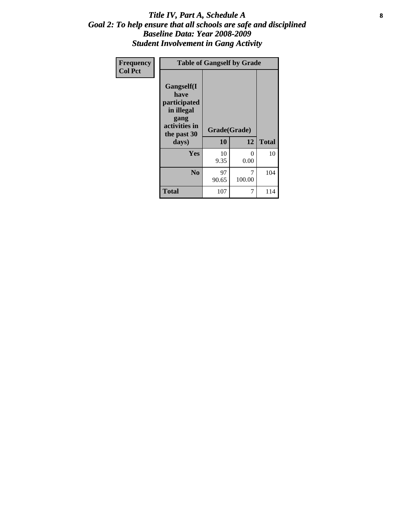#### Title IV, Part A, Schedule A **8** *Goal 2: To help ensure that all schools are safe and disciplined Baseline Data: Year 2008-2009 Student Involvement in Gang Activity*

| Frequency      | <b>Table of Gangself by Grade</b>                                                                 |                    |             |              |
|----------------|---------------------------------------------------------------------------------------------------|--------------------|-------------|--------------|
| <b>Col Pct</b> | Gangself(I<br>have<br>participated<br>in illegal<br>gang<br>activities in<br>the past 30<br>days) | Grade(Grade)<br>10 | 12          | <b>Total</b> |
|                | Yes                                                                                               | 10<br>9.35         | 0<br>0.00   | 10           |
|                | N <sub>0</sub>                                                                                    | 97<br>90.65        | 7<br>100.00 | 104          |
|                | <b>Total</b>                                                                                      | 107                | 7           | 114          |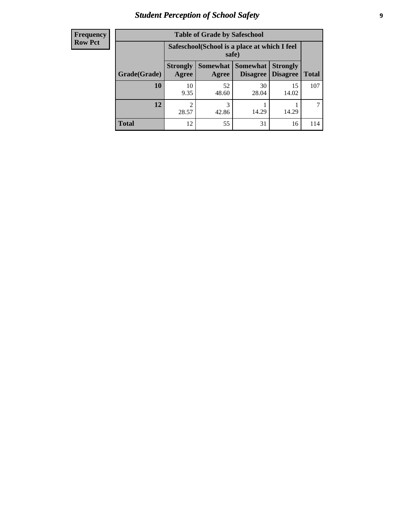# *Student Perception of School Safety* **9**

| <b>Frequency</b><br>Row Pct |
|-----------------------------|
|                             |

| <b>Table of Grade by Safeschool</b> |                          |                                                                                              |             |             |     |  |  |  |
|-------------------------------------|--------------------------|----------------------------------------------------------------------------------------------|-------------|-------------|-----|--|--|--|
|                                     |                          | Safeschool (School is a place at which I feel<br>safe)                                       |             |             |     |  |  |  |
| Grade(Grade)                        | <b>Strongly</b><br>Agree | Somewhat Somewhat<br><b>Strongly</b><br><b>Disagree</b><br>Disagree<br><b>Total</b><br>Agree |             |             |     |  |  |  |
| 10                                  | 10<br>9.35               | 52<br>48.60                                                                                  | 30<br>28.04 | 15<br>14.02 | 107 |  |  |  |
| 12                                  | 2<br>28.57               | 3<br>42.86                                                                                   | 14.29       | 14.29       |     |  |  |  |
| <b>Total</b>                        | 12                       | 55                                                                                           | 31          | 16          | 114 |  |  |  |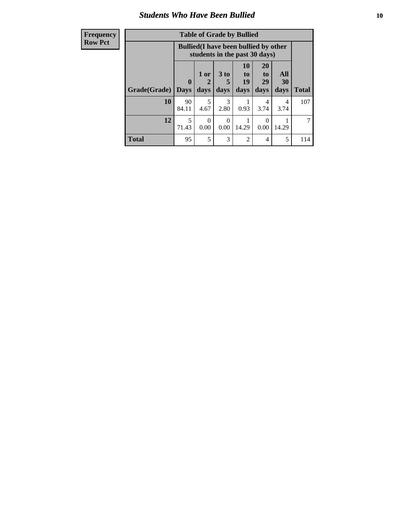#### *Students Who Have Been Bullied* **10**

| <b>Frequency</b> |              |                                                                               |                  |                       | <b>Table of Grade by Bullied</b>                                   |                                   |           |              |
|------------------|--------------|-------------------------------------------------------------------------------|------------------|-----------------------|--------------------------------------------------------------------|-----------------------------------|-----------|--------------|
| <b>Row Pct</b>   |              | <b>Bullied</b> (I have been bullied by other<br>students in the past 30 days) |                  |                       |                                                                    |                                   |           |              |
|                  |              | $\mathbf{0}$                                                                  | 1 or<br>2        | 3 to                  | <b>10</b><br>$\mathbf{t}$ <sup><math>\mathbf{0}</math></sup><br>19 | <b>20</b><br>t <sub>0</sub><br>29 | All<br>30 |              |
|                  | Grade(Grade) | <b>Days</b>                                                                   | days             | days                  | days                                                               | days                              | days      | <b>Total</b> |
|                  | <b>10</b>    | 90<br>84.11                                                                   | 5<br>4.67        | $\mathcal{R}$<br>2.80 | 0.93                                                               | 4<br>3.74                         | 4<br>3.74 | 107          |
|                  | 12           | 5<br>71.43                                                                    | $\Omega$<br>0.00 | 0<br>0.00             | 14.29                                                              | 0<br>0.00                         | 14.29     |              |
|                  | <b>Total</b> | 95                                                                            | 5                | 3                     | 2                                                                  | 4                                 | 5         | 114          |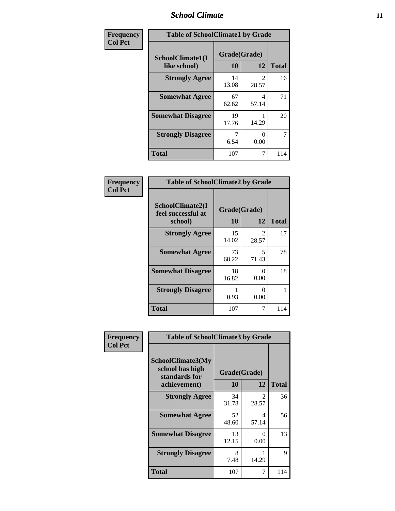### *School Climate* **11**

| Frequency      | <b>Table of SchoolClimate1 by Grade</b> |                    |                         |              |  |  |
|----------------|-----------------------------------------|--------------------|-------------------------|--------------|--|--|
| <b>Col Pct</b> | SchoolClimate1(I<br>like school)        | Grade(Grade)<br>10 | 12                      | <b>Total</b> |  |  |
|                | <b>Strongly Agree</b>                   | 14<br>13.08        | $\mathfrak{D}$<br>28.57 | 16           |  |  |
|                | <b>Somewhat Agree</b>                   | 67<br>62.62        | 4<br>57.14              | 71           |  |  |
|                | <b>Somewhat Disagree</b>                | 19<br>17.76        | 14.29                   | 20           |  |  |
|                | <b>Strongly Disagree</b>                | 7<br>6.54          | 0.00                    | 7            |  |  |
|                | <b>Total</b>                            | 107                | 7                       | 114          |  |  |

| Frequency<br><b>Col Pct</b> | <b>Table of SchoolClimate2 by Grade</b>           |                    |            |              |  |  |
|-----------------------------|---------------------------------------------------|--------------------|------------|--------------|--|--|
|                             | SchoolClimate2(I<br>feel successful at<br>school) | Grade(Grade)<br>10 | 12         | <b>Total</b> |  |  |
|                             | <b>Strongly Agree</b>                             | 15<br>14.02        | 2<br>28.57 | 17           |  |  |
|                             | <b>Somewhat Agree</b>                             | 73<br>68.22        | 5<br>71.43 | 78           |  |  |
|                             | <b>Somewhat Disagree</b>                          | 18<br>16.82        | 0<br>0.00  | 18           |  |  |
|                             | <b>Strongly Disagree</b>                          | 0.93               | 0<br>0.00  |              |  |  |
|                             | <b>Total</b>                                      | 107                | 7          | 114          |  |  |

| <b>Frequency</b> | <b>Table of SchoolClimate3 by Grade</b>               |              |                         |              |  |
|------------------|-------------------------------------------------------|--------------|-------------------------|--------------|--|
| <b>Col Pct</b>   | SchoolClimate3(My<br>school has high<br>standards for | Grade(Grade) |                         |              |  |
|                  | achievement)                                          | 10           | 12                      | <b>Total</b> |  |
|                  | <b>Strongly Agree</b>                                 | 34<br>31.78  | $\mathfrak{D}$<br>28.57 | 36           |  |
|                  | <b>Somewhat Agree</b>                                 | 52<br>48.60  | 4<br>57.14              | 56           |  |
|                  | <b>Somewhat Disagree</b>                              | 13<br>12.15  | 0<br>0.00               | 13           |  |
|                  | <b>Strongly Disagree</b>                              | 8<br>7.48    | 14.29                   | 9            |  |
|                  | Total                                                 | 107          | 7                       | 114          |  |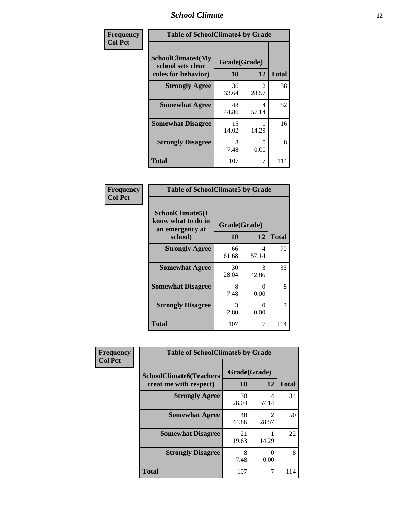### *School Climate* **12**

| Frequency      | <b>Table of SchoolClimate4 by Grade</b>                              |                    |                         |              |
|----------------|----------------------------------------------------------------------|--------------------|-------------------------|--------------|
| <b>Col Pct</b> | <b>SchoolClimate4(My</b><br>school sets clear<br>rules for behavior) | Grade(Grade)<br>10 | 12                      | <b>Total</b> |
|                | <b>Strongly Agree</b>                                                | 36<br>33.64        | $\mathfrak{D}$<br>28.57 | 38           |
|                | <b>Somewhat Agree</b>                                                | 48<br>44.86        | 4<br>57.14              | 52           |
|                | <b>Somewhat Disagree</b>                                             | 15<br>14.02        | 14.29                   | 16           |
|                | <b>Strongly Disagree</b>                                             | 8<br>7.48          | ∩<br>0.00               | 8            |
|                | <b>Total</b>                                                         | 107                | 7                       | 114          |

| <b>Table of SchoolClimate5 by Grade</b>                   |              |            |              |  |  |
|-----------------------------------------------------------|--------------|------------|--------------|--|--|
| SchoolClimate5(I<br>know what to do in<br>an emergency at | Grade(Grade) |            |              |  |  |
| school)                                                   | 10           | 12         | <b>Total</b> |  |  |
| <b>Strongly Agree</b>                                     | 66<br>61.68  | 4<br>57.14 | 70           |  |  |
| <b>Somewhat Agree</b>                                     | 30<br>28.04  | 3<br>42.86 | 33           |  |  |
| <b>Somewhat Disagree</b>                                  | 8<br>7.48    | 0<br>0.00  | 8            |  |  |
| <b>Strongly Disagree</b>                                  | 3<br>2.80    | 0<br>0.00  | 3            |  |  |
| <b>Total</b>                                              | 107          | 7          | 114          |  |  |

| Frequency      | <b>Table of SchoolClimate6 by Grade</b>                  |                    |                         |              |  |
|----------------|----------------------------------------------------------|--------------------|-------------------------|--------------|--|
| <b>Col Pct</b> | <b>SchoolClimate6(Teachers</b><br>treat me with respect) | Grade(Grade)<br>10 | 12                      | <b>Total</b> |  |
|                | <b>Strongly Agree</b>                                    | 30<br>28.04        | 4<br>57.14              | 34           |  |
|                | <b>Somewhat Agree</b>                                    | 48<br>44.86        | $\mathfrak{D}$<br>28.57 | 50           |  |
|                | <b>Somewhat Disagree</b>                                 | 21<br>19.63        | 14.29                   | 22           |  |
|                | <b>Strongly Disagree</b>                                 | 8<br>7.48          | 0<br>0.00               | 8            |  |
|                | <b>Total</b>                                             | 107                | 7                       | 114          |  |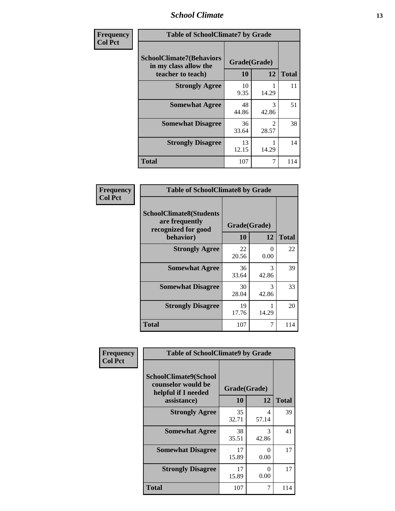### *School Climate* **13**

| Frequency      | <b>Table of SchoolClimate7 by Grade</b>                                       |                           |                         |              |
|----------------|-------------------------------------------------------------------------------|---------------------------|-------------------------|--------------|
| <b>Col Pct</b> | <b>SchoolClimate7(Behaviors</b><br>in my class allow the<br>teacher to teach) | Grade(Grade)<br><b>10</b> | 12                      | <b>Total</b> |
|                | <b>Strongly Agree</b>                                                         | 10<br>9.35                | 14.29                   | 11           |
|                | <b>Somewhat Agree</b>                                                         | 48<br>44.86               | 3<br>42.86              | 51           |
|                | <b>Somewhat Disagree</b>                                                      | 36<br>33.64               | $\mathfrak{D}$<br>28.57 | 38           |
|                | <b>Strongly Disagree</b>                                                      | 13<br>12.15               | 14.29                   | 14           |
|                | <b>Total</b>                                                                  | 107                       | 7                       | 114          |

| Frequency      | <b>Table of SchoolClimate8 by Grade</b>                                 |              |                           |              |
|----------------|-------------------------------------------------------------------------|--------------|---------------------------|--------------|
| <b>Col Pct</b> | <b>SchoolClimate8(Students</b><br>are frequently<br>recognized for good | Grade(Grade) |                           |              |
|                | behavior)                                                               | 10           | 12                        | <b>Total</b> |
|                | <b>Strongly Agree</b>                                                   | 22<br>20.56  | $\mathbf{\Omega}$<br>0.00 | 22           |
|                | <b>Somewhat Agree</b>                                                   | 36<br>33.64  | 3<br>42.86                | 39           |
|                | <b>Somewhat Disagree</b>                                                | 30<br>28.04  | 3<br>42.86                | 33           |
|                | <b>Strongly Disagree</b>                                                | 19<br>17.76  | 14.29                     | 20           |
|                | <b>Total</b>                                                            | 107          |                           | 114          |

| Frequency      | <b>Table of SchoolClimate9 by Grade</b>                            |              |                        |              |
|----------------|--------------------------------------------------------------------|--------------|------------------------|--------------|
| <b>Col Pct</b> | SchoolClimate9(School<br>counselor would be<br>helpful if I needed | Grade(Grade) |                        |              |
|                | assistance)                                                        | 10           | 12                     | <b>Total</b> |
|                | <b>Strongly Agree</b>                                              | 35<br>32.71  | 4<br>57.14             | 39           |
|                | <b>Somewhat Agree</b>                                              | 38<br>35.51  | $\mathcal{R}$<br>42.86 | 41           |
|                | <b>Somewhat Disagree</b>                                           | 17<br>15.89  | ∩<br>0.00              | 17           |
|                | <b>Strongly Disagree</b>                                           | 17<br>15.89  | 0<br>0.00              | 17           |
|                | Total                                                              | 107          | 7                      | 114          |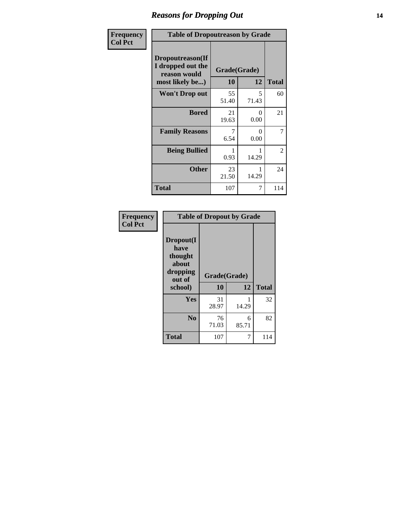### *Reasons for Dropping Out* **14**

| Frequency      | <b>Table of Dropoutreason by Grade</b>                                   |             |                    |              |
|----------------|--------------------------------------------------------------------------|-------------|--------------------|--------------|
| <b>Col Pct</b> | Dropoutreason(If<br>I dropped out the<br>reason would<br>most likely be) | 10          | Grade(Grade)<br>12 | <b>Total</b> |
|                | Won't Drop out                                                           | 55<br>51.40 | 5<br>71.43         | 60           |
|                | <b>Bored</b>                                                             | 21<br>19.63 | 0<br>0.00          | 21           |
|                | <b>Family Reasons</b>                                                    | 7<br>6.54   | 0<br>0.00          | 7            |
|                | <b>Being Bullied</b>                                                     | 0.93        | 14.29              | 2            |
|                | <b>Other</b>                                                             | 23<br>21.50 | 14.29              | 24           |
|                | <b>Total</b>                                                             | 107         | 7                  | 114          |

| Frequency<br><b>Col Pct</b> | <b>Table of Dropout by Grade</b>                                       |                    |            |              |  |
|-----------------------------|------------------------------------------------------------------------|--------------------|------------|--------------|--|
|                             | Dropout(I<br>have<br>thought<br>about<br>dropping<br>out of<br>school) | Grade(Grade)<br>10 | 12         | <b>Total</b> |  |
|                             | Yes                                                                    | 31                 |            | 32           |  |
|                             |                                                                        | 28.97              | 14.29      |              |  |
|                             | N <sub>0</sub>                                                         | 76<br>71.03        | 6<br>85.71 | 82           |  |
|                             | <b>Total</b>                                                           | 107                | 7          | 114          |  |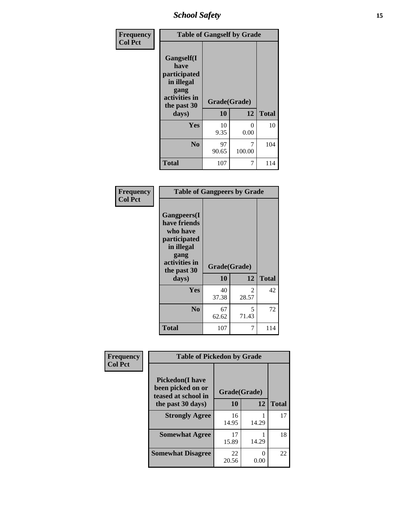*School Safety* **15**

| Frequency      | <b>Table of Gangself by Grade</b>                                                                 |                    |             |              |
|----------------|---------------------------------------------------------------------------------------------------|--------------------|-------------|--------------|
| <b>Col Pct</b> | Gangself(I<br>have<br>participated<br>in illegal<br>gang<br>activities in<br>the past 30<br>days) | Grade(Grade)<br>10 | 12          | <b>Total</b> |
|                | Yes                                                                                               | 10<br>9.35         | 0<br>0.00   | 10           |
|                | N <sub>o</sub>                                                                                    | 97<br>90.65        | 7<br>100.00 | 104          |
|                | <b>Total</b>                                                                                      | 107                | 7           | 114          |

| Frequency<br><b>Col Pct</b> | <b>Table of Gangpeers by Grade</b>                                                                                             |                    |                         |              |
|-----------------------------|--------------------------------------------------------------------------------------------------------------------------------|--------------------|-------------------------|--------------|
|                             | <b>Gangpeers</b> (I<br>have friends<br>who have<br>participated<br>in illegal<br>gang<br>activities in<br>the past 30<br>days) | Grade(Grade)<br>10 | 12                      | <b>Total</b> |
|                             | <b>Yes</b>                                                                                                                     | 40<br>37.38        | $\mathfrak{D}$<br>28.57 | 42           |
|                             | N <sub>0</sub>                                                                                                                 | 67<br>62.62        | 5<br>71.43              | 72           |
|                             | <b>Total</b>                                                                                                                   | 107                | 7                       | 114          |

| Frequency      | <b>Table of Pickedon by Grade</b>                                   |              |           |              |
|----------------|---------------------------------------------------------------------|--------------|-----------|--------------|
| <b>Col Pct</b> | <b>Pickedon</b> (I have<br>been picked on or<br>teased at school in | Grade(Grade) |           |              |
|                | the past 30 days)                                                   | 10           | 12        | <b>Total</b> |
|                | <b>Strongly Agree</b>                                               | 16<br>14.95  | 14.29     | 17           |
|                | <b>Somewhat Agree</b>                                               | 17<br>15.89  | 14.29     | 18           |
|                | <b>Somewhat Disagree</b>                                            | 22<br>20.56  | 0<br>0.00 | 22           |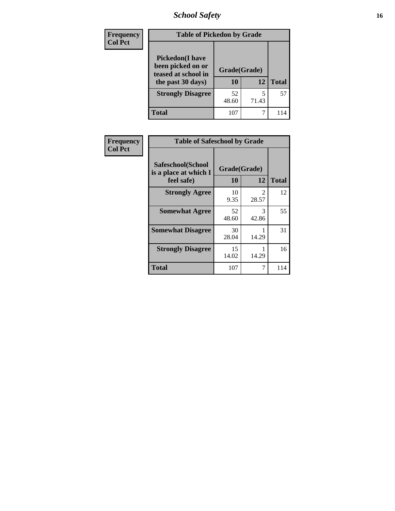*School Safety* **16**

| <b>Frequency</b> | <b>Table of Pickedon by Grade</b>                                                        |                    |       |              |  |  |  |  |  |
|------------------|------------------------------------------------------------------------------------------|--------------------|-------|--------------|--|--|--|--|--|
| <b>Col Pct</b>   | <b>Pickedon</b> (I have<br>been picked on or<br>teased at school in<br>the past 30 days) | Grade(Grade)<br>10 | 12    | <b>Total</b> |  |  |  |  |  |
|                  | <b>Strongly Disagree</b>                                                                 | 52<br>48.60        | 71.43 | 57           |  |  |  |  |  |
|                  | Total                                                                                    | 107                | 7     | 114          |  |  |  |  |  |

| <b>Frequency</b> | <b>Table of Safeschool by Grade</b>        |              |                                      |              |  |  |  |  |  |
|------------------|--------------------------------------------|--------------|--------------------------------------|--------------|--|--|--|--|--|
| <b>Col Pct</b>   | Safeschool(School<br>is a place at which I | Grade(Grade) |                                      |              |  |  |  |  |  |
|                  | feel safe)                                 | 10           | 12                                   | <b>Total</b> |  |  |  |  |  |
|                  | <b>Strongly Agree</b>                      | 10<br>9.35   | $\mathcal{D}_{\mathcal{L}}$<br>28.57 | 12           |  |  |  |  |  |
|                  | <b>Somewhat Agree</b>                      | 52<br>48.60  | 3<br>42.86                           | 55           |  |  |  |  |  |
|                  | <b>Somewhat Disagree</b>                   | 30<br>28.04  | 14.29                                | 31           |  |  |  |  |  |
|                  | <b>Strongly Disagree</b>                   | 15<br>14.02  | 14.29                                | 16           |  |  |  |  |  |
|                  | <b>Total</b>                               | 107          | 7                                    | 114          |  |  |  |  |  |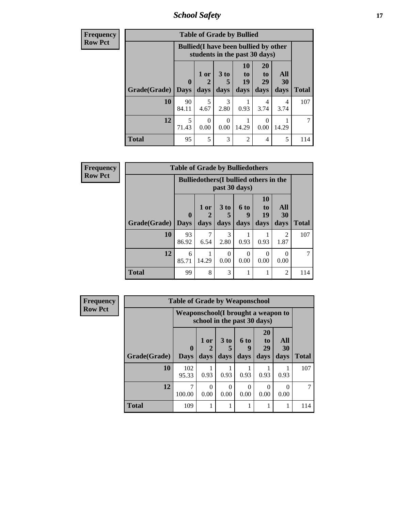*School Safety* **17**

| <b>Frequency</b> |              |             |                                                                               |                 | <b>Table of Grade by Bullied</b> |                       |                  |              |  |
|------------------|--------------|-------------|-------------------------------------------------------------------------------|-----------------|----------------------------------|-----------------------|------------------|--------------|--|
| <b>Row Pct</b>   |              |             | <b>Bullied</b> (I have been bullied by other<br>students in the past 30 days) |                 |                                  |                       |                  |              |  |
|                  |              | $\mathbf 0$ | 1 or                                                                          | 3 <sub>to</sub> | 10<br>to<br>19                   | <b>20</b><br>to<br>29 | All<br><b>30</b> |              |  |
|                  | Grade(Grade) | <b>Days</b> | days                                                                          | days            | days                             | days                  | days             | <b>Total</b> |  |
|                  | 10           | 90<br>84.11 | 5<br>4.67                                                                     | 3<br>2.80       | 0.93                             | 4<br>3.74             | 4<br>3.74        | 107          |  |
|                  | 12           | 5<br>71.43  | $\left($<br>0.00                                                              | 0<br>0.00       | 14.29                            | $\theta$<br>0.00      | 14.29            |              |  |
|                  | <b>Total</b> | 95          | 5                                                                             | 3               | $\overline{2}$                   | 4                     | 5                | 114          |  |

| Frequency      |                           | <b>Table of Grade by Bulliedothers</b> |                                                                |              |                   |                               |                        |              |  |
|----------------|---------------------------|----------------------------------------|----------------------------------------------------------------|--------------|-------------------|-------------------------------|------------------------|--------------|--|
| <b>Row Pct</b> |                           |                                        | <b>Bulliedothers</b> (I bullied others in the<br>past 30 days) |              |                   |                               |                        |              |  |
|                | <b>Grade</b> (Grade) Days | $\bf{0}$                               | 1 or<br>days                                                   | 3 to<br>days | 6 to<br>9<br>days | <b>10</b><br>to<br>19<br>days | All<br>30<br>days      | <b>Total</b> |  |
|                | 10                        | 93<br>86.92                            | 6.54                                                           | 3<br>2.80    | 0.93              | 0.93                          | $\overline{c}$<br>1.87 | 107          |  |
|                | 12                        | 6<br>85.71                             | 14.29                                                          | 0<br>0.00    | $\Omega$<br>0.00  | 0<br>0.00                     | 0<br>0.00              |              |  |
|                | <b>Total</b>              | 99                                     | 8                                                              | 3            |                   |                               | $\overline{c}$         | 114          |  |

| <b>Frequency</b> | <b>Table of Grade by Weaponschool</b> |                                                                   |                   |                              |                   |                        |                   |              |  |  |
|------------------|---------------------------------------|-------------------------------------------------------------------|-------------------|------------------------------|-------------------|------------------------|-------------------|--------------|--|--|
| <b>Row Pct</b>   |                                       | Weaponschool(I brought a weapon to<br>school in the past 30 days) |                   |                              |                   |                        |                   |              |  |  |
|                  | Grade(Grade)                          | $\mathbf{0}$<br><b>Days</b>                                       | 1 or<br>2<br>days | 3 <sub>to</sub><br>5<br>days | 6 to<br>9<br>days | 20<br>to<br>29<br>days | All<br>30<br>days | <b>Total</b> |  |  |
|                  | 10                                    | 102<br>95.33                                                      | 0.93              | 0.93                         | 0.93              | 0.93                   | 0.93              | 107          |  |  |
|                  | 12                                    | 7<br>100.00                                                       | $\Omega$<br>0.00  | 0<br>0.00                    | $\Omega$<br>0.00  | $\Omega$<br>0.00       | 0<br>0.00         | 7            |  |  |
|                  | <b>Total</b>                          | 109                                                               |                   | 1                            | 1                 | 1                      |                   | 114          |  |  |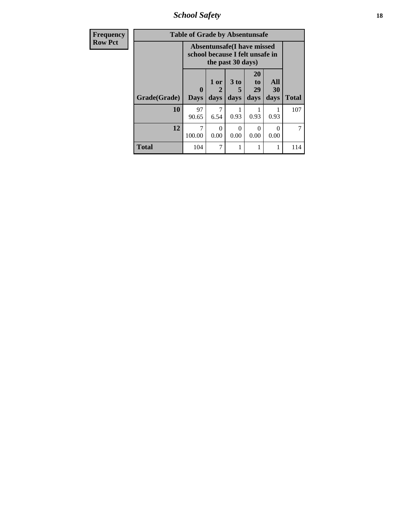*School Safety* **18**

| <b>Frequency</b> | <b>Table of Grade by Absentunsafe</b> |                                                               |                   |                   |                               |                          |              |  |  |
|------------------|---------------------------------------|---------------------------------------------------------------|-------------------|-------------------|-------------------------------|--------------------------|--------------|--|--|
| <b>Row Pct</b>   |                                       | Absentunsafe(I have missed<br>school because I felt unsafe in |                   |                   |                               |                          |              |  |  |
|                  | Grade(Grade)                          | $\mathbf{0}$<br><b>Days</b>                                   | 1 or<br>2<br>days | 3 to<br>5<br>days | <b>20</b><br>to<br>29<br>days | All<br><b>30</b><br>days | <b>Total</b> |  |  |
|                  | 10                                    | 97<br>90.65                                                   | 7<br>6.54         | 0.93              | 0.93                          | 0.93                     | 107          |  |  |
|                  | 12                                    | 7<br>100.00                                                   | 0<br>0.00         | $\Omega$<br>0.00  | 0<br>0.00                     | 0<br>0.00                |              |  |  |
|                  | <b>Total</b>                          | 104                                                           | 7                 | 1                 |                               |                          | 114          |  |  |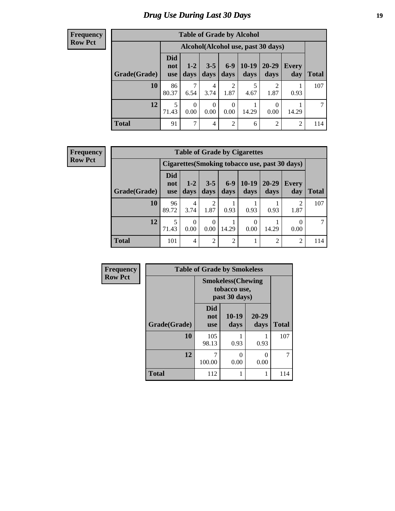# *Drug Use During Last 30 Days* **19**

#### **Frequency Row Pct**

| <b>Table of Grade by Alcohol</b> |                                 |                                    |                 |                  |                 |                        |              |              |  |  |
|----------------------------------|---------------------------------|------------------------------------|-----------------|------------------|-----------------|------------------------|--------------|--------------|--|--|
|                                  |                                 | Alcohol(Alcohol use, past 30 days) |                 |                  |                 |                        |              |              |  |  |
| Grade(Grade)                     | <b>Did</b><br>not<br><b>use</b> | $1 - 2$<br>days                    | $3 - 5$<br>days | $6-9$<br>days    | $10-19$<br>days | $20 - 29$<br>days      | Every<br>day | <b>Total</b> |  |  |
| 10                               | 86<br>80.37                     | 7<br>6.54                          | 4<br>3.74       | 2<br>1.87        | 5<br>4.67       | $\overline{2}$<br>1.87 | 0.93         | 107          |  |  |
| 12                               | 5<br>71.43                      | $\theta$<br>0.00                   | 0<br>0.00       | $\theta$<br>0.00 | 14.29           | $\Omega$<br>0.00       | 14.29        | 7            |  |  |
| <b>Total</b>                     | 91                              | 7                                  | 4               | $\overline{2}$   | 6               | $\overline{2}$         | 2            | 114          |  |  |

#### **Frequency Row Pct**

| <b>Table of Grade by Cigarettes</b> |                                 |                                                       |                 |                 |                 |                   |                     |              |  |  |
|-------------------------------------|---------------------------------|-------------------------------------------------------|-----------------|-----------------|-----------------|-------------------|---------------------|--------------|--|--|
|                                     |                                 | <b>Cigarettes (Smoking tobacco use, past 30 days)</b> |                 |                 |                 |                   |                     |              |  |  |
| Grade(Grade)                        | <b>Did</b><br>not<br><b>use</b> | $1 - 2$<br>days                                       | $3 - 5$<br>days | $6 - 9$<br>days | $10-19$<br>days | $20 - 29$<br>days | <b>Every</b><br>day | <b>Total</b> |  |  |
| 10                                  | 96<br>89.72                     | $\overline{4}$<br>3.74                                | 2<br>1.87       | 0.93            | 0.93            | 0.93              | 2<br>1.87           | 107          |  |  |
| 12                                  | 5<br>71.43                      | $\Omega$<br>0.00                                      | 0<br>0.00       | 14.29           | 0<br>0.00       | 14.29             | 0.00                |              |  |  |
| <b>Total</b>                        | 101                             | $\overline{4}$                                        | 2               | $\mathfrak{D}$  |                 | ↑                 | $\mathcal{D}$       | 114          |  |  |

| <b>Frequency</b> | <b>Table of Grade by Smokeless</b> |                                                            |               |                   |              |  |  |  |  |  |
|------------------|------------------------------------|------------------------------------------------------------|---------------|-------------------|--------------|--|--|--|--|--|
| <b>Row Pct</b>   |                                    | <b>Smokeless</b> (Chewing<br>tobacco use,<br>past 30 days) |               |                   |              |  |  |  |  |  |
|                  | Grade(Grade)                       | Did<br>not<br><b>use</b>                                   | 10-19<br>days | $20 - 29$<br>days | <b>Total</b> |  |  |  |  |  |
|                  | 10                                 | 105<br>98.13                                               | 0.93          | 0.93              | 107          |  |  |  |  |  |
|                  | 12                                 | ℸ<br>100.00                                                | 0<br>0.00     | 0<br>0.00         | 7            |  |  |  |  |  |
|                  | <b>Total</b>                       | 112                                                        | 1             | 1                 | 114          |  |  |  |  |  |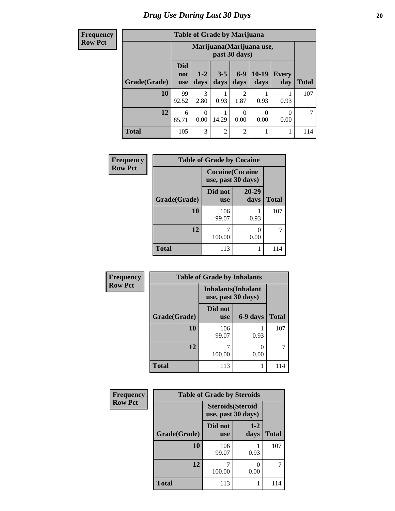**Frequency Row Pct**

| <b>Table of Grade by Marijuana</b> |                                 |                                            |                 |                        |                 |              |              |  |  |  |
|------------------------------------|---------------------------------|--------------------------------------------|-----------------|------------------------|-----------------|--------------|--------------|--|--|--|
|                                    |                                 | Marijuana (Marijuana use,<br>past 30 days) |                 |                        |                 |              |              |  |  |  |
| Grade(Grade)                       | <b>Did</b><br>not<br><b>use</b> | $1 - 2$<br>days                            | $3 - 5$<br>days | $6 - 9$<br>days        | $10-19$<br>days | Every<br>day | <b>Total</b> |  |  |  |
| 10                                 | 99<br>92.52                     | 3<br>2.80                                  | 0.93            | $\overline{2}$<br>1.87 | 0.93            | 0.93         | 107          |  |  |  |
| 12                                 | 6<br>85.71                      | 0<br>0.00                                  | 14.29           | 0.00                   | 0<br>0.00       | 0<br>0.00    |              |  |  |  |
| <b>Total</b>                       | 105                             | 3                                          | $\overline{2}$  | $\overline{c}$         | 1               | 1            | 114          |  |  |  |

| Frequency      | <b>Table of Grade by Cocaine</b> |                                               |               |              |  |  |  |  |  |  |
|----------------|----------------------------------|-----------------------------------------------|---------------|--------------|--|--|--|--|--|--|
| <b>Row Pct</b> |                                  | <b>Cocaine</b> (Cocaine<br>use, past 30 days) |               |              |  |  |  |  |  |  |
|                | Grade(Grade)                     | Did not<br><b>use</b>                         | 20-29<br>days | <b>Total</b> |  |  |  |  |  |  |
|                | <b>10</b>                        | 106<br>99.07                                  | 0.93          | 107          |  |  |  |  |  |  |
|                | 12                               | 100.00                                        | 0.00          | 7            |  |  |  |  |  |  |
|                | <b>Total</b>                     | 113                                           |               | 114          |  |  |  |  |  |  |

| Frequency      |              | <b>Table of Grade by Inhalants</b>               |          |              |  |  |  |  |  |  |
|----------------|--------------|--------------------------------------------------|----------|--------------|--|--|--|--|--|--|
| <b>Row Pct</b> |              | <b>Inhalants</b> (Inhalant<br>use, past 30 days) |          |              |  |  |  |  |  |  |
|                | Grade(Grade) | Did not<br><b>use</b>                            | 6-9 days | <b>Total</b> |  |  |  |  |  |  |
|                | 10           | 106<br>99.07                                     | 0.93     | 107          |  |  |  |  |  |  |
|                | 12           | 100.00                                           | 0.00     | 7            |  |  |  |  |  |  |
|                | <b>Total</b> | 113                                              |          | 114          |  |  |  |  |  |  |

| Frequency      | <b>Table of Grade by Steroids</b> |                          |                    |              |
|----------------|-----------------------------------|--------------------------|--------------------|--------------|
| <b>Row Pct</b> |                                   | <b>Steroids</b> (Steroid | use, past 30 days) |              |
|                | Grade(Grade)                      | Did not<br><b>use</b>    | $1-2$<br>days      | <b>Total</b> |
|                | 10                                | 106<br>99.07             | 0.93               | 107          |
|                | 12                                | 100.00                   | 0.00               | 7            |
|                | <b>Total</b>                      | 113                      |                    | 114          |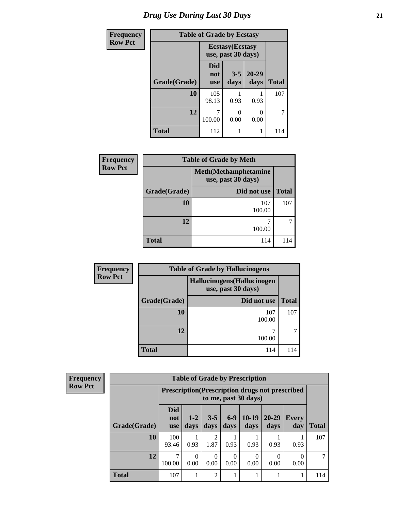| <b>Frequency</b> | <b>Table of Grade by Ecstasy</b> |                                               |                 |                   |              |
|------------------|----------------------------------|-----------------------------------------------|-----------------|-------------------|--------------|
| <b>Row Pct</b>   |                                  | <b>Ecstasy</b> (Ecstasy<br>use, past 30 days) |                 |                   |              |
|                  | Grade(Grade)                     | Did<br>not<br><b>use</b>                      | $3 - 5$<br>days | $20 - 29$<br>days | <b>Total</b> |
|                  | 10                               | 105<br>98.13                                  | 0.93            | 0.93              | 107          |
|                  | 12                               | 100.00                                        | 0<br>0.00       | 0.00              | 7            |
|                  | <b>Total</b>                     | 112                                           | 1               |                   | 114          |

| Frequency      | <b>Table of Grade by Meth</b> |                                                    |              |  |
|----------------|-------------------------------|----------------------------------------------------|--------------|--|
| <b>Row Pct</b> |                               | <b>Meth</b> (Methamphetamine<br>use, past 30 days) |              |  |
|                | Grade(Grade)                  | Did not use                                        | <b>Total</b> |  |
|                | 10                            | 107<br>100.00                                      | 107          |  |
|                | 12                            | 100.00                                             |              |  |
|                | <b>Total</b>                  | 114                                                | 114          |  |

| Frequency      | <b>Table of Grade by Hallucinogens</b> |                                                   |              |  |  |
|----------------|----------------------------------------|---------------------------------------------------|--------------|--|--|
| <b>Row Pct</b> |                                        | Hallucinogens (Hallucinogen<br>use, past 30 days) |              |  |  |
|                | Grade(Grade)                           | Did not use                                       | <b>Total</b> |  |  |
|                | 10                                     | 107<br>100.00                                     | 107          |  |  |
|                | 12                                     | 100.00                                            |              |  |  |
|                | <b>Total</b>                           | 114                                               | 114          |  |  |

| Frequency      | <b>Table of Grade by Prescription</b> |                                 |                                                                                |                  |               |                 |                   |                     |              |
|----------------|---------------------------------------|---------------------------------|--------------------------------------------------------------------------------|------------------|---------------|-----------------|-------------------|---------------------|--------------|
| <b>Row Pct</b> |                                       |                                 | <b>Prescription</b> (Prescription drugs not prescribed<br>to me, past 30 days) |                  |               |                 |                   |                     |              |
|                | Grade(Grade)                          | <b>Did</b><br>not<br><b>use</b> | $1 - 2$<br>days                                                                | $3 - 5$<br>days  | $6-9$<br>days | $10-19$<br>days | $20 - 29$<br>days | <b>Every</b><br>day | <b>Total</b> |
|                | 10                                    | 100<br>93.46                    | 0.93                                                                           | 2<br>1.87        | 0.93          | 0.93            | 0.93              | 0.93                | 107          |
|                | 12                                    | 100.00                          | $\Omega$<br>0.00                                                               | $\Omega$<br>0.00 | 0<br>0.00     | 0.00            | $\Omega$<br>0.00  | $\theta$<br>0.00    |              |
|                | <b>Total</b>                          | 107                             |                                                                                | 2                |               |                 |                   |                     | 114          |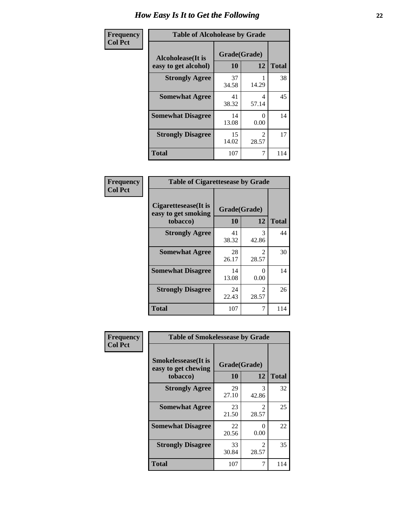| Frequency      | <b>Table of Alcoholease by Grade</b>              |                    |                         |              |
|----------------|---------------------------------------------------|--------------------|-------------------------|--------------|
| <b>Col Pct</b> | <b>Alcoholease</b> (It is<br>easy to get alcohol) | Grade(Grade)<br>10 | 12                      | <b>Total</b> |
|                | <b>Strongly Agree</b>                             | 37<br>34.58        | 14.29                   | 38           |
|                | <b>Somewhat Agree</b>                             | 41<br>38.32        | 4<br>57.14              | 45           |
|                | <b>Somewhat Disagree</b>                          | 14<br>13.08        | 0.00                    | 14           |
|                | <b>Strongly Disagree</b>                          | 15<br>14.02        | $\mathfrak{D}$<br>28.57 | 17           |
|                | <b>Total</b>                                      | 107                |                         | 114          |

| Frequency      | <b>Table of Cigarettesease by Grade</b>                  |                    |                        |              |
|----------------|----------------------------------------------------------|--------------------|------------------------|--------------|
| <b>Col Pct</b> | Cigarettesease (It is<br>easy to get smoking<br>tobacco) | Grade(Grade)<br>10 | 12                     | <b>Total</b> |
|                | <b>Strongly Agree</b>                                    | 41<br>38.32        | 3<br>42.86             | 44           |
|                | <b>Somewhat Agree</b>                                    | 28<br>26.17        | 2<br>28.57             | 30           |
|                | <b>Somewhat Disagree</b>                                 | 14<br>13.08        | 0<br>0.00              | 14           |
|                | <b>Strongly Disagree</b>                                 | 24<br>22.43        | $\mathcal{L}$<br>28.57 | 26           |
|                | Total                                                    | 107                | 7                      | 114          |

| Frequency      | <b>Table of Smokelessease by Grade</b>             |              |                                      |              |  |
|----------------|----------------------------------------------------|--------------|--------------------------------------|--------------|--|
| <b>Col Pct</b> | <b>Smokelessease</b> (It is<br>easy to get chewing | Grade(Grade) |                                      |              |  |
|                | tobacco)                                           | <b>10</b>    | 12                                   | <b>Total</b> |  |
|                | <b>Strongly Agree</b>                              | 29<br>27.10  | 3<br>42.86                           | 32           |  |
|                | <b>Somewhat Agree</b>                              | 23<br>21.50  | $\mathcal{D}_{\mathcal{L}}$<br>28.57 | 25           |  |
|                | <b>Somewhat Disagree</b>                           | 22<br>20.56  | 0<br>0.00                            | 22           |  |
|                | <b>Strongly Disagree</b>                           | 33<br>30.84  | 2<br>28.57                           | 35           |  |
|                | <b>Total</b>                                       | 107          | 7                                    | 114          |  |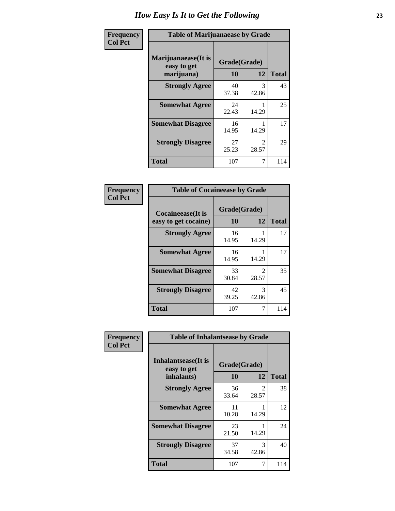| Frequency      | <b>Table of Marijuanaease by Grade</b>           |                           |                        |              |
|----------------|--------------------------------------------------|---------------------------|------------------------|--------------|
| <b>Col Pct</b> | Marijuanaease(It is<br>easy to get<br>marijuana) | Grade(Grade)<br><b>10</b> | 12                     | <b>Total</b> |
|                | <b>Strongly Agree</b>                            | 40<br>37.38               | 3<br>42.86             | 43           |
|                | <b>Somewhat Agree</b>                            | 24<br>22.43               | 14.29                  | 25           |
|                | <b>Somewhat Disagree</b>                         | 16<br>14.95               | 14.29                  | 17           |
|                | <b>Strongly Disagree</b>                         | 27<br>25.23               | $\mathcal{D}$<br>28.57 | 29           |
|                | <b>Total</b>                                     | 107                       | 7                      | 114          |

| <b>Table of Cocaineease by Grade</b>              |                    |                         |     |  |  |
|---------------------------------------------------|--------------------|-------------------------|-----|--|--|
| <b>Cocaineease</b> (It is<br>easy to get cocaine) | Grade(Grade)<br>10 | <b>Total</b>            |     |  |  |
| <b>Strongly Agree</b>                             | 16<br>14.95        | 14.29                   | 17  |  |  |
| <b>Somewhat Agree</b>                             | 16<br>14.95        | 14.29                   | 17  |  |  |
| <b>Somewhat Disagree</b>                          | 33<br>30.84        | $\mathfrak{D}$<br>28.57 | 35  |  |  |
| <b>Strongly Disagree</b>                          | 42<br>39.25        | 3<br>42.86              | 45  |  |  |
| <b>Total</b>                                      | 107                | 7                       | 114 |  |  |

| Frequency      | <b>Table of Inhalantsease by Grade</b>     |              |                         |              |
|----------------|--------------------------------------------|--------------|-------------------------|--------------|
| <b>Col Pct</b> | <b>Inhalantsease</b> (It is<br>easy to get | Grade(Grade) |                         |              |
|                | inhalants)                                 | 10           | 12                      | <b>Total</b> |
|                | <b>Strongly Agree</b>                      | 36<br>33.64  | $\mathfrak{D}$<br>28.57 | 38           |
|                | <b>Somewhat Agree</b>                      | 11<br>10.28  | 14.29                   | 12           |
|                | <b>Somewhat Disagree</b>                   | 23<br>21.50  | 14.29                   | 24           |
|                | <b>Strongly Disagree</b>                   | 37<br>34.58  | 3<br>42.86              | 40           |
|                | <b>Total</b>                               | 107          | 7                       | 114          |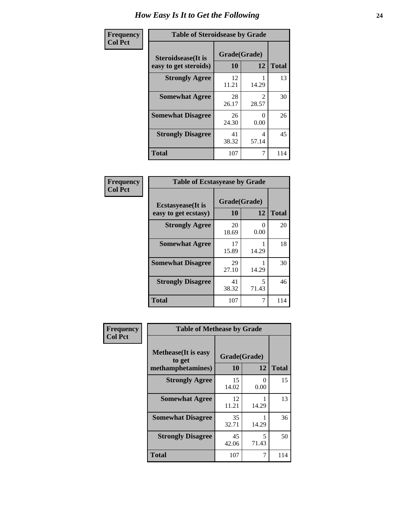| Frequency      | <b>Table of Steroidsease by Grade</b>               |                    |                         |              |  |
|----------------|-----------------------------------------------------|--------------------|-------------------------|--------------|--|
| <b>Col Pct</b> | <b>Steroidsease</b> (It is<br>easy to get steroids) | Grade(Grade)<br>10 | 12                      | <b>Total</b> |  |
|                | <b>Strongly Agree</b>                               | 12<br>11.21        | 14.29                   | 13           |  |
|                | <b>Somewhat Agree</b>                               | 28<br>26.17        | $\mathfrak{D}$<br>28.57 | 30           |  |
|                | <b>Somewhat Disagree</b>                            | 26<br>24.30        | 0.00                    | 26           |  |
|                | <b>Strongly Disagree</b>                            | 41<br>38.32        | 4<br>57.14              | 45           |  |
|                | <b>Total</b>                                        | 107                | 7                       | 114          |  |

| Frequency      | <b>Table of Ecstasyease by Grade</b>              |                          |            |     |  |  |
|----------------|---------------------------------------------------|--------------------------|------------|-----|--|--|
| <b>Col Pct</b> | <b>Ecstasyease</b> (It is<br>easy to get ecstasy) | Grade(Grade)<br>10<br>12 |            |     |  |  |
|                | <b>Strongly Agree</b>                             | 20<br>18.69              | 0<br>0.00  | 20  |  |  |
|                | <b>Somewhat Agree</b>                             | 17<br>15.89              | 14.29      | 18  |  |  |
|                | <b>Somewhat Disagree</b>                          | 29<br>27.10              | 14.29      | 30  |  |  |
|                | <b>Strongly Disagree</b>                          | 41<br>38.32              | 5<br>71.43 | 46  |  |  |
|                | <b>Total</b>                                      | 107                      | 7          | 114 |  |  |

| Frequency      | <b>Table of Methease by Grade</b>                          |                    |            |              |  |  |  |  |
|----------------|------------------------------------------------------------|--------------------|------------|--------------|--|--|--|--|
| <b>Col Pct</b> | <b>Methease</b> (It is easy<br>to get<br>methamphetamines) | Grade(Grade)<br>10 | 12         | <b>Total</b> |  |  |  |  |
|                | <b>Strongly Agree</b>                                      | 15<br>14.02        | 0<br>0.00  | 15           |  |  |  |  |
|                | <b>Somewhat Agree</b>                                      | 12<br>11.21        | 14.29      | 13           |  |  |  |  |
|                | <b>Somewhat Disagree</b>                                   | 35<br>32.71        | 14.29      | 36           |  |  |  |  |
|                | <b>Strongly Disagree</b>                                   | 45<br>42.06        | 5<br>71.43 | 50           |  |  |  |  |
|                | Total                                                      | 107                | 7          | 114          |  |  |  |  |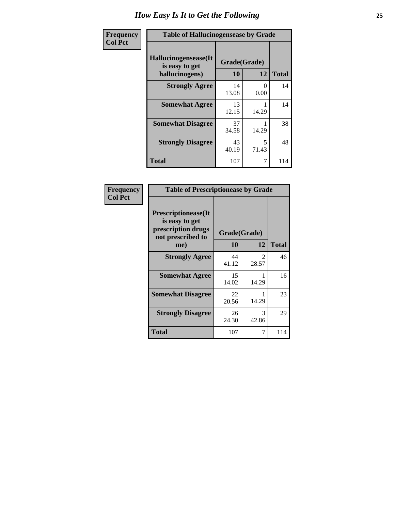| <b>Frequency</b> | <b>Table of Hallucinogensease by Grade</b>               |                    |            |              |  |  |
|------------------|----------------------------------------------------------|--------------------|------------|--------------|--|--|
| <b>Col Pct</b>   | Hallucinogensease(It<br>is easy to get<br>hallucinogens) | Grade(Grade)<br>10 | 12         | <b>Total</b> |  |  |
|                  | <b>Strongly Agree</b>                                    | 14<br>13.08        | 0<br>0.00  | 14           |  |  |
|                  | <b>Somewhat Agree</b>                                    | 13<br>12.15        | 14.29      | 14           |  |  |
|                  | <b>Somewhat Disagree</b>                                 | 37<br>34.58        | 14.29      | 38           |  |  |
|                  | <b>Strongly Disagree</b>                                 | 43<br>40.19        | 5<br>71.43 | 48           |  |  |
|                  | <b>Total</b>                                             | 107                | 7          | 114          |  |  |

| Frequency<br>  Col Pct |
|------------------------|

| <b>Table of Prescriptionease by Grade</b>                                                |              |                        |              |  |  |  |
|------------------------------------------------------------------------------------------|--------------|------------------------|--------------|--|--|--|
| <b>Prescriptionease</b> (It<br>is easy to get<br>prescription drugs<br>not prescribed to | Grade(Grade) |                        |              |  |  |  |
| me)                                                                                      | 10           | 12                     | <b>Total</b> |  |  |  |
| <b>Strongly Agree</b>                                                                    | 44<br>41.12  | $\mathcal{L}$<br>28.57 | 46           |  |  |  |
| <b>Somewhat Agree</b>                                                                    | 15<br>14.02  | 14.29                  | 16           |  |  |  |
| <b>Somewhat Disagree</b>                                                                 | 22<br>20.56  | 14.29                  | 23           |  |  |  |
| <b>Strongly Disagree</b>                                                                 | 26<br>24.30  | 3<br>42.86             | 29           |  |  |  |
| <b>Total</b>                                                                             | 107          |                        | 114          |  |  |  |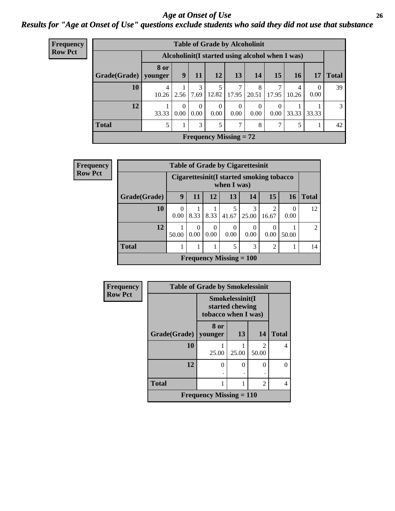### *Age at Onset of Use* **26** *Results for "Age at Onset of Use" questions exclude students who said they did not use that substance*

| <b>Frequency</b> | <b>Table of Grade by Alcoholinit</b> |                 |                                                  |                               |                  |                                |                  |                  |            |                  |               |
|------------------|--------------------------------------|-----------------|--------------------------------------------------|-------------------------------|------------------|--------------------------------|------------------|------------------|------------|------------------|---------------|
| <b>Row Pct</b>   |                                      |                 | Alcoholinit (I started using alcohol when I was) |                               |                  |                                |                  |                  |            |                  |               |
|                  | Grade(Grade)                         | 8 or<br>younger | 9 <sup>1</sup>                                   | 11                            | 12               | 13                             | 14               | 15               | 16         | 17               | <b>Total</b>  |
|                  | 10                                   | 4<br>10.26      | 2.56                                             | 3<br>7.69                     | 12.82            | 7<br>17.95                     | 8<br>20.51       | 7<br>17.95       | 4<br>10.26 | $\Omega$<br>0.00 | 39            |
|                  | 12                                   | 33.33           | $\theta$<br>$0.00^{\circ}$                       | $\theta$<br>0.00 <sub>1</sub> | $\Omega$<br>0.00 | $\mathbf{0}$<br>$0.00^{\circ}$ | $\theta$<br>0.00 | $\theta$<br>0.00 | 33.33      | 33.33            | $\mathcal{E}$ |
|                  | <b>Total</b>                         | 5               |                                                  | 3                             |                  | 7                              | 8                | 7                | 5          | л.               | 42            |
|                  |                                      |                 |                                                  |                               |                  | <b>Frequency Missing = 72</b>  |                  |                  |            |                  |               |

| Frequency      | <b>Table of Grade by Cigarettesinit</b> |                                                         |      |                  |                           |            |                         |           |                |  |
|----------------|-----------------------------------------|---------------------------------------------------------|------|------------------|---------------------------|------------|-------------------------|-----------|----------------|--|
| <b>Row Pct</b> |                                         | Cigarettesinit(I started smoking tobacco<br>when I was) |      |                  |                           |            |                         |           |                |  |
|                | Grade(Grade)                            | 9                                                       | 11   | 12               | 13                        | 14         | 15                      | <b>16</b> | <b>Total</b>   |  |
|                | 10                                      | 0<br>0.00                                               | 8.33 | 8.33             | 5<br>41.67                | 3<br>25.00 | $\overline{2}$<br>16.67 | 0.00      | 12             |  |
|                | 12                                      | 50.00                                                   | 0.00 | $\theta$<br>0.00 | 0<br>0.00                 | 0<br>0.00  | $\theta$<br>0.00        | 50.00     | $\mathfrak{D}$ |  |
|                | <b>Total</b>                            |                                                         |      | 1                | 5                         | 3          | $\overline{2}$          |           | 14             |  |
|                |                                         |                                                         |      |                  | Frequency Missing $= 100$ |            |                         |           |                |  |

| <b>Frequency</b> |                        | <b>Table of Grade by Smokelessinit</b> |                                    |                                      |              |
|------------------|------------------------|----------------------------------------|------------------------------------|--------------------------------------|--------------|
| <b>Row Pct</b>   |                        | tobacco when I was)                    | Smokelessinit(I<br>started chewing |                                      |              |
|                  | Grade(Grade)   younger | 8 or                                   | 13                                 | 14                                   | <b>Total</b> |
|                  | 10                     | 25.00                                  | 25.00                              | $\mathcal{D}_{\mathcal{L}}$<br>50.00 | 4            |
|                  | 12                     | $\Omega$                               | 0                                  | 0                                    | 0            |
|                  | <b>Total</b>           |                                        |                                    | 2                                    | 4            |
|                  |                        | <b>Frequency Missing = 110</b>         |                                    |                                      |              |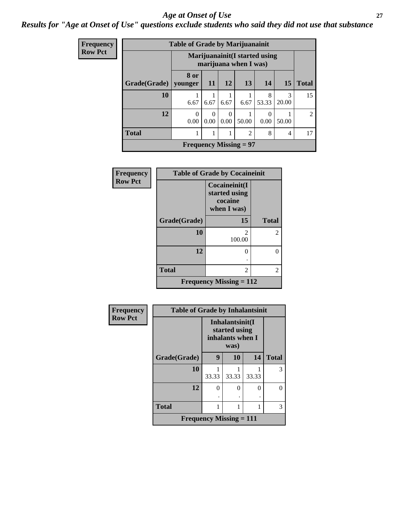#### *Age at Onset of Use* **27**

### *Results for "Age at Onset of Use" questions exclude students who said they did not use that substance*

| Frequency      | <b>Table of Grade by Marijuanainit</b> |                                                         |                  |                  |                               |            |            |              |  |  |
|----------------|----------------------------------------|---------------------------------------------------------|------------------|------------------|-------------------------------|------------|------------|--------------|--|--|
| <b>Row Pct</b> |                                        | Marijuanainit (I started using<br>marijuana when I was) |                  |                  |                               |            |            |              |  |  |
|                | Grade(Grade)                           | 8 or<br>younger                                         | -11              | <b>12</b>        | <b>13</b>                     | 14         | <b>15</b>  | <b>Total</b> |  |  |
|                | 10                                     | 6.67                                                    | 6.67             | 6.67             | 6.67                          | 8<br>53.33 | 3<br>20.00 | 15           |  |  |
|                | 12                                     | $\Omega$<br>0.00                                        | $\Omega$<br>0.00 | $\Omega$<br>0.00 | 50.00                         | 0<br>0.00  | 50.00      | 2            |  |  |
|                | <b>Total</b>                           |                                                         | 1                |                  | $\overline{2}$                | 8          | 4          | 17           |  |  |
|                |                                        |                                                         |                  |                  | <b>Frequency Missing = 97</b> |            |            |              |  |  |

| <b>Frequency</b> | <b>Table of Grade by Cocaineinit</b> |                                                          |                |  |  |  |
|------------------|--------------------------------------|----------------------------------------------------------|----------------|--|--|--|
| <b>Row Pct</b>   |                                      | Cocaineinit(I<br>started using<br>cocaine<br>when I was) |                |  |  |  |
|                  | Grade(Grade)                         | 15                                                       | <b>Total</b>   |  |  |  |
|                  | 10                                   | 2<br>100.00                                              | $\overline{c}$ |  |  |  |
|                  | 12                                   |                                                          | 0              |  |  |  |
|                  | <b>Total</b>                         | 2                                                        | 2              |  |  |  |
|                  |                                      | Frequency Missing $= 112$                                |                |  |  |  |

| Frequency      | <b>Table of Grade by Inhalantsinit</b>      |       |                                                              |       |              |  |  |  |
|----------------|---------------------------------------------|-------|--------------------------------------------------------------|-------|--------------|--|--|--|
| <b>Row Pct</b> |                                             |       | Inhalantsinit(I<br>started using<br>inhalants when I<br>was) |       |              |  |  |  |
|                | Grade(Grade)                                | 9     | 10                                                           | 14    | <b>Total</b> |  |  |  |
|                | 10                                          | 33.33 | 33.33                                                        | 33.33 | 3            |  |  |  |
|                | 12                                          | 0     | 0                                                            | 0     | 0            |  |  |  |
|                |                                             |       |                                                              |       |              |  |  |  |
|                | <b>Total</b>                                |       |                                                              |       | 3            |  |  |  |
|                | <b>Frequency Missing <math>= 111</math></b> |       |                                                              |       |              |  |  |  |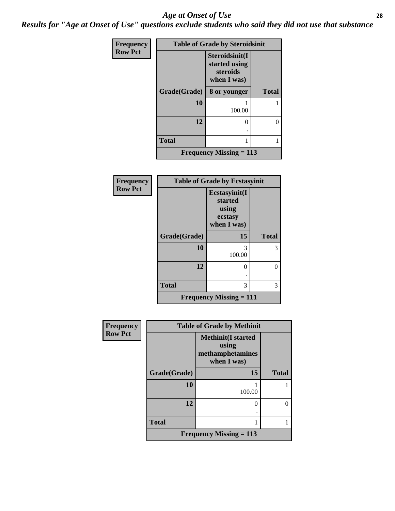#### *Age at Onset of Use* **28**

*Results for "Age at Onset of Use" questions exclude students who said they did not use that substance*

| Frequency      | <b>Table of Grade by Steroidsinit</b> |                                                            |              |  |  |  |  |
|----------------|---------------------------------------|------------------------------------------------------------|--------------|--|--|--|--|
| <b>Row Pct</b> |                                       | Steroidsinit(I<br>started using<br>steroids<br>when I was) |              |  |  |  |  |
|                | Grade(Grade)                          | 8 or younger                                               | <b>Total</b> |  |  |  |  |
|                | 10                                    | 100.00                                                     |              |  |  |  |  |
|                | 12                                    | 0                                                          | 0            |  |  |  |  |
|                | <b>Total</b>                          | 1                                                          |              |  |  |  |  |
|                |                                       | <b>Frequency Missing = 113</b>                             |              |  |  |  |  |

| Frequency      | <b>Table of Grade by Ecstasyinit</b> |                                                             |              |  |
|----------------|--------------------------------------|-------------------------------------------------------------|--------------|--|
| <b>Row Pct</b> |                                      | Ecstasyinit(I<br>started<br>using<br>ecstasy<br>when I was) |              |  |
|                | Grade(Grade)                         | 15                                                          | <b>Total</b> |  |
|                | 10                                   | 3<br>100.00                                                 | 3            |  |
|                | 12                                   | 0                                                           | 0            |  |
|                | <b>Total</b>                         | 3                                                           | 3            |  |
|                |                                      | <b>Frequency Missing = 111</b>                              |              |  |

| <b>Frequency</b> | <b>Table of Grade by Methinit</b> |                                                                         |              |  |
|------------------|-----------------------------------|-------------------------------------------------------------------------|--------------|--|
| <b>Row Pct</b>   |                                   | <b>Methinit(I started</b><br>using<br>methamphetamines<br>when $I$ was) |              |  |
|                  | Grade(Grade)                      | 15                                                                      | <b>Total</b> |  |
|                  | 10                                | 100.00                                                                  |              |  |
|                  | 12                                | 0                                                                       |              |  |
|                  | <b>Total</b>                      |                                                                         |              |  |
|                  |                                   | <b>Frequency Missing = 113</b>                                          |              |  |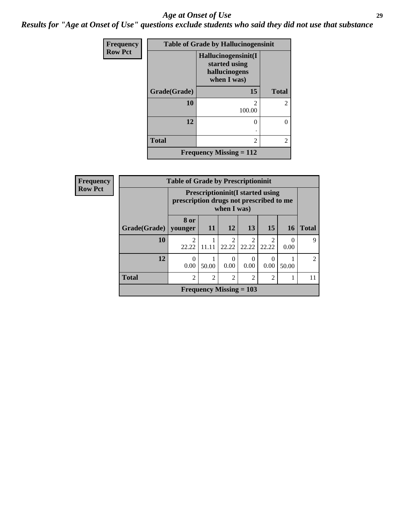#### *Age at Onset of Use* **29**

*Results for "Age at Onset of Use" questions exclude students who said they did not use that substance*

| Frequency      | <b>Table of Grade by Hallucinogensinit</b> |                                                                      |                |  |  |
|----------------|--------------------------------------------|----------------------------------------------------------------------|----------------|--|--|
| <b>Row Pct</b> |                                            | Hallucinogensinit(I<br>started using<br>hallucinogens<br>when I was) |                |  |  |
|                | Grade(Grade)                               | 15                                                                   | <b>Total</b>   |  |  |
|                | 10                                         | $\mathfrak{D}$<br>100.00                                             | $\overline{c}$ |  |  |
|                | 12                                         | 0                                                                    | 0              |  |  |
|                | <b>Total</b>                               | 2                                                                    | $\overline{2}$ |  |  |
|                |                                            | Frequency Missing $= 112$                                            |                |  |  |

| <b>Frequency</b> | <b>Table of Grade by Prescriptioninit</b> |                |                                                                                                   |                |                           |                  |           |                |
|------------------|-------------------------------------------|----------------|---------------------------------------------------------------------------------------------------|----------------|---------------------------|------------------|-----------|----------------|
| <b>Row Pct</b>   |                                           |                | <b>Prescriptioninit(I started using</b><br>prescription drugs not prescribed to me<br>when I was) |                |                           |                  |           |                |
|                  | Grade(Grade)   younger                    | 8 or           | <b>11</b>                                                                                         | 12             | 13                        | 15               | <b>16</b> | <b>Total</b>   |
|                  | 10                                        | 2<br>22.22     | 11.11                                                                                             | 22.22          | 22.22                     | 2<br>22.22       | 0<br>0.00 | 9              |
|                  | 12                                        | 0.00           | 50.00                                                                                             | 0<br>0.00      | 0<br>0.00                 | $\Omega$<br>0.00 | 50.00     | $\mathfrak{D}$ |
|                  | <b>Total</b>                              | $\mathfrak{D}$ | $\mathfrak{D}$                                                                                    | $\mathfrak{D}$ | $\overline{2}$            | $\overline{2}$   |           | 11             |
|                  |                                           |                |                                                                                                   |                | Frequency Missing $= 103$ |                  |           |                |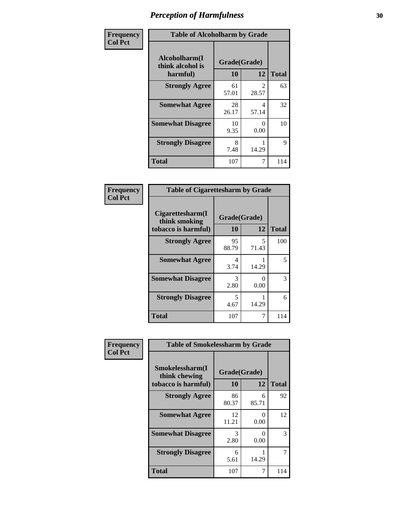| Frequency      | <b>Table of Alcoholharm by Grade</b>          |                    |                         |              |
|----------------|-----------------------------------------------|--------------------|-------------------------|--------------|
| <b>Col Pct</b> | Alcoholharm(I<br>think alcohol is<br>harmful) | Grade(Grade)<br>10 | 12                      | <b>Total</b> |
|                | <b>Strongly Agree</b>                         | 61<br>57.01        | $\mathfrak{D}$<br>28.57 | 63           |
|                | <b>Somewhat Agree</b>                         | 28<br>26.17        | 4<br>57.14              | 32           |
|                | <b>Somewhat Disagree</b>                      | 10<br>9.35         | $\mathbf{0}$<br>0.00    | 10           |
|                | <b>Strongly Disagree</b>                      | 8<br>7.48          | 14.29                   | 9            |
|                | <b>Total</b>                                  | 107                | 7                       | 114          |

| <b>Table of Cigarettesharm by Grade</b>                  |                    |                           |              |  |
|----------------------------------------------------------|--------------------|---------------------------|--------------|--|
| Cigarettesharm(I<br>think smoking<br>tobacco is harmful) | Grade(Grade)<br>10 | 12                        | <b>Total</b> |  |
| <b>Strongly Agree</b>                                    | 95<br>88.79        | 5<br>71.43                | 100          |  |
| <b>Somewhat Agree</b>                                    | 4<br>3.74          | 14.29                     | 5            |  |
| <b>Somewhat Disagree</b>                                 | 3<br>2.80          | $\mathbf{\Omega}$<br>0.00 | 3            |  |
| <b>Strongly Disagree</b>                                 | 5<br>4.67          | 14.29                     | 6            |  |
| <b>Total</b>                                             | 107                |                           | 114          |  |

| Frequency      | <b>Table of Smokelessharm by Grade</b>                  |                    |                      |              |
|----------------|---------------------------------------------------------|--------------------|----------------------|--------------|
| <b>Col Pct</b> | Smokelessharm(I<br>think chewing<br>tobacco is harmful) | Grade(Grade)<br>10 | 12                   | <b>Total</b> |
|                | <b>Strongly Agree</b>                                   | 86<br>80.37        | 6<br>85.71           | 92           |
|                | <b>Somewhat Agree</b>                                   | 12<br>11.21        | $\mathbf{0}$<br>0.00 | 12           |
|                | <b>Somewhat Disagree</b>                                | 3<br>2.80          | 0<br>0.00            | 3            |
|                | <b>Strongly Disagree</b>                                | 6<br>5.61          | 14.29                |              |
|                | <b>Total</b>                                            | 107                | 7                    | 114          |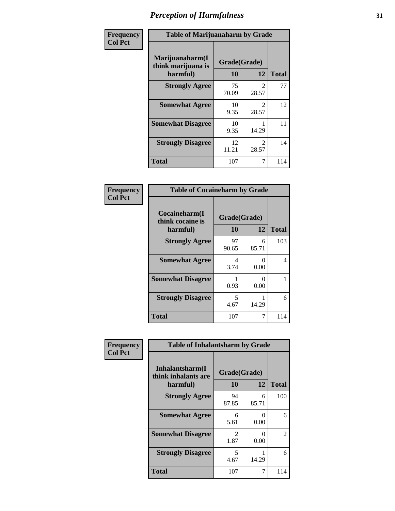| Frequency      | <b>Table of Marijuanaharm by Grade</b>            |                    |                                      |              |
|----------------|---------------------------------------------------|--------------------|--------------------------------------|--------------|
| <b>Col Pct</b> | Marijuanaharm(I<br>think marijuana is<br>harmful) | Grade(Grade)<br>10 | 12                                   | <b>Total</b> |
|                | <b>Strongly Agree</b>                             | 75<br>70.09        | 2<br>28.57                           | 77           |
|                | <b>Somewhat Agree</b>                             | 10<br>9.35         | $\mathcal{D}_{\mathcal{L}}$<br>28.57 | 12           |
|                | <b>Somewhat Disagree</b>                          | 10<br>9.35         | 14.29                                | 11           |
|                | <b>Strongly Disagree</b>                          | 12<br>11.21        | $\mathcal{D}_{\mathcal{L}}$<br>28.57 | 14           |
|                | <b>Total</b>                                      | 107                | 7                                    | 114          |

| <b>Table of Cocaineharm by Grade</b>          |                    |                           |              |  |  |
|-----------------------------------------------|--------------------|---------------------------|--------------|--|--|
| Cocaineharm(I<br>think cocaine is<br>harmful) | Grade(Grade)<br>10 | 12                        | <b>Total</b> |  |  |
| <b>Strongly Agree</b>                         | 97<br>90.65        | 6<br>85.71                | 103          |  |  |
| <b>Somewhat Agree</b>                         | 4<br>3.74          | 0<br>0.00                 | 4            |  |  |
| <b>Somewhat Disagree</b>                      | 0.93               | $\mathbf{\Omega}$<br>0.00 |              |  |  |
| <b>Strongly Disagree</b>                      | 5<br>4.67          | 14.29                     | 6            |  |  |
| <b>Total</b>                                  | 107                | 7                         | 114          |  |  |

| Frequency      | <b>Table of Inhalantsharm by Grade</b>             |                           |            |                |
|----------------|----------------------------------------------------|---------------------------|------------|----------------|
| <b>Col Pct</b> | Inhalantsharm(I<br>think inhalants are<br>harmful) | Grade(Grade)<br><b>10</b> | 12         | <b>Total</b>   |
|                | <b>Strongly Agree</b>                              | 94<br>87.85               | 6<br>85.71 | 100            |
|                | <b>Somewhat Agree</b>                              | 6<br>5.61                 | 0<br>0.00  | 6              |
|                | <b>Somewhat Disagree</b>                           | 2<br>1.87                 | 0<br>0.00  | $\overline{2}$ |
|                | <b>Strongly Disagree</b>                           | 5<br>4.67                 | 14.29      | 6              |
|                | <b>Total</b>                                       | 107                       | 7          | 114            |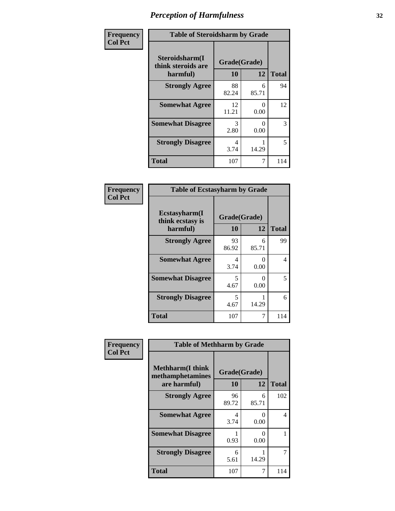| Frequency      | <b>Table of Steroidsharm by Grade</b>            |                    |            |              |
|----------------|--------------------------------------------------|--------------------|------------|--------------|
| <b>Col Pct</b> | Steroidsharm(I<br>think steroids are<br>harmful) | Grade(Grade)<br>10 | 12         | <b>Total</b> |
|                | <b>Strongly Agree</b>                            | 88<br>82.24        | 6<br>85.71 | 94           |
|                | <b>Somewhat Agree</b>                            | 12<br>11.21        | 0<br>0.00  | 12           |
|                | <b>Somewhat Disagree</b>                         | 3<br>2.80          | 0<br>0.00  | 3            |
|                | <b>Strongly Disagree</b>                         | 4<br>3.74          | 14.29      | 5            |
|                | <b>Total</b>                                     | 107                | 7          | 114          |

| <b>Table of Ecstasyharm by Grade</b>          |                    |            |              |  |
|-----------------------------------------------|--------------------|------------|--------------|--|
| Ecstasyharm(I<br>think ecstasy is<br>harmful) | Grade(Grade)<br>10 | 12         | <b>Total</b> |  |
| <b>Strongly Agree</b>                         | 93<br>86.92        | 6<br>85.71 | 99           |  |
| <b>Somewhat Agree</b>                         | 4<br>3.74          | 0<br>0.00  | 4            |  |
| <b>Somewhat Disagree</b>                      | 5<br>4.67          | 0<br>0.00  | 5            |  |
| <b>Strongly Disagree</b>                      | 5<br>4.67          | 14.29      | 6            |  |
| <b>Total</b>                                  | 107                | 7          | 114          |  |

| Frequency      | <b>Table of Methharm by Grade</b>                           |                    |            |              |
|----------------|-------------------------------------------------------------|--------------------|------------|--------------|
| <b>Col Pct</b> | <b>Methharm(I think</b><br>methamphetamines<br>are harmful) | Grade(Grade)<br>10 | 12         | <b>Total</b> |
|                | <b>Strongly Agree</b>                                       | 96<br>89.72        | 6<br>85.71 | 102          |
|                | <b>Somewhat Agree</b>                                       | 4<br>3.74          | 0<br>0.00  | 4            |
|                | <b>Somewhat Disagree</b>                                    | 0.93               | 0<br>0.00  |              |
|                | <b>Strongly Disagree</b>                                    | 6<br>5.61          | 14.29      | 7            |
|                | <b>Total</b>                                                | 107                | 7          | 114          |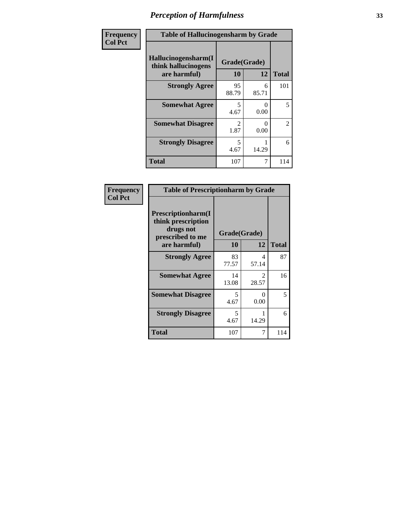| Frequency      | <b>Table of Hallucinogensharm by Grade</b>                 |                                  |            |                |
|----------------|------------------------------------------------------------|----------------------------------|------------|----------------|
| <b>Col Pct</b> | Hallucinogensharm(I<br>think hallucinogens<br>are harmful) | Grade(Grade)<br><b>10</b>        | 12         | <b>Total</b>   |
|                | <b>Strongly Agree</b>                                      | 95<br>88.79                      | 6<br>85.71 | 101            |
|                | <b>Somewhat Agree</b>                                      | 5<br>4.67                        | 0<br>0.00  | 5              |
|                | <b>Somewhat Disagree</b>                                   | 2<br>1.87                        | 0<br>0.00  | $\overline{2}$ |
|                | <b>Strongly Disagree</b>                                   | $\overline{\phantom{0}}$<br>4.67 | 14.29      | 6              |
|                | <b>Total</b>                                               | 107                              | 7          | 114            |

| <b>Table of Prescriptionharm by Grade</b>                                                         |                    |                      |              |  |  |  |
|---------------------------------------------------------------------------------------------------|--------------------|----------------------|--------------|--|--|--|
| <b>Prescriptionharm(I)</b><br>think prescription<br>drugs not<br>prescribed to me<br>are harmful) | Grade(Grade)<br>10 | 12                   | <b>Total</b> |  |  |  |
| <b>Strongly Agree</b>                                                                             | 83<br>77.57        | Δ<br>57.14           | 87           |  |  |  |
| <b>Somewhat Agree</b>                                                                             | 14<br>13.08        | 2<br>28.57           | 16           |  |  |  |
| <b>Somewhat Disagree</b>                                                                          | 5<br>4.67          | $\mathbf{0}$<br>0.00 | 5            |  |  |  |
| <b>Strongly Disagree</b>                                                                          | 5<br>4.67          | 14.29                | 6            |  |  |  |
| Total                                                                                             | 107                |                      | 114          |  |  |  |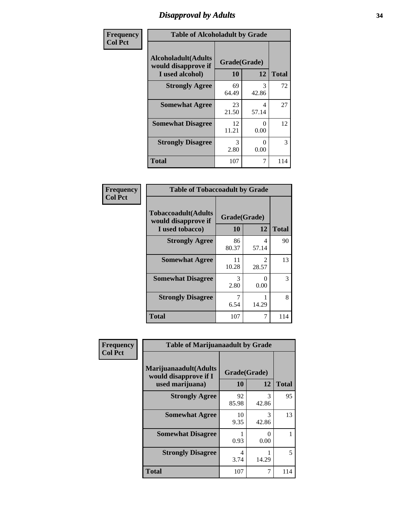# *Disapproval by Adults* **34**

| Frequency      | <b>Table of Alcoholadult by Grade</b>                                 |                    |            |              |
|----------------|-----------------------------------------------------------------------|--------------------|------------|--------------|
| <b>Col Pct</b> | <b>Alcoholadult</b> (Adults<br>would disapprove if<br>I used alcohol) | Grade(Grade)<br>10 | 12         | <b>Total</b> |
|                | <b>Strongly Agree</b>                                                 | 69<br>64.49        | 3<br>42.86 | 72           |
|                | <b>Somewhat Agree</b>                                                 | 23<br>21.50        | 4<br>57.14 | 27           |
|                | <b>Somewhat Disagree</b>                                              | 12<br>11.21        | 0<br>0.00  | 12           |
|                | <b>Strongly Disagree</b>                                              | 3<br>2.80          | O<br>0.00  | 3            |
|                | <b>Total</b>                                                          | 107                | 7          | 114          |

| <b>Table of Tobaccoadult by Grade</b>                                 |                    |                        |     |  |  |  |
|-----------------------------------------------------------------------|--------------------|------------------------|-----|--|--|--|
| <b>Tobaccoadult</b> (Adults<br>would disapprove if<br>I used tobacco) | Grade(Grade)<br>10 | <b>Total</b>           |     |  |  |  |
| <b>Strongly Agree</b>                                                 | 86<br>80.37        | 4<br>57.14             | 90  |  |  |  |
| <b>Somewhat Agree</b>                                                 | 11<br>10.28        | $\mathcal{L}$<br>28.57 | 13  |  |  |  |
| <b>Somewhat Disagree</b>                                              | 3<br>2.80          | 0<br>0.00              | 3   |  |  |  |
| <b>Strongly Disagree</b>                                              | 7<br>6.54          | 14.29                  | 8   |  |  |  |
| <b>Total</b>                                                          | 107                | 7                      | 114 |  |  |  |

| Frequency      | <b>Table of Marijuanaadult by Grade</b>                           |                    |                  |              |
|----------------|-------------------------------------------------------------------|--------------------|------------------|--------------|
| <b>Col Pct</b> | Marijuanaadult(Adults<br>would disapprove if I<br>used marijuana) | Grade(Grade)<br>10 | 12               | <b>Total</b> |
|                | <b>Strongly Agree</b>                                             | 92<br>85.98        | 3<br>42.86       | 95           |
|                | <b>Somewhat Agree</b>                                             | 10<br>9.35         | 3<br>42.86       | 13           |
|                | <b>Somewhat Disagree</b>                                          | 0.93               | $\Omega$<br>0.00 |              |
|                | <b>Strongly Disagree</b>                                          | 4<br>3.74          | 14.29            | 5            |
|                | <b>Total</b>                                                      | 107                | 7                | 114          |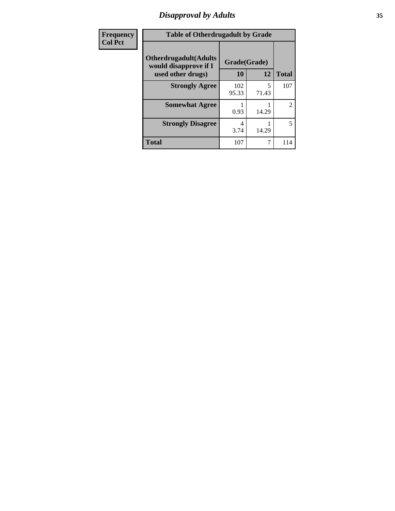# *Disapproval by Adults* **35**

| Frequency      | <b>Table of Otherdrugadult by Grade</b>                                     |                    |            |              |
|----------------|-----------------------------------------------------------------------------|--------------------|------------|--------------|
| <b>Col Pct</b> | <b>Otherdrugadult</b> (Adults<br>would disapprove if I<br>used other drugs) | Grade(Grade)<br>10 | 12         | <b>Total</b> |
|                | <b>Strongly Agree</b>                                                       | 102<br>95.33       | 5<br>71.43 | 107          |
|                | <b>Somewhat Agree</b>                                                       | 0.93               | 14.29      | 2            |
|                | <b>Strongly Disagree</b>                                                    | 4<br>3.74          | 14.29      | 5            |
|                | <b>Total</b>                                                                | 107                | 7          | 114          |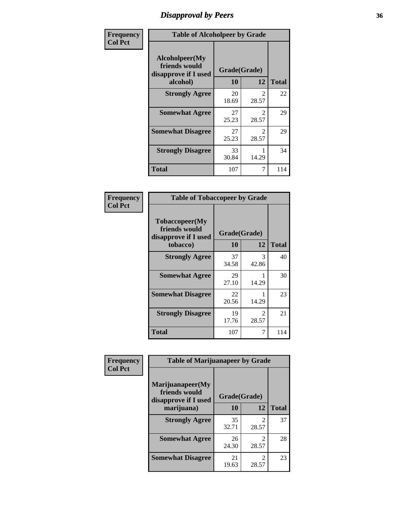# *Disapproval by Peers* **36**

| Frequency      | <b>Table of Alcoholpeer by Grade</b>                    |              |                                      |              |
|----------------|---------------------------------------------------------|--------------|--------------------------------------|--------------|
| <b>Col Pct</b> | Alcoholpeer(My<br>friends would<br>disapprove if I used | Grade(Grade) |                                      |              |
|                | alcohol)                                                | 10           | 12                                   | <b>Total</b> |
|                | <b>Strongly Agree</b>                                   | 20<br>18.69  | $\mathcal{D}_{\mathcal{L}}$<br>28.57 | 22           |
|                | <b>Somewhat Agree</b>                                   | 27<br>25.23  | $\mathcal{L}$<br>28.57               | 29           |
|                | <b>Somewhat Disagree</b>                                | 27<br>25.23  | $\mathcal{D}_{\mathcal{L}}$<br>28.57 | 29           |
|                | <b>Strongly Disagree</b>                                | 33<br>30.84  | 14.29                                | 34           |
|                | Total                                                   | 107          | 7                                    | 114          |

| Frequency      | <b>Table of Tobaccopeer by Grade</b>                                |                           |                         |              |
|----------------|---------------------------------------------------------------------|---------------------------|-------------------------|--------------|
| <b>Col Pct</b> | Tobaccopeer(My<br>friends would<br>disapprove if I used<br>tobacco) | Grade(Grade)<br><b>10</b> | 12                      | <b>Total</b> |
|                | <b>Strongly Agree</b>                                               | 37<br>34.58               | 3<br>42.86              | 40           |
|                | <b>Somewhat Agree</b>                                               | 29<br>27.10               | 14.29                   | 30           |
|                | <b>Somewhat Disagree</b>                                            | 22<br>20.56               | 14.29                   | 23           |
|                | <b>Strongly Disagree</b>                                            | 19<br>17.76               | $\mathfrak{D}$<br>28.57 | 21           |
|                | <b>Total</b>                                                        | 107                       | 7                       | 114          |

| Frequency      | <b>Table of Marijuanapeer by Grade</b>                    |              |                                      |              |
|----------------|-----------------------------------------------------------|--------------|--------------------------------------|--------------|
| <b>Col Pct</b> | Marijuanapeer(My<br>friends would<br>disapprove if I used | Grade(Grade) |                                      |              |
|                | marijuana)                                                | 10           | 12                                   | <b>Total</b> |
|                | <b>Strongly Agree</b>                                     | 35<br>32.71  | $\mathfrak{D}$<br>28.57              | 37           |
|                | <b>Somewhat Agree</b>                                     | 26<br>24.30  | $\mathfrak{D}$<br>28.57              | 28           |
|                | <b>Somewhat Disagree</b>                                  | 21<br>19.63  | $\mathcal{D}_{\mathcal{L}}$<br>28.57 | 23           |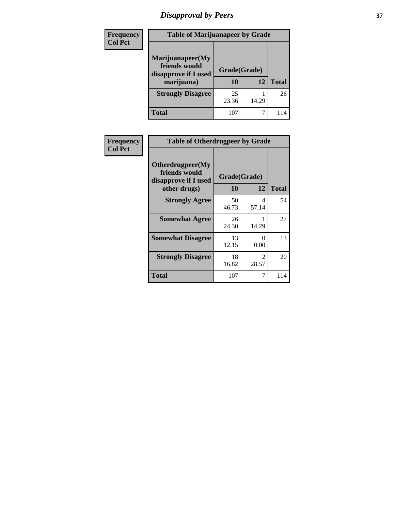# *Disapproval by Peers* **37**

| <b>Frequency</b><br><b>Col Pct</b> | <b>Table of Marijuanapeer by Grade</b>                                  |                    |       |              |
|------------------------------------|-------------------------------------------------------------------------|--------------------|-------|--------------|
|                                    | Marijuanapeer(My<br>friends would<br>disapprove if I used<br>marijuana) | Grade(Grade)<br>10 | 12    | <b>Total</b> |
|                                    | <b>Strongly Disagree</b>                                                | 25<br>23.36        | 14.29 | 26           |
|                                    | Total                                                                   | 107                |       | 114          |

| <b>Frequency</b> | <b>Table of Otherdrugpeer by Grade</b>                    |              |                        |              |
|------------------|-----------------------------------------------------------|--------------|------------------------|--------------|
| <b>Col Pct</b>   | Otherdrugpeer(My<br>friends would<br>disapprove if I used | Grade(Grade) |                        |              |
|                  | other drugs)                                              | <b>10</b>    | 12                     | <b>Total</b> |
|                  | <b>Strongly Agree</b>                                     | 50<br>46.73  | 4<br>57.14             | 54           |
|                  | <b>Somewhat Agree</b>                                     | 26<br>24.30  | 14.29                  | 27           |
|                  | <b>Somewhat Disagree</b>                                  | 13<br>12.15  | 0<br>0.00              | 13           |
|                  | <b>Strongly Disagree</b>                                  | 18<br>16.82  | $\mathcal{D}$<br>28.57 | 20           |
|                  | <b>Total</b>                                              | 107          | 7                      | 114          |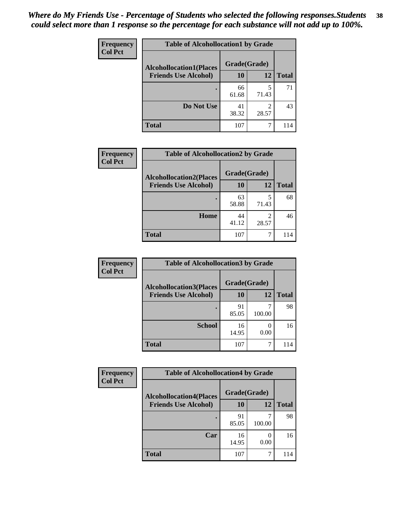| Frequency<br><b>Col Pct</b> | <b>Table of Alcohollocation1 by Grade</b>      |             |                         |              |  |
|-----------------------------|------------------------------------------------|-------------|-------------------------|--------------|--|
|                             | Grade(Grade)<br><b>Alcohollocation1(Places</b> |             |                         |              |  |
|                             | <b>Friends Use Alcohol)</b>                    | 10          | 12                      | <b>Total</b> |  |
|                             |                                                | 66<br>61.68 | 5<br>71.43              | 71           |  |
|                             | Do Not Use                                     | 41<br>38.32 | $\mathfrak{D}$<br>28.57 | 43           |  |
|                             | <b>Total</b>                                   | 107         | 7                       | 114          |  |

| Frequency      | <b>Table of Alcohollocation2 by Grade</b>                     |                           |                         |              |
|----------------|---------------------------------------------------------------|---------------------------|-------------------------|--------------|
| <b>Col Pct</b> | <b>Alcohollocation2(Places</b><br><b>Friends Use Alcohol)</b> | Grade(Grade)<br><b>10</b> | 12                      | <b>Total</b> |
|                |                                                               | 63<br>58.88               | 5<br>71.43              | 68           |
|                | Home                                                          | 44<br>41.12               | $\mathfrak{D}$<br>28.57 | 46           |
|                | <b>Total</b>                                                  | 107                       |                         | 114          |

| Frequency      | <b>Table of Alcohollocation 3 by Grade</b> |              |        |              |
|----------------|--------------------------------------------|--------------|--------|--------------|
| <b>Col Pct</b> | <b>Alcohollocation3(Places</b>             | Grade(Grade) |        |              |
|                | <b>Friends Use Alcohol)</b>                | 10           | 12     | <b>Total</b> |
|                |                                            | 91<br>85.05  | 100.00 | 98           |
|                | <b>School</b>                              | 16<br>14.95  | 0.00   | 16           |
|                | <b>Total</b>                               | 107          | 7      | 114          |

| <b>Frequency</b> | <b>Table of Alcohollocation4 by Grade</b> |              |           |              |
|------------------|-------------------------------------------|--------------|-----------|--------------|
| <b>Col Pct</b>   | <b>Alcohollocation4(Places</b>            | Grade(Grade) |           |              |
|                  | <b>Friends Use Alcohol)</b>               | 10           | 12        | <b>Total</b> |
|                  |                                           | 91<br>85.05  | 100.00    | 98           |
|                  | Car                                       | 16<br>14.95  | 0<br>0.00 | 16           |
|                  | Total                                     | 107          | 7         | 114          |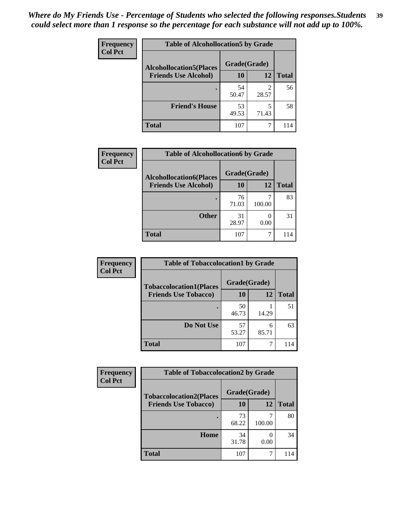| Frequency<br><b>Col Pct</b> | <b>Table of Alcohollocation5 by Grade</b> |              |                         |              |  |
|-----------------------------|-------------------------------------------|--------------|-------------------------|--------------|--|
|                             | <b>Alcohollocation5(Places</b>            | Grade(Grade) |                         |              |  |
|                             | <b>Friends Use Alcohol)</b>               | 10           | 12                      | <b>Total</b> |  |
|                             |                                           | 54<br>50.47  | $\mathfrak{D}$<br>28.57 | 56           |  |
|                             | <b>Friend's House</b>                     | 53<br>49.53  | 5<br>71.43              | 58           |  |
|                             | <b>Total</b>                              | 107          | 7                       | 114          |  |

| Frequency      | <b>Table of Alcohollocation6 by Grade</b> |              |                       |              |
|----------------|-------------------------------------------|--------------|-----------------------|--------------|
| <b>Col Pct</b> | <b>Alcohollocation6(Places</b>            | Grade(Grade) |                       |              |
|                | <b>Friends Use Alcohol)</b>               | 10           | <b>12</b>             | <b>Total</b> |
|                |                                           | 76<br>71.03  | 100.00                | 83           |
|                | <b>Other</b>                              | 31<br>28.97  | $\mathcal{O}$<br>0.00 | 31           |
|                | <b>Total</b>                              | 107          |                       | 114          |

| Frequency      | <b>Table of Tobaccolocation1 by Grade</b> |              |            |              |
|----------------|-------------------------------------------|--------------|------------|--------------|
| <b>Col Pct</b> | <b>Tobaccolocation1(Places</b>            | Grade(Grade) |            |              |
|                | <b>Friends Use Tobacco)</b>               | 10           | 12         | <b>Total</b> |
|                |                                           | 50<br>46.73  | 14.29      | 51           |
|                | Do Not Use                                | 57<br>53.27  | 6<br>85.71 | 63           |
|                | <b>Total</b>                              | 107          |            | 114          |

| <b>Frequency</b> | <b>Table of Tobaccolocation2 by Grade</b> |              |           |              |
|------------------|-------------------------------------------|--------------|-----------|--------------|
| <b>Col Pct</b>   | <b>Tobaccolocation2(Places</b>            | Grade(Grade) |           |              |
|                  | <b>Friends Use Tobacco)</b>               | 10           | 12        | <b>Total</b> |
|                  |                                           | 73<br>68.22  | 100.00    | 80           |
|                  | Home                                      | 34<br>31.78  | 0<br>0.00 | 34           |
|                  | <b>Total</b>                              | 107          |           | 114          |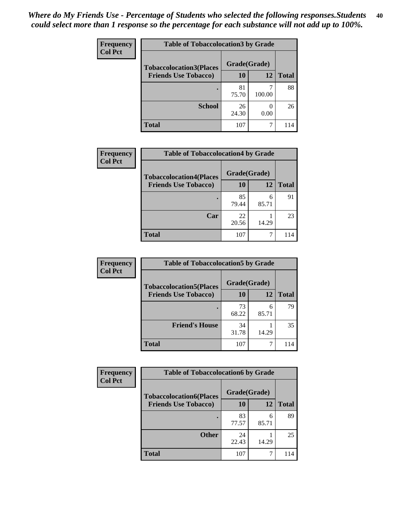| Frequency      | <b>Table of Tobaccolocation 3 by Grade</b> |              |                          |              |
|----------------|--------------------------------------------|--------------|--------------------------|--------------|
| <b>Col Pct</b> | <b>Tobaccolocation3(Places</b>             | Grade(Grade) |                          |              |
|                | <b>Friends Use Tobacco)</b>                | 10           | <b>12</b>                | <b>Total</b> |
|                | ٠                                          | 81<br>75.70  | 100.00                   | 88           |
|                | <b>School</b>                              | 26<br>24.30  | $\left( \right)$<br>0.00 | 26           |
|                | <b>Total</b>                               | 107          | 7                        | 114          |

| <b>Frequency</b><br><b>Col Pct</b> | <b>Table of Tobaccolocation4 by Grade</b> |              |            |              |
|------------------------------------|-------------------------------------------|--------------|------------|--------------|
|                                    | <b>Tobaccolocation4(Places</b>            | Grade(Grade) |            |              |
|                                    | <b>Friends Use Tobacco)</b>               | 10           | <b>12</b>  | <b>Total</b> |
|                                    |                                           | 85<br>79.44  | 6<br>85.71 | 91           |
|                                    | Car                                       | 22<br>20.56  | 14.29      | 23           |
|                                    | <b>Total</b>                              | 107          |            | 114          |

| Frequency      | <b>Table of Tobaccolocation5 by Grade</b> |              |            |              |
|----------------|-------------------------------------------|--------------|------------|--------------|
| <b>Col Pct</b> | <b>Tobaccolocation5(Places</b>            | Grade(Grade) |            |              |
|                | <b>Friends Use Tobacco)</b>               | 10           | 12         | <b>Total</b> |
|                |                                           | 73<br>68.22  | 6<br>85.71 | 79           |
|                | <b>Friend's House</b>                     | 34<br>31.78  | 14.29      | 35           |
|                | <b>Total</b>                              | 107          |            |              |

| <b>Frequency</b> | <b>Table of Tobaccolocation6 by Grade</b> |              |            |              |  |
|------------------|-------------------------------------------|--------------|------------|--------------|--|
| <b>Col Pct</b>   | <b>Tobaccolocation6(Places</b>            | Grade(Grade) |            |              |  |
|                  | <b>Friends Use Tobacco)</b>               | 10           | 12         | <b>Total</b> |  |
|                  |                                           | 83<br>77.57  | 6<br>85.71 | 89           |  |
|                  | <b>Other</b>                              | 24<br>22.43  | 14.29      | 25           |  |
|                  | <b>Total</b>                              | 107          |            | 114          |  |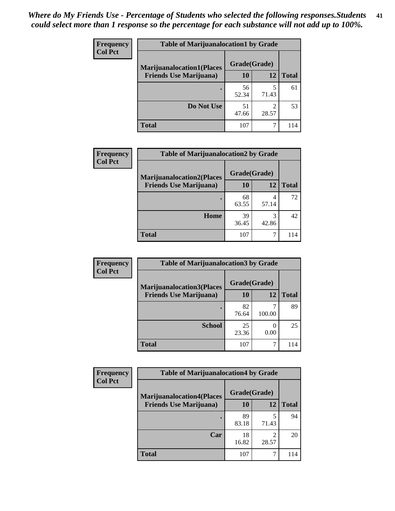| <b>Frequency</b> | <b>Table of Marijuanalocation1 by Grade</b> |              |            |              |
|------------------|---------------------------------------------|--------------|------------|--------------|
| <b>Col Pct</b>   | <b>Marijuanalocation1(Places</b>            | Grade(Grade) |            |              |
|                  | <b>Friends Use Marijuana</b> )              | 10           | 12         | <b>Total</b> |
|                  |                                             | 56<br>52.34  | 71.43      | 61           |
|                  | Do Not Use                                  | 51<br>47.66  | 2<br>28.57 | 53           |
|                  | <b>Total</b>                                | 107          |            | 114          |

| <b>Frequency</b> | <b>Table of Marijuanalocation2 by Grade</b>                        |                    |            |              |
|------------------|--------------------------------------------------------------------|--------------------|------------|--------------|
| <b>Col Pct</b>   | <b>Marijuanalocation2(Places</b><br><b>Friends Use Marijuana</b> ) | Grade(Grade)<br>10 | 12         | <b>Total</b> |
|                  |                                                                    | 68<br>63.55        | 4<br>57.14 | 72           |
|                  | <b>Home</b>                                                        | 39<br>36.45        | 3<br>42.86 | 42           |
|                  | <b>Total</b>                                                       | 107                |            | 114          |

| <b>Frequency</b><br><b>Col Pct</b> | <b>Table of Marijuanalocation3 by Grade</b> |              |        |              |
|------------------------------------|---------------------------------------------|--------------|--------|--------------|
|                                    | <b>Marijuanalocation3</b> (Places           | Grade(Grade) |        |              |
|                                    | <b>Friends Use Marijuana</b> )              | <b>10</b>    | 12     | <b>Total</b> |
|                                    |                                             | 82<br>76.64  | 100.00 | 89           |
|                                    | <b>School</b>                               | 25<br>23.36  | 0.00   | 25           |
|                                    | <b>Total</b>                                | 107          |        | 114          |

| <b>Frequency</b> | <b>Table of Marijuanalocation4 by Grade</b> |              |                         |              |  |
|------------------|---------------------------------------------|--------------|-------------------------|--------------|--|
| <b>Col Pct</b>   | <b>Marijuanalocation4(Places</b>            | Grade(Grade) |                         |              |  |
|                  | <b>Friends Use Marijuana</b> )              | <b>10</b>    | 12                      | <b>Total</b> |  |
|                  |                                             | 89<br>83.18  | 71.43                   | 94           |  |
|                  | Car                                         | 18<br>16.82  | $\mathfrak{D}$<br>28.57 | 20           |  |
|                  | <b>Total</b>                                | 107          |                         |              |  |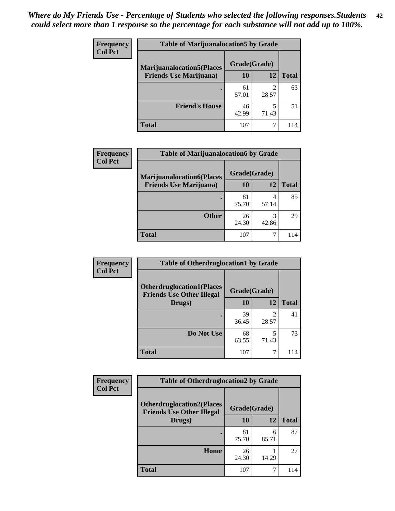| <b>Frequency</b>               | <b>Table of Marijuanalocation5 by Grade</b> |              |              |     |
|--------------------------------|---------------------------------------------|--------------|--------------|-----|
| <b>Col Pct</b>                 | <b>Marijuanalocation5(Places)</b>           | Grade(Grade) |              |     |
| <b>Friends Use Marijuana</b> ) | 10                                          | 12           | <b>Total</b> |     |
|                                |                                             | 61<br>57.01  | 28.57        | 63  |
|                                | <b>Friend's House</b>                       | 46<br>42.99  | 71.43        | 51  |
|                                | <b>Total</b>                                | 107          |              | 114 |

| <b>Frequency</b> | <b>Table of Marijuanalocation6 by Grade</b>                        |                    |            |              |
|------------------|--------------------------------------------------------------------|--------------------|------------|--------------|
| <b>Col Pct</b>   | <b>Marijuanalocation6(Places</b><br><b>Friends Use Marijuana</b> ) | Grade(Grade)<br>10 | 12         | <b>Total</b> |
|                  |                                                                    | 81<br>75.70        | 57.14      | 85           |
|                  | <b>Other</b>                                                       | 26<br>24.30        | 3<br>42.86 | 29           |
|                  | <b>Total</b>                                                       | 107                |            | 114          |

| <b>Frequency</b> | <b>Table of Otherdruglocation1 by Grade</b>                          |              |       |              |
|------------------|----------------------------------------------------------------------|--------------|-------|--------------|
| <b>Col Pct</b>   | <b>Otherdruglocation1(Places</b><br><b>Friends Use Other Illegal</b> | Grade(Grade) |       |              |
|                  | Drugs)                                                               | 10           | 12    | <b>Total</b> |
|                  |                                                                      | 39<br>36.45  | 28.57 | 41           |
|                  | Do Not Use                                                           | 68<br>63.55  | 71.43 | 73           |
|                  | <b>Total</b>                                                         | 107          |       | 114          |

| Frequency      | <b>Table of Otherdruglocation2 by Grade</b>                          |              |            |              |
|----------------|----------------------------------------------------------------------|--------------|------------|--------------|
| <b>Col Pct</b> | <b>Otherdruglocation2(Places</b><br><b>Friends Use Other Illegal</b> | Grade(Grade) |            |              |
|                | Drugs)                                                               | 10           | 12         | <b>Total</b> |
|                |                                                                      | 81<br>75.70  | 6<br>85.71 | 87           |
|                | Home                                                                 | 26<br>24.30  | 14.29      | 27           |
|                | <b>Total</b>                                                         | 107          | 7          | 114          |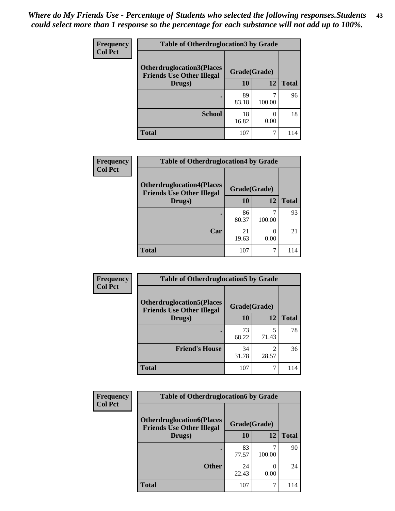| <b>Frequency</b> | <b>Table of Otherdruglocation3 by Grade</b>                          |              |        |              |
|------------------|----------------------------------------------------------------------|--------------|--------|--------------|
| <b>Col Pct</b>   | <b>Otherdruglocation3(Places</b><br><b>Friends Use Other Illegal</b> | Grade(Grade) |        |              |
|                  | Drugs)                                                               | 10           | 12     | <b>Total</b> |
|                  |                                                                      | 89<br>83.18  | 100.00 | 96           |
|                  | <b>School</b>                                                        | 18<br>16.82  | 0.00   | 18           |
|                  | <b>Total</b>                                                         | 107          | ┑      | 114          |

| <b>Frequency</b> | <b>Table of Otherdruglocation4 by Grade</b>                          |              |        |              |
|------------------|----------------------------------------------------------------------|--------------|--------|--------------|
| <b>Col Pct</b>   | <b>Otherdruglocation4(Places</b><br><b>Friends Use Other Illegal</b> | Grade(Grade) |        |              |
|                  | Drugs)                                                               | 10           | 12     | <b>Total</b> |
|                  |                                                                      | 86<br>80.37  | 100.00 | 93           |
|                  | Car                                                                  | 21<br>19.63  | 0.00   | 21           |
|                  | <b>Total</b>                                                         | 107          |        | 114          |

| <b>Frequency</b> | <b>Table of Otherdruglocation5 by Grade</b>                          |              |                         |              |
|------------------|----------------------------------------------------------------------|--------------|-------------------------|--------------|
| <b>Col Pct</b>   | <b>Otherdruglocation5(Places</b><br><b>Friends Use Other Illegal</b> | Grade(Grade) |                         |              |
|                  | Drugs)                                                               | 10           | 12                      | <b>Total</b> |
|                  |                                                                      | 73<br>68.22  | 5<br>71.43              | 78           |
|                  | <b>Friend's House</b>                                                | 34<br>31.78  | $\mathfrak{D}$<br>28.57 | 36           |
|                  | <b>Total</b>                                                         | 107          | 7                       | 114          |

| <b>Frequency</b> | <b>Table of Otherdruglocation6 by Grade</b>                          |              |        |              |
|------------------|----------------------------------------------------------------------|--------------|--------|--------------|
| <b>Col Pct</b>   | <b>Otherdruglocation6(Places</b><br><b>Friends Use Other Illegal</b> | Grade(Grade) |        |              |
|                  | Drugs)                                                               | 10           | 12     | <b>Total</b> |
|                  |                                                                      | 83<br>77.57  | 100.00 | 90           |
|                  | <b>Other</b>                                                         | 24<br>22.43  | 0.00   | 24           |
|                  | <b>Total</b>                                                         | 107          |        |              |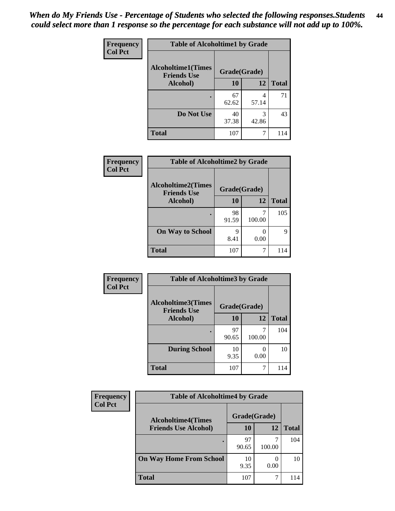| Frequency      | <b>Table of Alcoholtime1 by Grade</b>           |              |            |              |
|----------------|-------------------------------------------------|--------------|------------|--------------|
| <b>Col Pct</b> | <b>Alcoholtime1(Times</b><br><b>Friends Use</b> | Grade(Grade) |            |              |
|                | Alcohol)                                        | 10           | <b>12</b>  | <b>Total</b> |
|                |                                                 | 67<br>62.62  | 4<br>57.14 | 71           |
|                | Do Not Use                                      | 40<br>37.38  | 3<br>42.86 | 43           |
|                | <b>Total</b>                                    | 107          | 7          | 114          |

| Frequency      | <b>Table of Alcoholtime2 by Grade</b>           |              |        |              |
|----------------|-------------------------------------------------|--------------|--------|--------------|
| <b>Col Pct</b> | <b>Alcoholtime2(Times</b><br><b>Friends Use</b> | Grade(Grade) |        |              |
|                | Alcohol)                                        | 10           | 12     | <b>Total</b> |
|                |                                                 | 98<br>91.59  | 100.00 | 105          |
|                | <b>On Way to School</b>                         | q<br>8.41    | 0.00   | Q            |
|                | <b>Total</b>                                    | 107          | 7      | 114          |

| Frequency<br><b>Col Pct</b> | <b>Table of Alcoholtime3 by Grade</b>                           |             |                       |              |
|-----------------------------|-----------------------------------------------------------------|-------------|-----------------------|--------------|
|                             | <b>Alcoholtime3(Times</b><br>Grade(Grade)<br><b>Friends Use</b> |             |                       |              |
|                             | Alcohol)                                                        | 10          | 12                    | <b>Total</b> |
|                             |                                                                 | 97<br>90.65 | 100.00                | 104          |
|                             | <b>During School</b>                                            | 10<br>9.35  | $\mathcal{O}$<br>0.00 | 10           |
|                             | <b>Total</b>                                                    | 107         |                       | 114          |

| <b>Frequency</b> | <b>Table of Alcoholtime4 by Grade</b> |              |        |              |  |
|------------------|---------------------------------------|--------------|--------|--------------|--|
| <b>Col Pct</b>   | <b>Alcoholtime4(Times</b>             | Grade(Grade) |        |              |  |
|                  | <b>Friends Use Alcohol)</b>           | 10           | 12     | <b>Total</b> |  |
|                  | ٠                                     | 97<br>90.65  | 100.00 | 104          |  |
|                  | <b>On Way Home From School</b>        | 10<br>9.35   | 0.00   | 10           |  |
|                  | <b>Total</b>                          | 107          |        | 114          |  |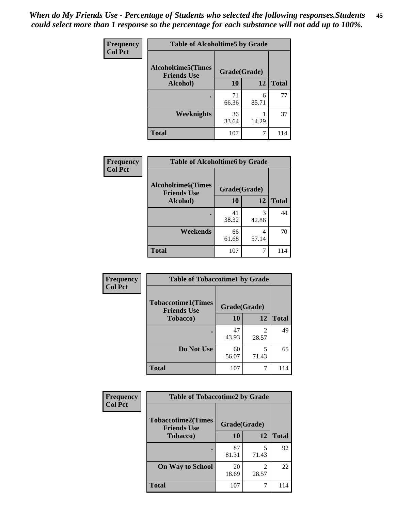*When do My Friends Use - Percentage of Students who selected the following responses.Students could select more than 1 response so the percentage for each substance will not add up to 100%.* **45**

| Frequency      | <b>Table of Alcoholtime5 by Grade</b>           |              |            |              |
|----------------|-------------------------------------------------|--------------|------------|--------------|
| <b>Col Pct</b> | <b>Alcoholtime5(Times</b><br><b>Friends Use</b> | Grade(Grade) |            |              |
|                | Alcohol)                                        | 10           | <b>12</b>  | <b>Total</b> |
|                |                                                 | 71<br>66.36  | 6<br>85.71 | 77           |
|                | <b>Weeknights</b>                               | 36<br>33.64  | 14.29      | 37           |
|                | <b>Total</b>                                    | 107          | 7          | 114          |

| <b>Frequency</b> | <b>Table of Alcoholtime6 by Grade</b>           |              |            |              |  |
|------------------|-------------------------------------------------|--------------|------------|--------------|--|
| <b>Col Pct</b>   | <b>Alcoholtime6(Times</b><br><b>Friends Use</b> | Grade(Grade) |            |              |  |
|                  | Alcohol)                                        | 10           | 12         | <b>Total</b> |  |
|                  |                                                 | 41<br>38.32  | 3<br>42.86 | 44           |  |
|                  | Weekends                                        | 66<br>61.68  | 4<br>57.14 | 70           |  |
|                  | <b>Total</b>                                    | 107          | 7          | 114          |  |

| Frequency      | <b>Table of Tobaccotime1 by Grade</b>           |              |            |              |
|----------------|-------------------------------------------------|--------------|------------|--------------|
| <b>Col Pct</b> | <b>Tobaccotime1(Times</b><br><b>Friends Use</b> | Grade(Grade) |            |              |
|                | <b>Tobacco</b> )                                | 10           | 12         | <b>Total</b> |
|                | ٠                                               | 47<br>43.93  | 2<br>28.57 | 49           |
|                | Do Not Use                                      | 60<br>56.07  | 5<br>71.43 | 65           |
|                | <b>Total</b>                                    | 107          | 7          | 114          |

| <b>Frequency</b> | <b>Table of Tobaccotime2 by Grade</b>           |              |            |              |
|------------------|-------------------------------------------------|--------------|------------|--------------|
| <b>Col Pct</b>   | <b>Tobaccotime2(Times</b><br><b>Friends Use</b> | Grade(Grade) |            |              |
|                  | <b>Tobacco</b> )                                | 10           | 12         | <b>Total</b> |
|                  |                                                 | 87<br>81.31  | 71.43      | 92           |
|                  | <b>On Way to School</b>                         | 20<br>18.69  | 2<br>28.57 | 22           |
|                  | <b>Total</b>                                    | 107          |            | 114          |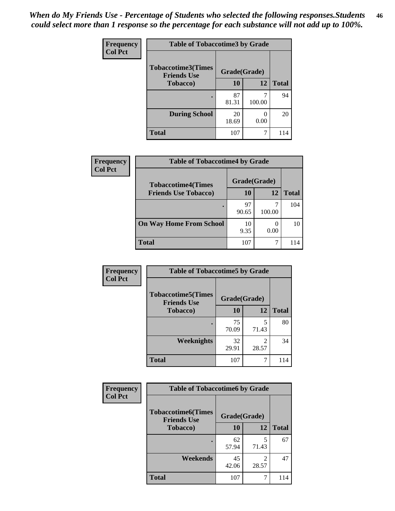| <b>Frequency</b> | <b>Table of Tobaccotime3 by Grade</b>           |              |        |              |  |
|------------------|-------------------------------------------------|--------------|--------|--------------|--|
| <b>Col Pct</b>   | <b>Tobaccotime3(Times</b><br><b>Friends Use</b> | Grade(Grade) |        |              |  |
|                  | <b>Tobacco</b> )                                | 10           | 12     | <b>Total</b> |  |
|                  |                                                 | 87<br>81.31  | 100.00 | 94           |  |
|                  | <b>During School</b>                            | 20<br>18.69  | 0.00   | 20           |  |
|                  | <b>Total</b>                                    | 107          | 7      | 114          |  |

| <b>Frequency</b><br><b>Col Pct</b> | <b>Table of Tobaccotime4 by Grade</b> |              |        |              |  |
|------------------------------------|---------------------------------------|--------------|--------|--------------|--|
|                                    | <b>Tobaccotime4(Times</b>             | Grade(Grade) |        |              |  |
|                                    | <b>Friends Use Tobacco)</b>           | 10           | 12     | <b>Total</b> |  |
|                                    |                                       | 97<br>90.65  | 100.00 | 104          |  |
|                                    | <b>On Way Home From School</b>        | 10<br>9.35   | 0.00   | 10           |  |
|                                    | <b>Total</b>                          | 107          |        | 114          |  |

| Frequency      | <b>Table of Tobaccotime5 by Grade</b>           |              |            |              |
|----------------|-------------------------------------------------|--------------|------------|--------------|
| <b>Col Pct</b> | <b>Tobaccotime5(Times</b><br><b>Friends Use</b> | Grade(Grade) |            |              |
|                | <b>Tobacco</b> )                                | 10           | 12         | <b>Total</b> |
|                |                                                 | 75<br>70.09  | 5<br>71.43 | 80           |
|                | Weeknights                                      | 32<br>29.91  | 28.57      | 34           |
|                | <b>Total</b>                                    | 107          | 7          | 114          |

| Frequency        | <b>Table of Tobaccotime6 by Grade</b>           |              |            |              |
|------------------|-------------------------------------------------|--------------|------------|--------------|
| <b>Col Pct</b>   | <b>Tobaccotime6(Times</b><br><b>Friends Use</b> | Grade(Grade) |            |              |
| <b>Tobacco</b> ) |                                                 | 10           | 12         | <b>Total</b> |
|                  |                                                 | 62<br>57.94  | 5<br>71.43 | 67           |
|                  | Weekends                                        | 45<br>42.06  | 28.57      | 47           |
|                  | <b>Total</b>                                    | 107          | 7          | 114          |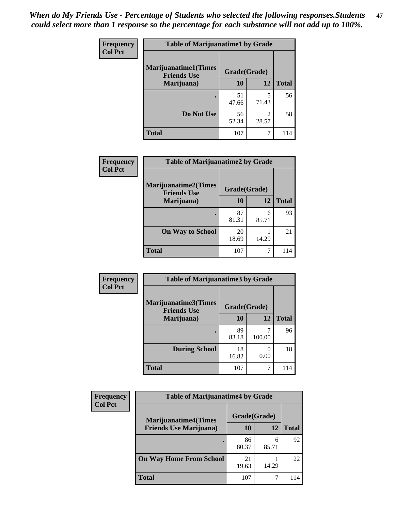| <b>Frequency</b> | <b>Table of Marijuanatime1 by Grade</b>           |              |                         |              |  |
|------------------|---------------------------------------------------|--------------|-------------------------|--------------|--|
| <b>Col Pct</b>   | <b>Marijuanatime1(Times</b><br><b>Friends Use</b> | Grade(Grade) |                         |              |  |
|                  | Marijuana)                                        | 10           | 12                      | <b>Total</b> |  |
|                  |                                                   | 51<br>47.66  | 5<br>71.43              | 56           |  |
|                  | Do Not Use                                        | 56<br>52.34  | $\mathfrak{D}$<br>28.57 | 58           |  |
|                  | <b>Total</b>                                      | 107          |                         | 114          |  |

| <b>Frequency</b> | <b>Table of Marijuanatime2 by Grade</b>           |              |            |              |  |
|------------------|---------------------------------------------------|--------------|------------|--------------|--|
| <b>Col Pct</b>   | <b>Marijuanatime2(Times</b><br><b>Friends Use</b> | Grade(Grade) |            |              |  |
|                  | Marijuana)                                        | 10           | 12         | <b>Total</b> |  |
|                  | ٠                                                 | 87<br>81.31  | 6<br>85.71 | 93           |  |
|                  | <b>On Way to School</b>                           | 20<br>18.69  | 14.29      | 21           |  |
|                  | <b>Total</b>                                      | 107          |            | 114          |  |

| <b>Frequency</b> | <b>Table of Marijuanatime3 by Grade</b>    |              |           |              |  |
|------------------|--------------------------------------------|--------------|-----------|--------------|--|
| <b>Col Pct</b>   | Marijuanatime3(Times<br><b>Friends Use</b> | Grade(Grade) |           |              |  |
|                  | Marijuana)                                 | 10           | 12        | <b>Total</b> |  |
|                  |                                            | 89<br>83.18  | 100.00    | 96           |  |
|                  | <b>During School</b>                       | 18<br>16.82  | 0<br>0.00 | 18           |  |
|                  | <b>Total</b>                               | 107          | 7         | 114          |  |

| <b>Frequency</b> | <b>Table of Marijuanatime4 by Grade</b> |              |            |              |
|------------------|-----------------------------------------|--------------|------------|--------------|
| <b>Col Pct</b>   | <b>Marijuanatime4</b> (Times            | Grade(Grade) |            |              |
|                  | <b>Friends Use Marijuana</b> )          | 10           | 12         | <b>Total</b> |
|                  |                                         | 86<br>80.37  | 6<br>85.71 | 92           |
|                  | <b>On Way Home From School</b>          | 21<br>19.63  | 14.29      | 22           |
|                  | <b>Total</b>                            | 107          |            |              |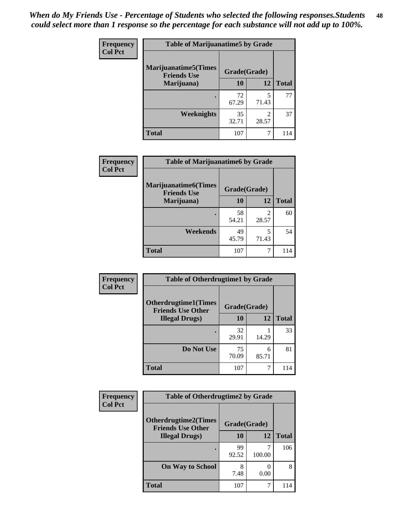| Frequency      | <b>Table of Marijuanatime5 by Grade</b>            |              |                         |              |  |
|----------------|----------------------------------------------------|--------------|-------------------------|--------------|--|
| <b>Col Pct</b> | <b>Marijuanatime5</b> (Times<br><b>Friends Use</b> | Grade(Grade) |                         |              |  |
|                | Marijuana)                                         | 10           | 12                      | <b>Total</b> |  |
|                |                                                    | 72<br>67.29  | 5<br>71.43              | 77           |  |
|                | Weeknights                                         | 35<br>32.71  | $\mathfrak{D}$<br>28.57 | 37           |  |
|                | <b>Total</b>                                       | 107          | 7                       | 114          |  |

| Frequency      | <b>Table of Marijuanatime6 by Grade</b>            |              |                                   |              |  |
|----------------|----------------------------------------------------|--------------|-----------------------------------|--------------|--|
| <b>Col Pct</b> | <b>Marijuanatime6</b> (Times<br><b>Friends Use</b> | Grade(Grade) |                                   |              |  |
|                | Marijuana)                                         | 10           | 12                                | <b>Total</b> |  |
|                |                                                    | 58<br>54.21  | $\overline{\mathcal{L}}$<br>28.57 | 60           |  |
|                | Weekends                                           | 49<br>45.79  | 5<br>71.43                        | 54           |  |
|                | <b>Total</b>                                       | 107          | 7                                 | 114          |  |

| <b>Frequency</b> | <b>Table of Otherdrugtime1 by Grade</b>                  |              |            |              |  |
|------------------|----------------------------------------------------------|--------------|------------|--------------|--|
| <b>Col Pct</b>   | <b>Otherdrugtime1</b> (Times<br><b>Friends Use Other</b> | Grade(Grade) |            |              |  |
|                  | <b>Illegal Drugs</b> )                                   | 10           | 12         | <b>Total</b> |  |
|                  |                                                          | 32<br>29.91  | 14.29      | 33           |  |
|                  | Do Not Use                                               | 75<br>70.09  | 6<br>85.71 | 81           |  |
|                  | <b>Total</b>                                             | 107          | 7          | 114          |  |

| <b>Frequency</b><br><b>Col Pct</b> | <b>Table of Otherdrugtime2 by Grade</b>                 |              |             |              |  |
|------------------------------------|---------------------------------------------------------|--------------|-------------|--------------|--|
|                                    | <b>Otherdrugtime2(Times</b><br><b>Friends Use Other</b> | Grade(Grade) |             |              |  |
|                                    | <b>Illegal Drugs</b> )                                  | 10           | 12          | <b>Total</b> |  |
|                                    |                                                         | 99<br>92.52  | 7<br>100.00 | 106          |  |
|                                    | <b>On Way to School</b>                                 | 8<br>7.48    | 0.00        | 8            |  |
|                                    | <b>Total</b>                                            | 107          | 7           | 114          |  |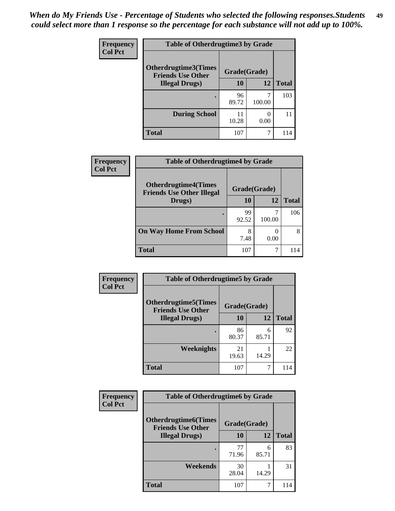| <b>Frequency</b>       | <b>Table of Otherdrugtime3 by Grade</b>          |              |              |     |
|------------------------|--------------------------------------------------|--------------|--------------|-----|
| <b>Col Pct</b>         | Otherdrugtime3(Times<br><b>Friends Use Other</b> | Grade(Grade) |              |     |
| <b>Illegal Drugs</b> ) | 10                                               | 12           | <b>Total</b> |     |
|                        |                                                  | 96<br>89.72  | 100.00       | 103 |
|                        | <b>During School</b>                             | 11<br>10.28  | 0<br>0.00    | 11  |
|                        | <b>Total</b>                                     | 107          | 7            | 114 |

| Frequency      | <b>Table of Otherdrugtime4 by Grade</b>                         |              |        |              |
|----------------|-----------------------------------------------------------------|--------------|--------|--------------|
| <b>Col Pct</b> | <b>Otherdrugtime4(Times</b><br><b>Friends Use Other Illegal</b> | Grade(Grade) |        |              |
|                | Drugs)                                                          | 10           | 12     | <b>Total</b> |
|                | ٠                                                               | 99<br>92.52  | 100.00 | 106          |
|                | <b>On Way Home From School</b>                                  | 8<br>7.48    | 0.00   | 8            |
|                | <b>Total</b>                                                    | 107          |        | 114          |

| <b>Frequency</b> | <b>Table of Otherdrugtime5 by Grade</b>                  |              |            |              |  |
|------------------|----------------------------------------------------------|--------------|------------|--------------|--|
| <b>Col Pct</b>   | <b>Otherdrugtime5</b> (Times<br><b>Friends Use Other</b> | Grade(Grade) |            |              |  |
|                  | <b>Illegal Drugs</b> )                                   | 10           | 12         | <b>Total</b> |  |
|                  |                                                          | 86<br>80.37  | 6<br>85.71 | 92           |  |
|                  | Weeknights                                               | 21<br>19.63  | 14.29      | 22           |  |
|                  | <b>Total</b>                                             | 107          | 7          | 114          |  |

| <b>Frequency</b> | <b>Table of Otherdrugtime6 by Grade</b>                 |              |            |              |  |  |
|------------------|---------------------------------------------------------|--------------|------------|--------------|--|--|
| <b>Col Pct</b>   | <b>Otherdrugtime6(Times</b><br><b>Friends Use Other</b> | Grade(Grade) |            |              |  |  |
|                  | <b>Illegal Drugs</b> )                                  | 10           | 12         | <b>Total</b> |  |  |
|                  |                                                         | 77<br>71.96  | 6<br>85.71 | 83           |  |  |
|                  | Weekends                                                | 30<br>28.04  | 14.29      | 31           |  |  |
|                  | <b>Total</b>                                            | 107          | 7          | 114          |  |  |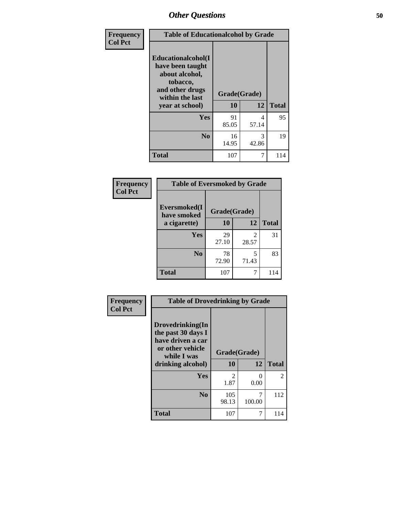| Frequency      | <b>Table of Educationalcohol by Grade</b>                                                                  |              |            |              |
|----------------|------------------------------------------------------------------------------------------------------------|--------------|------------|--------------|
| <b>Col Pct</b> | Educationalcohol(I<br>have been taught<br>about alcohol,<br>tobacco,<br>and other drugs<br>within the last | Grade(Grade) |            |              |
|                | year at school)                                                                                            | 10           | 12         | <b>Total</b> |
|                | <b>Yes</b>                                                                                                 | 91<br>85.05  | 4<br>57.14 | 95           |
|                | N <sub>0</sub>                                                                                             | 16<br>14.95  | 3<br>42.86 | 19           |
|                | <b>Total</b>                                                                                               | 107          | 7          | 114          |

| Frequency      | <b>Table of Eversmoked by Grade</b> |             |            |              |  |  |
|----------------|-------------------------------------|-------------|------------|--------------|--|--|
| <b>Col Pct</b> | Eversmoked(I<br>have smoked         |             |            |              |  |  |
|                | a cigarette)                        | 10          | 12         | <b>Total</b> |  |  |
|                | <b>Yes</b>                          | 29<br>27.10 | 2<br>28.57 | 31           |  |  |
|                | N <sub>0</sub>                      | 78<br>72.90 | 5<br>71.43 | 83           |  |  |
|                | <b>Total</b>                        | 107         | 7          | 114          |  |  |

| Frequency      | <b>Table of Drovedrinking by Grade</b>                                                                              |                        |             |                |
|----------------|---------------------------------------------------------------------------------------------------------------------|------------------------|-------------|----------------|
| <b>Col Pct</b> | Drovedrinking(In<br>the past 30 days I<br>have driven a car<br>or other vehicle<br>while I was<br>drinking alcohol) | Grade(Grade)<br>10     | 12          | <b>Total</b>   |
|                | <b>Yes</b>                                                                                                          | $\mathfrak{D}$<br>1.87 | 0<br>0.00   | $\mathfrak{D}$ |
|                | N <sub>0</sub>                                                                                                      | 105<br>98.13           | 7<br>100.00 | 112            |
|                | <b>Total</b>                                                                                                        | 107                    |             | 114            |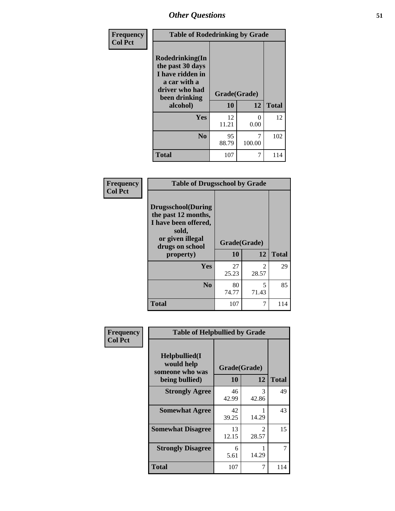| Frequency<br><b>Col Pct</b> | <b>Table of Rodedrinking by Grade</b>                                                                                  |                          |             |              |
|-----------------------------|------------------------------------------------------------------------------------------------------------------------|--------------------------|-------------|--------------|
|                             | Rodedrinking(In<br>the past 30 days<br>I have ridden in<br>a car with a<br>driver who had<br>been drinking<br>alcohol) | Grade(Grade)<br>10<br>12 |             | <b>Total</b> |
|                             | <b>Yes</b>                                                                                                             | 12<br>11.21              | 0<br>0.00   | 12           |
|                             | N <sub>0</sub>                                                                                                         | 95<br>88.79              | 7<br>100.00 | 102          |
|                             | <b>Total</b>                                                                                                           | 107                      | 7           | 114          |

#### **Frequency Col Pct**

| <b>Table of Drugsschool by Grade</b>                                                                                      |                    |                         |              |  |  |
|---------------------------------------------------------------------------------------------------------------------------|--------------------|-------------------------|--------------|--|--|
| <b>Drugsschool</b> (During<br>the past 12 months,<br>I have been offered,<br>sold,<br>or given illegal<br>drugs on school | Grade(Grade)<br>10 | 12                      |              |  |  |
| property)                                                                                                                 |                    |                         | <b>Total</b> |  |  |
| Yes                                                                                                                       | 27<br>25.23        | $\mathfrak{D}$<br>28.57 | 29           |  |  |
| N <sub>0</sub>                                                                                                            | 80<br>74.77        | 5<br>71.43              | 85           |  |  |
| <b>Total</b>                                                                                                              | 107                | 7                       | 114          |  |  |

| Frequency      | <b>Table of Helpbullied by Grade</b>                                   |                          |                         |              |
|----------------|------------------------------------------------------------------------|--------------------------|-------------------------|--------------|
| <b>Col Pct</b> | $Helpb$ ullied $(I$<br>would help<br>someone who was<br>being bullied) | Grade(Grade)<br>10<br>12 |                         | <b>Total</b> |
|                | <b>Strongly Agree</b>                                                  | 46<br>42.99              | 3<br>42.86              | 49           |
|                | <b>Somewhat Agree</b>                                                  | 42<br>39.25              | 14.29                   | 43           |
|                | <b>Somewhat Disagree</b>                                               | 13<br>12.15              | $\mathfrak{D}$<br>28.57 | 15           |
|                | <b>Strongly Disagree</b>                                               | 6<br>5.61                | 14.29                   | 7            |
|                | Total                                                                  | 107                      | 7                       | 114          |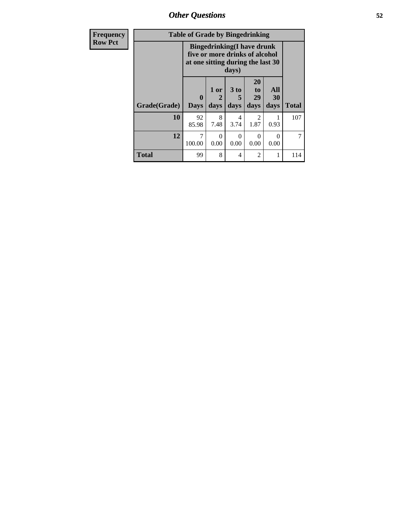*Other Questions* **52**

| <b>Frequency</b> | <b>Table of Grade by Bingedrinking</b> |                                                                                                                    |                   |                              |                        |                   |              |
|------------------|----------------------------------------|--------------------------------------------------------------------------------------------------------------------|-------------------|------------------------------|------------------------|-------------------|--------------|
| <b>Row Pct</b>   |                                        | <b>Bingedrinking</b> (I have drunk<br>five or more drinks of alcohol<br>at one sitting during the last 30<br>days) |                   |                              |                        |                   |              |
|                  | Grade(Grade)                           | $\mathbf{0}$<br><b>Days</b>                                                                                        | 1 or<br>2<br>days | 3 <sub>to</sub><br>5<br>days | 20<br>to<br>29<br>days | All<br>30<br>days | <b>Total</b> |
|                  | 10                                     | 92<br>85.98                                                                                                        | 8<br>7.48         | 4<br>3.74                    | $\mathfrak{D}$<br>1.87 | 0.93              | 107          |
|                  | 12                                     | 7<br>100.00                                                                                                        | $\Omega$<br>0.00  | 0<br>0.00                    | $\Omega$<br>0.00       | 0<br>0.00         | 7            |
|                  | <b>Total</b>                           | 99                                                                                                                 | 8                 | 4                            | $\mathfrak{D}$         |                   | 114          |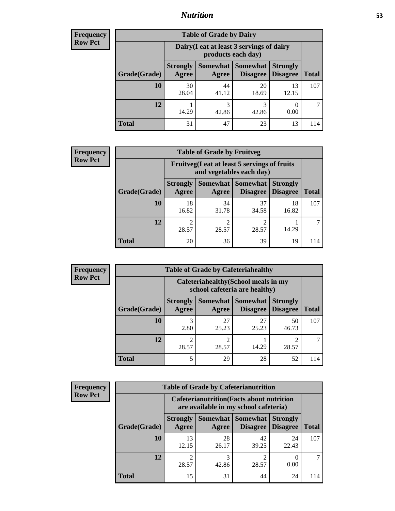## *Nutrition* **53**

| <b>Frequency</b> |
|------------------|
| <b>Row Pct</b>   |

| <b>Table of Grade by Dairy</b> |                          |                                                                 |                             |                                    |              |  |
|--------------------------------|--------------------------|-----------------------------------------------------------------|-----------------------------|------------------------------------|--------------|--|
|                                |                          | Dairy (I eat at least 3 servings of dairy<br>products each day) |                             |                                    |              |  |
| Grade(Grade)                   | <b>Strongly</b><br>Agree | Somewhat  <br>Agree                                             | <b>Somewhat</b><br>Disagree | <b>Strongly</b><br><b>Disagree</b> | <b>Total</b> |  |
| 10                             | 30<br>28.04              | 44<br>41.12                                                     | 20<br>18.69                 | 13<br>12.15                        | 107          |  |
| 12                             | 14.29                    | 3<br>42.86                                                      | 3<br>42.86                  | 0.00                               |              |  |
| <b>Total</b>                   | 31                       | 47                                                              | 23                          | 13                                 | 114          |  |

| <b>Frequency</b> |  |
|------------------|--|
| <b>Row Pct</b>   |  |

| y | <b>Table of Grade by Fruitveg</b> |                                                                          |             |                                      |                                    |              |
|---|-----------------------------------|--------------------------------------------------------------------------|-------------|--------------------------------------|------------------------------------|--------------|
|   |                                   | Fruitveg(I eat at least 5 servings of fruits<br>and vegetables each day) |             |                                      |                                    |              |
|   | Grade(Grade)                      | <b>Strongly</b><br>Agree                                                 | Agree       | Somewhat Somewhat<br><b>Disagree</b> | <b>Strongly</b><br><b>Disagree</b> | <b>Total</b> |
|   | 10                                | 18<br>16.82                                                              | 34<br>31.78 | 37<br>34.58                          | 18<br>16.82                        | 107          |
|   | 12                                | $\mathfrak{D}$<br>28.57                                                  | 2<br>28.57  | 28.57                                | 14.29                              |              |
|   | <b>Total</b>                      | 20                                                                       | 36          | 39                                   | 19                                 | 114          |

| <b>Frequency</b> | <b>Table of Grade by Cafeteriahealthy</b> |                                                                       |             |                                          |                                    |              |  |  |
|------------------|-------------------------------------------|-----------------------------------------------------------------------|-------------|------------------------------------------|------------------------------------|--------------|--|--|
| <b>Row Pct</b>   |                                           | Cafeteriahealthy (School meals in my<br>school cafeteria are healthy) |             |                                          |                                    |              |  |  |
|                  | Grade(Grade)                              | <b>Strongly</b><br>Agree                                              | Agree       | Somewhat   Somewhat  <br><b>Disagree</b> | <b>Strongly</b><br><b>Disagree</b> | <b>Total</b> |  |  |
|                  | 10                                        | 3<br>2.80                                                             | 27<br>25.23 | 27<br>25.23                              | 50<br>46.73                        | 107          |  |  |
|                  | 12                                        | 28.57                                                                 | ∍<br>28.57  | 14.29                                    | 28.57                              |              |  |  |
|                  | Total                                     |                                                                       | 29          | 28                                       | 52                                 | 114          |  |  |

| <b>Frequency</b> |
|------------------|
| <b>Row Pct</b>   |

| <b>Table of Grade by Cafeterianutrition</b> |                                                                                           |                          |                             |                                    |              |  |
|---------------------------------------------|-------------------------------------------------------------------------------------------|--------------------------|-----------------------------|------------------------------------|--------------|--|
|                                             | <b>Cafeterianutrition</b> (Facts about nutrition<br>are available in my school cafeteria) |                          |                             |                                    |              |  |
| Grade(Grade)                                | <b>Strongly</b><br>Agree                                                                  | <b>Somewhat</b><br>Agree | <b>Somewhat</b><br>Disagree | <b>Strongly</b><br><b>Disagree</b> | <b>Total</b> |  |
| 10                                          | 13<br>12.15                                                                               | 28<br>26.17              | 42<br>39.25                 | 24<br>22.43                        | 107          |  |
| 12                                          | $\mathfrak{D}$<br>28.57                                                                   | 42.86                    | $\mathfrak{D}$<br>28.57     | 0.00                               |              |  |
| <b>Total</b>                                | 15                                                                                        | 31                       | 44                          | 24                                 | 114          |  |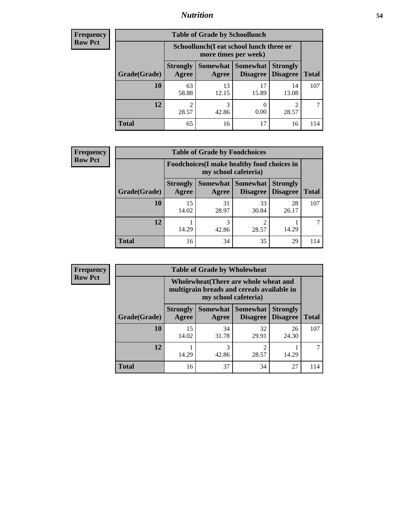## *Nutrition* **54**

| Frequency |
|-----------|
| Row Pct   |

| <b>Table of Grade by Schoollunch</b> |                                                                                                                      |                                                                 |             |             |     |  |  |
|--------------------------------------|----------------------------------------------------------------------------------------------------------------------|-----------------------------------------------------------------|-------------|-------------|-----|--|--|
|                                      |                                                                                                                      | Schoollunch(I eat school lunch three or<br>more times per week) |             |             |     |  |  |
| Grade(Grade)                         | Somewhat  <br><b>Somewhat</b><br><b>Strongly</b><br><b>Strongly</b><br><b>Disagree</b><br>Disagree<br>Agree<br>Agree |                                                                 |             |             |     |  |  |
| 10                                   | 63<br>58.88                                                                                                          | 13<br>12.15                                                     | 17<br>15.89 | 14<br>13.08 | 107 |  |  |
| 12                                   | 2<br>28.57                                                                                                           | 3<br>42.86                                                      | 0.00        | 28.57       |     |  |  |
| <b>Total</b>                         | 65                                                                                                                   | 16                                                              | 17          | 16          | 114 |  |  |

| <b>Frequency</b> |  |
|------------------|--|
| <b>Row Pct</b>   |  |

| $\mathbf{y}$ | <b>Table of Grade by Foodchoices</b> |                                                                     |             |                     |                                        |              |  |
|--------------|--------------------------------------|---------------------------------------------------------------------|-------------|---------------------|----------------------------------------|--------------|--|
|              |                                      | Foodchoices (I make healthy food choices in<br>my school cafeteria) |             |                     |                                        |              |  |
|              | Grade(Grade)                         | <b>Strongly</b><br>Agree                                            | Agree       | Somewhat   Somewhat | <b>Strongly</b><br>Disagree   Disagree | <b>Total</b> |  |
|              | 10                                   | 15<br>14.02                                                         | 31<br>28.97 | 33<br>30.84         | 28<br>26.17                            | 107          |  |
|              | 12                                   | 14.29                                                               | 3<br>42.86  | 28.57               | 14.29                                  |              |  |
|              | <b>Total</b>                         | 16                                                                  | 34          | 35                  | 29                                     | 114          |  |

| <b>Frequency</b> | <b>Table of Grade by Wholewheat</b> |                                                                                                             |             |                                        |                                    |              |  |  |  |
|------------------|-------------------------------------|-------------------------------------------------------------------------------------------------------------|-------------|----------------------------------------|------------------------------------|--------------|--|--|--|
| <b>Row Pct</b>   |                                     | Wholewheat (There are whole wheat and<br>multigrain breads and cereals available in<br>my school cafeteria) |             |                                        |                                    |              |  |  |  |
|                  | Grade(Grade)                        | <b>Strongly</b><br>Agree                                                                                    | Agree       | Somewhat   Somewhat<br><b>Disagree</b> | <b>Strongly</b><br><b>Disagree</b> | <b>Total</b> |  |  |  |
|                  | 10                                  | 15<br>14.02                                                                                                 | 34<br>31.78 | 32<br>29.91                            | 26<br>24.30                        | 107          |  |  |  |
|                  | 12                                  | 14.29                                                                                                       | 3<br>42.86  | ↑<br>28.57                             | 14.29                              |              |  |  |  |
|                  | <b>Total</b>                        | 16                                                                                                          | 37          | 34                                     | 27                                 | 114          |  |  |  |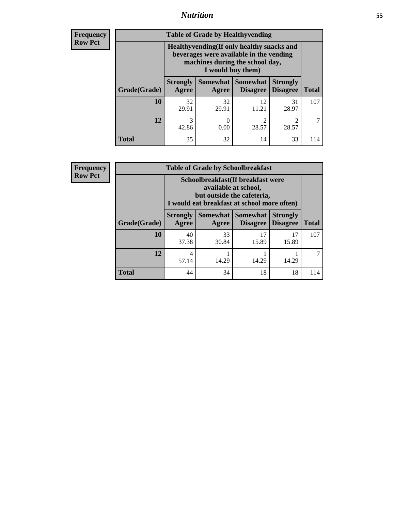## *Nutrition* **55**

**Frequency Row Pct**

| <b>Table of Grade by Healthyvending</b> |                                                                                                                                               |                          |                                    |                                    |              |  |  |
|-----------------------------------------|-----------------------------------------------------------------------------------------------------------------------------------------------|--------------------------|------------------------------------|------------------------------------|--------------|--|--|
|                                         | Healthyvending (If only healthy snacks and<br>beverages were available in the vending<br>machines during the school day,<br>I would buy them) |                          |                                    |                                    |              |  |  |
| Grade(Grade)                            | <b>Strongly</b><br>Agree                                                                                                                      | <b>Somewhat</b><br>Agree | <b>Somewhat</b><br><b>Disagree</b> | <b>Strongly</b><br><b>Disagree</b> | <b>Total</b> |  |  |
| 10                                      | 32<br>29.91                                                                                                                                   | 32<br>29.91              | 12<br>11.21                        | 31<br>28.97                        | 107          |  |  |
| 12                                      | 3<br>42.86                                                                                                                                    | 0.00                     | $\mathfrak{D}$<br>28.57            | $\mathfrak{D}$<br>28.57            | 7            |  |  |
| <b>Total</b>                            | 35                                                                                                                                            | 32                       | 14                                 | 33                                 | 114          |  |  |

**Frequency Row Pct**

| <b>Table of Grade by Schoolbreakfast</b> |                                                                                                                                         |             |                                            |                 |              |  |  |
|------------------------------------------|-----------------------------------------------------------------------------------------------------------------------------------------|-------------|--------------------------------------------|-----------------|--------------|--|--|
|                                          | Schoolbreakfast (If breakfast were<br>available at school,<br>but outside the cafeteria,<br>I would eat breakfast at school more often) |             |                                            |                 |              |  |  |
| Grade(Grade)                             | <b>Strongly</b><br>Agree                                                                                                                | Agree       | Somewhat   Somewhat<br>Disagree   Disagree | <b>Strongly</b> | <b>Total</b> |  |  |
| 10                                       | 40<br>37.38                                                                                                                             | 33<br>30.84 | 17<br>15.89                                | 17<br>15.89     | 107          |  |  |
| 12                                       | 4<br>57.14                                                                                                                              | 14.29       | 14.29                                      | 14.29           |              |  |  |
| <b>Total</b>                             | 44                                                                                                                                      | 34          | 18                                         | 18              | 114          |  |  |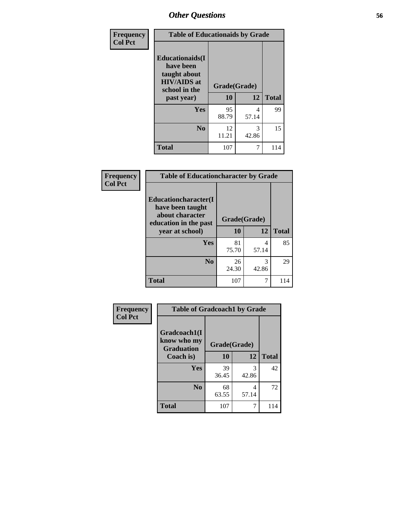| Frequency<br><b>Col Pct</b> | <b>Table of Educationaids by Grade</b>                                                                    |                    |              |     |  |  |
|-----------------------------|-----------------------------------------------------------------------------------------------------------|--------------------|--------------|-----|--|--|
|                             | <b>Educationaids</b> (I<br>have been<br>taught about<br><b>HIV/AIDS</b> at<br>school in the<br>past year) | Grade(Grade)<br>10 | <b>Total</b> |     |  |  |
|                             | Yes                                                                                                       | 95<br>88.79        | 4<br>57.14   | 99  |  |  |
|                             | N <sub>0</sub>                                                                                            | 12<br>11.21        | 3<br>42.86   | 15  |  |  |
|                             | <b>Total</b>                                                                                              | 107                | 7            | 114 |  |  |

| <b>Frequency</b> |                                                                                      | <b>Table of Educationcharacter by Grade</b> |            |              |  |
|------------------|--------------------------------------------------------------------------------------|---------------------------------------------|------------|--------------|--|
| <b>Col Pct</b>   | Educationcharacter(I<br>have been taught<br>about character<br>education in the past | Grade(Grade)                                |            |              |  |
|                  | year at school)                                                                      | 10                                          | 12         | <b>Total</b> |  |
|                  | <b>Yes</b>                                                                           | 81<br>75.70                                 | 4<br>57.14 | 85           |  |
|                  | N <sub>0</sub>                                                                       | 26<br>24.30                                 | 3<br>42.86 | 29           |  |
|                  | <b>Total</b>                                                                         | 107                                         | 7          | 114          |  |

| <b>Frequency</b> | <b>Table of Gradcoach1 by Grade</b> |              |            |              |
|------------------|-------------------------------------|--------------|------------|--------------|
| <b>Col Pct</b>   | Gradcoach1(I<br>know who my         | Grade(Grade) |            |              |
|                  | <b>Graduation</b><br>Coach is)      | 10           | 12         | <b>Total</b> |
|                  | Yes                                 | 39<br>36.45  | 3<br>42.86 | 42           |
|                  | N <sub>0</sub>                      | 68<br>63.55  | 4<br>57.14 | 72           |
|                  | <b>Total</b>                        | 107          | 7          | 114          |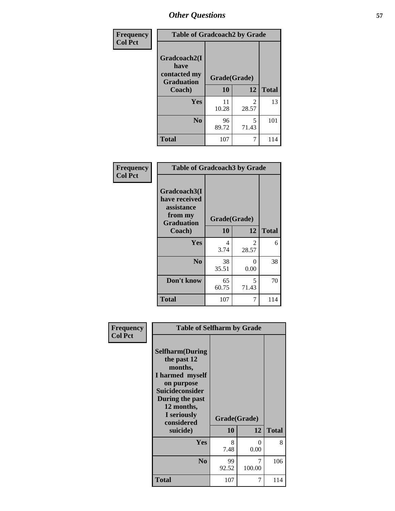| Frequency      |                                           | <b>Table of Gradcoach2 by Grade</b> |                         |              |  |
|----------------|-------------------------------------------|-------------------------------------|-------------------------|--------------|--|
| <b>Col Pct</b> |                                           |                                     |                         |              |  |
|                | Gradcoach2(I                              |                                     |                         |              |  |
|                | have<br>contacted my<br><b>Graduation</b> | Grade(Grade)                        |                         |              |  |
|                | Coach)                                    | 10                                  | 12                      | <b>Total</b> |  |
|                | Yes                                       | 11<br>10.28                         | $\mathfrak{D}$<br>28.57 | 13           |  |
|                | N <sub>0</sub>                            | 96<br>89.72                         | 5<br>71.43              | 101          |  |
|                | Total                                     | 107                                 | 7                       | 114          |  |

| Frequency<br><b>Col Pct</b> | <b>Table of Gradcoach3 by Grade</b>                                         |              |            |              |
|-----------------------------|-----------------------------------------------------------------------------|--------------|------------|--------------|
|                             | Gradcoach3(I<br>have received<br>assistance<br>from my<br><b>Graduation</b> | Grade(Grade) |            |              |
|                             | Coach)                                                                      | 10           | 12         | <b>Total</b> |
|                             | Yes                                                                         | 4<br>3.74    | 2<br>28.57 | 6            |
|                             | N <sub>0</sub>                                                              | 38<br>35.51  | 0<br>0.00  | 38           |
|                             | Don't know                                                                  | 65<br>60.75  | 5<br>71.43 | 70           |
|                             | <b>Total</b>                                                                | 107          | 7          | 114          |

| Frequency      | <b>Table of Selfharm by Grade</b>                                                                                                                                                      |                    |             |              |
|----------------|----------------------------------------------------------------------------------------------------------------------------------------------------------------------------------------|--------------------|-------------|--------------|
| <b>Col Pct</b> | <b>Selfharm</b> (During<br>the past 12<br>months,<br>I harmed myself<br>on purpose<br><b>Suicideconsider</b><br>During the past<br>12 months,<br>I seriously<br>considered<br>suicide) | Grade(Grade)<br>10 | 12          | <b>Total</b> |
|                | Yes                                                                                                                                                                                    | 8<br>7.48          | 0<br>0.00   | 8            |
|                | N <sub>0</sub>                                                                                                                                                                         | 99<br>92.52        | 7<br>100.00 | 106          |
|                | Total                                                                                                                                                                                  | 107                | 7           | 114          |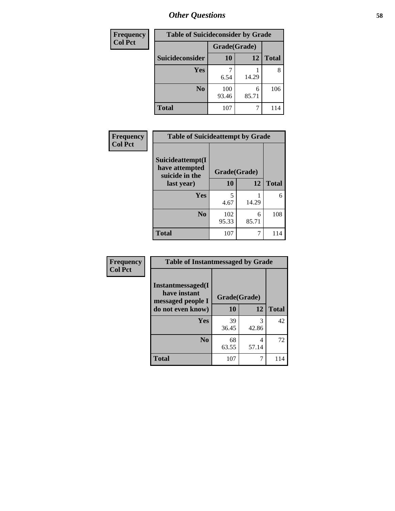| <b>Frequency</b> | <b>Table of Suicideconsider by Grade</b> |              |            |              |  |
|------------------|------------------------------------------|--------------|------------|--------------|--|
| <b>Col Pct</b>   |                                          | Grade(Grade) |            |              |  |
|                  | Suicideconsider                          | 10           | 12         | <b>Total</b> |  |
|                  | <b>Yes</b>                               | 6.54         | 14.29      | 8            |  |
|                  | N <sub>0</sub>                           | 100<br>93.46 | 6<br>85.71 | 106          |  |
|                  | <b>Total</b>                             | 107          | 7          | 114          |  |

| Frequency      | <b>Table of Suicideattempt by Grade</b>              |              |            |              |
|----------------|------------------------------------------------------|--------------|------------|--------------|
| <b>Col Pct</b> | Suicideattempt(I<br>have attempted<br>suicide in the | Grade(Grade) |            |              |
|                | last year)                                           | 10           | 12         | <b>Total</b> |
|                | Yes                                                  | 5<br>4.67    | 14.29      | 6            |
|                | N <sub>0</sub>                                       | 102<br>95.33 | 6<br>85.71 | 108          |
|                | <b>Total</b>                                         | 107          |            | 114          |

| Frequency      | <b>Table of Instantmessaged by Grade</b>               |              |            |              |
|----------------|--------------------------------------------------------|--------------|------------|--------------|
| <b>Col Pct</b> | Instantmessaged(I<br>have instant<br>messaged people I | Grade(Grade) |            |              |
|                | do not even know)                                      | 10           | 12         | <b>Total</b> |
|                | Yes                                                    | 39<br>36.45  | 3<br>42.86 | 42           |
|                | N <sub>0</sub>                                         | 68<br>63.55  | 4<br>57.14 | 72           |
|                | <b>Total</b>                                           | 107          |            | 114          |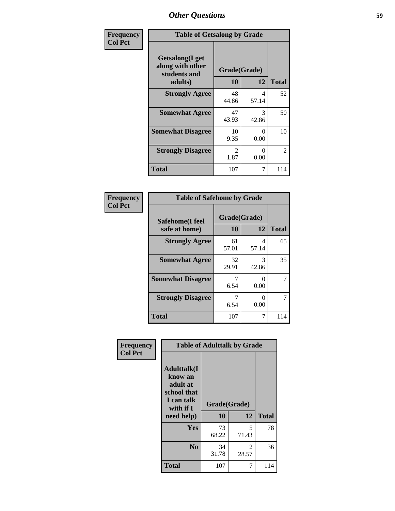| Frequency      | <b>Table of Getsalong by Grade</b>                          |                        |            |              |
|----------------|-------------------------------------------------------------|------------------------|------------|--------------|
| <b>Col Pct</b> | <b>Getsalong</b> (I get<br>along with other<br>students and | Grade(Grade)           |            |              |
|                | adults)                                                     | 10                     | 12         | <b>Total</b> |
|                | <b>Strongly Agree</b>                                       | 48<br>44.86            | 4<br>57.14 | 52           |
|                | <b>Somewhat Agree</b>                                       | 47<br>43.93            | 3<br>42.86 | 50           |
|                | <b>Somewhat Disagree</b>                                    | 10<br>9.35             | 0<br>0.00  | 10           |
|                | <b>Strongly Disagree</b>                                    | $\mathfrak{D}$<br>1.87 | 0<br>0.00  | 2            |
|                | Total                                                       | 107                    | 7          | 114          |

| Frequency      | <b>Table of Safehome by Grade</b>                            |             |                           |              |  |
|----------------|--------------------------------------------------------------|-------------|---------------------------|--------------|--|
| <b>Col Pct</b> | Grade(Grade)<br>Safehome(I feel<br>10<br>12<br>safe at home) |             |                           | <b>Total</b> |  |
|                | <b>Strongly Agree</b>                                        | 61<br>57.01 | 4<br>57.14                | 65           |  |
|                | <b>Somewhat Agree</b>                                        | 32<br>29.91 | 3<br>42.86                | 35           |  |
|                | <b>Somewhat Disagree</b>                                     | 6.54        | $\mathbf{\Omega}$<br>0.00 | 7            |  |
|                | <b>Strongly Disagree</b>                                     | 6.54        | 0<br>0.00                 | 7            |  |
|                | <b>Total</b>                                                 | 107         | 7                         | 114          |  |

| Frequency      | <b>Table of Adulttalk by Grade</b>                                                                |                    |            |              |  |
|----------------|---------------------------------------------------------------------------------------------------|--------------------|------------|--------------|--|
| <b>Col Pct</b> | <b>Adulttalk(I</b><br>know an<br>adult at<br>school that<br>I can talk<br>with if I<br>need help) | Grade(Grade)<br>10 | 12         | <b>Total</b> |  |
|                | Yes                                                                                               | 73<br>68.22        | 5<br>71.43 | 78           |  |
|                | N <sub>0</sub>                                                                                    | 34<br>31.78        | 2<br>28.57 | 36           |  |
|                | <b>Total</b>                                                                                      | 107                | 7          | 114          |  |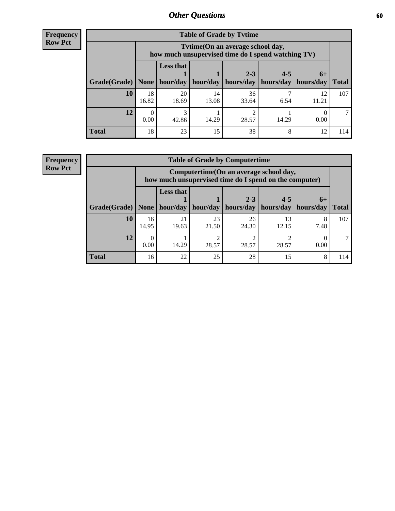**Frequency Row Pct**

| <b>Table of Grade by Tytime</b> |             |                                                                                        |             |                                                                      |         |             |              |
|---------------------------------|-------------|----------------------------------------------------------------------------------------|-------------|----------------------------------------------------------------------|---------|-------------|--------------|
|                                 |             | Tvtime(On an average school day,<br>how much unsupervised time do I spend watching TV) |             |                                                                      |         |             |              |
| Grade(Grade)   None             |             | <b>Less that</b>                                                                       |             | $2 - 3$<br>$hour/day$   hour/day   hours/day   hours/day   hours/day | $4 - 5$ | $6+$        | <b>Total</b> |
| 10                              | 18<br>16.82 | 20<br>18.69                                                                            | 14<br>13.08 | 36<br>33.64                                                          | 6.54    | 12<br>11.21 | 107          |
| 12                              | 0.00        | 3<br>42.86                                                                             | 14.29       | 28.57                                                                | 14.29   | 0.00        |              |
| <b>Total</b>                    | 18          | 23                                                                                     | 15          | 38                                                                   | 8       | 12          | 114          |

**Frequency Row Pct**

| <b>Table of Grade by Computertime</b> |             |                                                                                                                               |             |             |             |           |     |  |  |
|---------------------------------------|-------------|-------------------------------------------------------------------------------------------------------------------------------|-------------|-------------|-------------|-----------|-----|--|--|
|                                       |             | Computertime (On an average school day,<br>how much unsupervised time do I spend on the computer)                             |             |             |             |           |     |  |  |
| Grade(Grade)                          | None        | <b>Less that</b><br>$4 - 5$<br>$2 - 3$<br>$6+$<br>hour/day<br>hours/day<br>hours/day<br>hour/day<br>hours/day<br><b>Total</b> |             |             |             |           |     |  |  |
| 10                                    | 16<br>14.95 | 21<br>19.63                                                                                                                   | 23<br>21.50 | 26<br>24.30 | 13<br>12.15 | 8<br>7.48 | 107 |  |  |
| 12                                    | 0.00        | 14.29                                                                                                                         | ◠<br>28.57  | 28.57       | 28.57       | 0.00      |     |  |  |
| <b>Total</b>                          | 16          | 22                                                                                                                            | 25          | 28          | 15          | 8         | 114 |  |  |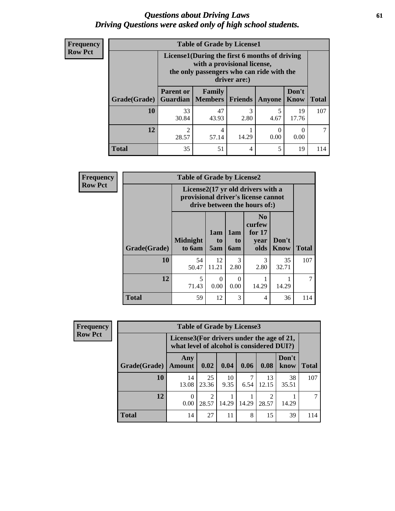### *Questions about Driving Laws* **61** *Driving Questions were asked only of high school students.*

| <b>Frequency</b> |
|------------------|
| <b>Row Pct</b>   |

| <b>Table of Grade by License1</b> |                                                                                                                                           |                               |           |           |                      |              |  |  |  |  |
|-----------------------------------|-------------------------------------------------------------------------------------------------------------------------------------------|-------------------------------|-----------|-----------|----------------------|--------------|--|--|--|--|
|                                   | License1(During the first 6 months of driving<br>with a provisional license,<br>the only passengers who can ride with the<br>driver are:) |                               |           |           |                      |              |  |  |  |  |
| <b>Grade</b> (Grade)              | <b>Parent or</b><br><b>Guardian</b>                                                                                                       | Family<br>  Members   Friends |           | Anyone    | Don't<br><b>Know</b> | <b>Total</b> |  |  |  |  |
| <b>10</b>                         | 33<br>30.84                                                                                                                               | 47<br>43.93                   | 3<br>2.80 | 5<br>4.67 | 19<br>17.76          | 107          |  |  |  |  |
| 12                                | $\mathfrak{D}$<br>28.57                                                                                                                   | 4<br>57.14                    | 14.29     | 0.00      | 0.00                 |              |  |  |  |  |
| <b>Total</b>                      | 35                                                                                                                                        | 51                            | 4         | 5         | 19                   |              |  |  |  |  |

| <b>Frequency</b> |              | <b>Table of Grade by License2</b> |                  |                  |                                                                                                          |                      |              |
|------------------|--------------|-----------------------------------|------------------|------------------|----------------------------------------------------------------------------------------------------------|----------------------|--------------|
| <b>Row Pct</b>   |              |                                   |                  |                  | License2(17 yr old drivers with a<br>provisional driver's license cannot<br>drive between the hours of:) |                      |              |
|                  | Grade(Grade) | <b>Midnight</b><br>to 6am         | 1am<br>to<br>5am | 1am<br>to<br>6am | N <sub>0</sub><br>curfew<br>for $17$<br>year<br>olds                                                     | Don't<br><b>Know</b> | <b>Total</b> |
|                  | 10           | 54<br>50.47                       | 12<br>11.21      | 3<br>2.80        | 3<br>2.80                                                                                                | 35<br>32.71          | 107          |
|                  | 12           | 5<br>71.43                        | $\Omega$<br>0.00 | $\Omega$<br>0.00 | 14.29                                                                                                    | 14.29                |              |
|                  | <b>Total</b> | 59                                | 12               | 3                | 4                                                                                                        | 36                   | 114          |

| Frequency      | <b>Table of Grade by License3</b> |                                                                                        |             |            |       |             |               |              |
|----------------|-----------------------------------|----------------------------------------------------------------------------------------|-------------|------------|-------|-------------|---------------|--------------|
| <b>Row Pct</b> |                                   | License3(For drivers under the age of 21,<br>what level of alcohol is considered DUI?) |             |            |       |             |               |              |
|                | Grade(Grade)                      | Any<br><b>Amount</b>                                                                   | 0.02        | 0.04       | 0.06  | 0.08        | Don't<br>know | <b>Total</b> |
|                | 10                                | 14<br>13.08                                                                            | 25<br>23.36 | 10<br>9.35 | 6.54  | 13<br>12.15 | 38<br>35.51   | 107          |
|                | 12                                | 0<br>0.00                                                                              | 2<br>28.57  | 14.29      | 14.29 | 28.57       | 14.29         |              |
|                | Total                             | 14                                                                                     | 27          | 11         | 8     | 15          | 39            | 114          |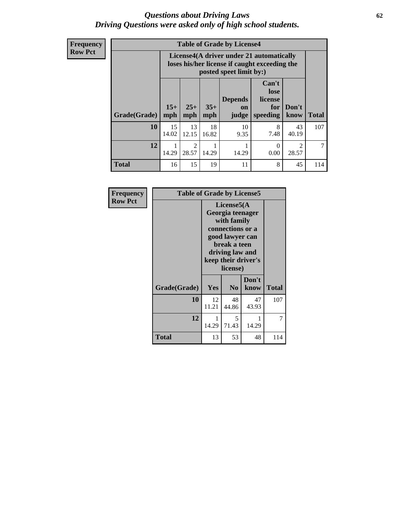### *Questions about Driving Laws* **62** *Driving Questions were asked only of high school students.*

**Frequency Row Pct**

| <b>Table of Grade by License4</b> |             |                                                                                                                                                                                                                                                                                |             |            |           |                         |     |  |
|-----------------------------------|-------------|--------------------------------------------------------------------------------------------------------------------------------------------------------------------------------------------------------------------------------------------------------------------------------|-------------|------------|-----------|-------------------------|-----|--|
|                                   |             | License4(A driver under 21 automatically<br>loses his/her license if caught exceeding the<br>posted speet limit by:)<br>Can't<br>lose<br><b>Depends</b><br>license<br>$15+$<br>$25+$<br>$35+$<br>Don't<br>for<br>on<br><b>Total</b><br>mph<br>speeding<br>know<br>mph<br>judge |             |            |           |                         |     |  |
| Grade(Grade)                      | mph         |                                                                                                                                                                                                                                                                                |             |            |           |                         |     |  |
| 10                                | 15<br>14.02 | 13<br>12.15                                                                                                                                                                                                                                                                    | 18<br>16.82 | 10<br>9.35 | 8<br>7.48 | 43<br>40.19             | 107 |  |
| 12                                | 14.29       | $\mathfrak{D}$<br>28.57                                                                                                                                                                                                                                                        | 14.29       | 14.29      | 0<br>0.00 | $\mathfrak{D}$<br>28.57 |     |  |
| <b>Total</b>                      | 16          | 15                                                                                                                                                                                                                                                                             | 19          | 11         | 8         | 45                      | 114 |  |

| Frequency      |              | <b>Table of Grade by License5</b>                                                                                                                           |                |               |              |  |  |  |
|----------------|--------------|-------------------------------------------------------------------------------------------------------------------------------------------------------------|----------------|---------------|--------------|--|--|--|
| <b>Row Pct</b> |              | License5(A)<br>Georgia teenager<br>with family<br>connections or a<br>good lawyer can<br>break a teen<br>driving law and<br>keep their driver's<br>license) |                |               |              |  |  |  |
|                | Grade(Grade) | Yes                                                                                                                                                         | N <sub>0</sub> | Don't<br>know | <b>Total</b> |  |  |  |
|                | 10           | 12<br>11.21                                                                                                                                                 | 48<br>44.86    | 47<br>43.93   | 107          |  |  |  |
|                | 12           | 1<br>14.29                                                                                                                                                  | 5<br>71.43     | 14.29         | 7            |  |  |  |
|                | Total        | 13                                                                                                                                                          | 53             | 48            | 114          |  |  |  |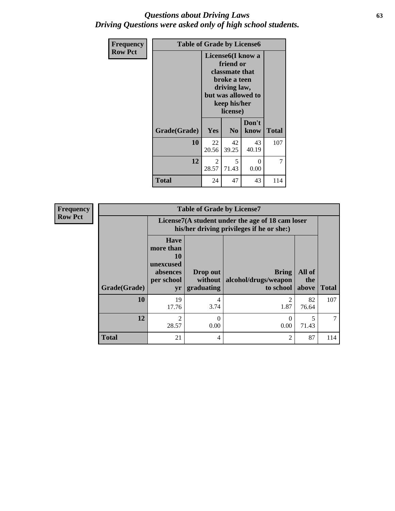### *Questions about Driving Laws* **63** *Driving Questions were asked only of high school students.*

| <b>Frequency</b> | <b>Table of Grade by License6</b> |                                                                                                                                                 |                |                  |              |  |  |
|------------------|-----------------------------------|-------------------------------------------------------------------------------------------------------------------------------------------------|----------------|------------------|--------------|--|--|
| <b>Row Pct</b>   |                                   | License <sub>6</sub> (I know a<br>friend or<br>classmate that<br>broke a teen<br>driving law,<br>but was allowed to<br>keep his/her<br>license) |                |                  |              |  |  |
|                  | Grade(Grade)                      | Yes                                                                                                                                             | N <sub>0</sub> | Don't<br>know    | <b>Total</b> |  |  |
|                  | 10                                | 22<br>20.56                                                                                                                                     | 42<br>39.25    | 43<br>40.19      | 107          |  |  |
|                  | 12                                | $\mathfrak{D}$<br>28.57                                                                                                                         | 5<br>71.43     | $\theta$<br>0.00 | 7            |  |  |
|                  | <b>Total</b>                      | 24                                                                                                                                              | 47             | 43               | 114          |  |  |

| <b>Frequency</b> | <b>Table of Grade by License7</b> |                                                                             |                                                                                               |                                            |                        |              |  |  |  |
|------------------|-----------------------------------|-----------------------------------------------------------------------------|-----------------------------------------------------------------------------------------------|--------------------------------------------|------------------------|--------------|--|--|--|
| <b>Row Pct</b>   |                                   |                                                                             | License7(A student under the age of 18 cam loser<br>his/her driving privileges if he or she:) |                                            |                        |              |  |  |  |
|                  | Grade(Grade)                      | <b>Have</b><br>more than<br>10<br>unexcused<br>absences<br>per school<br>yr | Drop out<br>without<br>graduating                                                             | Bring<br>alcohol/drugs/weapon<br>to school | All of<br>the<br>above | <b>Total</b> |  |  |  |
|                  | 10                                | 19<br>17.76                                                                 | 4<br>3.74                                                                                     | 1.87                                       | 82<br>76.64            | 107          |  |  |  |
|                  | 12                                | $\mathfrak{D}$<br>28.57                                                     | $\Omega$<br>0.00                                                                              | 0.00                                       | 71.43                  |              |  |  |  |
|                  | <b>Total</b>                      | 21                                                                          | 4                                                                                             | 2                                          | 87                     | 114          |  |  |  |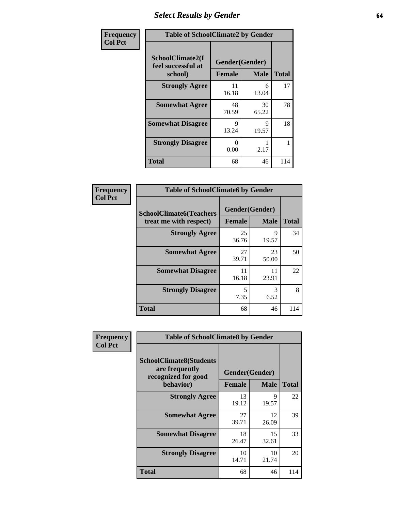# *Select Results by Gender* **64**

| Frequency      | <b>Table of SchoolClimate2 by Gender</b>          |                                 |             |              |  |  |  |
|----------------|---------------------------------------------------|---------------------------------|-------------|--------------|--|--|--|
| <b>Col Pct</b> | SchoolClimate2(I<br>feel successful at<br>school) | Gender(Gender)<br><b>Female</b> | <b>Male</b> | <b>Total</b> |  |  |  |
|                | <b>Strongly Agree</b>                             | 11<br>16.18                     | 6<br>13.04  | 17           |  |  |  |
|                | <b>Somewhat Agree</b>                             | 48<br>70.59                     | 30<br>65.22 | 78           |  |  |  |
|                | <b>Somewhat Disagree</b>                          | Q<br>13.24                      | 9<br>19.57  | 18           |  |  |  |
|                | <b>Strongly Disagree</b>                          | $\mathbf{0}$<br>0.00            | 2.17        |              |  |  |  |
|                | <b>Total</b>                                      | 68                              | 46          | 114          |  |  |  |

| Frequency      | <b>Table of SchoolClimate6 by Gender</b>                 |                                 |             |              |
|----------------|----------------------------------------------------------|---------------------------------|-------------|--------------|
| <b>Col Pct</b> | <b>SchoolClimate6(Teachers</b><br>treat me with respect) | Gender(Gender)<br><b>Female</b> | <b>Male</b> | <b>Total</b> |
|                | <b>Strongly Agree</b>                                    | 25<br>36.76                     | 9<br>19.57  | 34           |
|                | <b>Somewhat Agree</b>                                    | 27<br>39.71                     | 23<br>50.00 | 50           |
|                | <b>Somewhat Disagree</b>                                 | 11<br>16.18                     | 11<br>23.91 | 22           |
|                | <b>Strongly Disagree</b>                                 | 5<br>7.35                       | 3<br>6.52   | 8            |
|                | <b>Total</b>                                             | 68                              | 46          | 114          |

| Frequency      | <b>Table of SchoolClimate8 by Gender</b>                                             |                                 |             |              |  |  |  |
|----------------|--------------------------------------------------------------------------------------|---------------------------------|-------------|--------------|--|--|--|
| <b>Col Pct</b> | <b>SchoolClimate8(Students</b><br>are frequently<br>recognized for good<br>behavior) | Gender(Gender)<br><b>Female</b> | <b>Male</b> | <b>Total</b> |  |  |  |
|                |                                                                                      | 13                              | 9           | 22           |  |  |  |
|                | <b>Strongly Agree</b>                                                                | 19.12                           | 19.57       |              |  |  |  |
|                | <b>Somewhat Agree</b>                                                                | 27<br>39.71                     | 12<br>26.09 | 39           |  |  |  |
|                | <b>Somewhat Disagree</b>                                                             | 18<br>26.47                     | 15<br>32.61 | 33           |  |  |  |
|                | <b>Strongly Disagree</b>                                                             | 10<br>14.71                     | 10<br>21.74 | 20           |  |  |  |
|                | <b>Total</b>                                                                         | 68                              | 46          | 114          |  |  |  |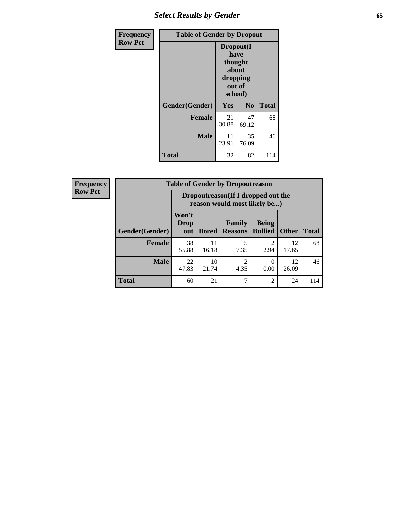# *Select Results by Gender* **65**

| Frequency      | <b>Table of Gender by Dropout</b> |                                                                        |                |              |
|----------------|-----------------------------------|------------------------------------------------------------------------|----------------|--------------|
| <b>Row Pct</b> |                                   | Dropout(I<br>have<br>thought<br>about<br>dropping<br>out of<br>school) |                |              |
|                | Gender(Gender)                    | <b>Yes</b>                                                             | N <sub>0</sub> | <b>Total</b> |
|                | Female                            | 21<br>30.88                                                            | 47<br>69.12    | 68           |
|                | <b>Male</b>                       | 11<br>23.91                                                            | 35<br>76.09    | 46           |
|                | <b>Total</b>                      | 32                                                                     | 82             | 114          |

| <b>Frequency</b> | <b>Table of Gender by Dropoutreason</b> |                                                                    |              |                                 |                                                                                                                                                                         |              |              |
|------------------|-----------------------------------------|--------------------------------------------------------------------|--------------|---------------------------------|-------------------------------------------------------------------------------------------------------------------------------------------------------------------------|--------------|--------------|
| <b>Row Pct</b>   |                                         | Dropoutreason(If I dropped out the<br>reason would most likely be) |              |                                 |                                                                                                                                                                         |              |              |
|                  | Gender(Gender)                          | Won't<br><b>Drop</b><br>out                                        | <b>Bored</b> | <b>Family</b><br><b>Reasons</b> | <b>Being</b><br><b>Bullied</b>                                                                                                                                          | <b>Other</b> | <b>Total</b> |
|                  | <b>Female</b>                           | 38<br>55.88                                                        | 11<br>16.18  | 7.35                            | $\mathcal{D}_{\mathcal{A}}^{\mathcal{A}}(\mathcal{A})=\mathcal{D}_{\mathcal{A}}^{\mathcal{A}}(\mathcal{A})\mathcal{D}_{\mathcal{A}}^{\mathcal{A}}(\mathcal{A})$<br>2.94 | 12<br>17.65  | 68           |
|                  | <b>Male</b>                             | 22<br>47.83                                                        | 10<br>21.74  | $\mathcal{P}$<br>4.35           | 0<br>0.00                                                                                                                                                               | 12<br>26.09  | 46           |
|                  | <b>Total</b>                            | 60                                                                 | 21           | 7                               | $\overline{2}$                                                                                                                                                          | 24           | 114          |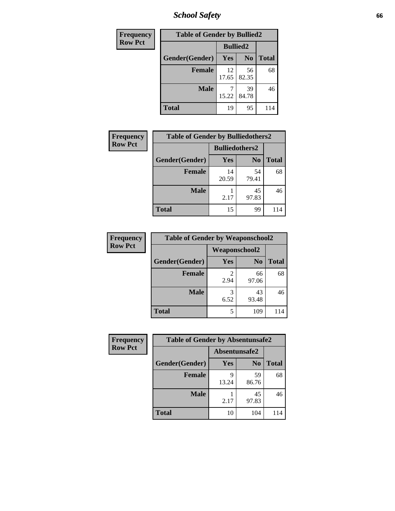*School Safety* **66**

| Frequency      | <b>Table of Gender by Bullied2</b> |                 |                |              |
|----------------|------------------------------------|-----------------|----------------|--------------|
| <b>Row Pct</b> |                                    | <b>Bullied2</b> |                |              |
|                | Gender(Gender)                     | Yes             | N <sub>0</sub> | <b>Total</b> |
|                | <b>Female</b>                      | 12<br>17.65     | 56<br>82.35    | 68           |
|                | <b>Male</b>                        | 15.22           | 39<br>84.78    | 46           |
|                | <b>Total</b>                       | 19              | 95             | 114          |

| Frequency      | <b>Table of Gender by Bulliedothers2</b> |                       |                |              |
|----------------|------------------------------------------|-----------------------|----------------|--------------|
| <b>Row Pct</b> |                                          | <b>Bulliedothers2</b> |                |              |
|                | Gender(Gender)                           | <b>Yes</b>            | N <sub>0</sub> | <b>Total</b> |
|                | <b>Female</b>                            | 14<br>20.59           | 54<br>79.41    | 68           |
|                | <b>Male</b>                              | 2.17                  | 45<br>97.83    | 46           |
|                | <b>Total</b>                             | 15                    | 99             | 114          |

| Frequency      | <b>Table of Gender by Weaponschool2</b> |                      |                |              |
|----------------|-----------------------------------------|----------------------|----------------|--------------|
| <b>Row Pct</b> |                                         | <b>Weaponschool2</b> |                |              |
|                | Gender(Gender)                          | Yes                  | N <sub>0</sub> | <b>Total</b> |
|                | <b>Female</b>                           | 2.94                 | 66<br>97.06    | 68           |
|                | <b>Male</b>                             | 3<br>6.52            | 43<br>93.48    | 46           |
|                | <b>Total</b>                            | 5                    | 109            | 114          |

| Frequency      | <b>Table of Gender by Absentunsafe2</b> |               |                |              |
|----------------|-----------------------------------------|---------------|----------------|--------------|
| <b>Row Pct</b> |                                         | Absentunsafe2 |                |              |
|                | Gender(Gender)                          | Yes           | N <sub>0</sub> | <b>Total</b> |
|                | <b>Female</b>                           | 13.24         | 59<br>86.76    | 68           |
|                | <b>Male</b>                             | 2.17          | 45<br>97.83    | 46           |
|                | <b>Total</b>                            | 10            | 104            | 114          |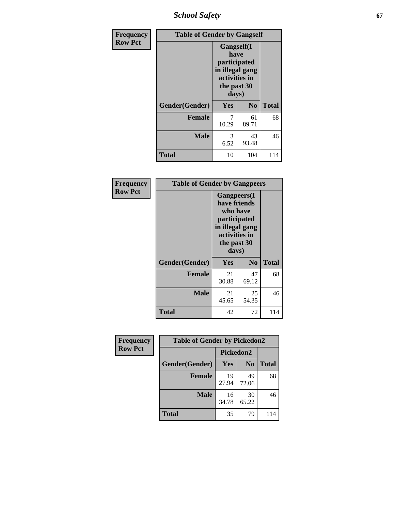*School Safety* **67**

| Frequency      | <b>Table of Gender by Gangself</b> |                                                                                                |                |              |
|----------------|------------------------------------|------------------------------------------------------------------------------------------------|----------------|--------------|
| <b>Row Pct</b> |                                    | Gangself(I<br>have<br>participated<br>in illegal gang<br>activities in<br>the past 30<br>days) |                |              |
|                | Gender(Gender)                     | Yes                                                                                            | N <sub>0</sub> | <b>Total</b> |
|                | <b>Female</b>                      | 7<br>10.29                                                                                     | 61<br>89.71    | 68           |
|                | <b>Male</b>                        | 3<br>6.52                                                                                      | 43<br>93.48    | 46           |
|                | <b>Total</b>                       | 10                                                                                             | 104            | 114          |

| Frequency      |                | <b>Table of Gender by Gangpeers</b>                                                                                         |                |              |  |
|----------------|----------------|-----------------------------------------------------------------------------------------------------------------------------|----------------|--------------|--|
| <b>Row Pct</b> |                | <b>Gangpeers</b> (I<br>have friends<br>who have<br>participated<br>in illegal gang<br>activities in<br>the past 30<br>days) |                |              |  |
|                | Gender(Gender) | <b>Yes</b>                                                                                                                  | N <sub>0</sub> | <b>Total</b> |  |
|                | <b>Female</b>  | 21<br>30.88                                                                                                                 | 47<br>69.12    | 68           |  |
|                | <b>Male</b>    | 21<br>45.65                                                                                                                 | 25<br>54.35    | 46           |  |
|                | <b>Total</b>   | 42                                                                                                                          | 72             | 114          |  |

| <b>Frequency</b> | <b>Table of Gender by Pickedon2</b> |             |                |              |
|------------------|-------------------------------------|-------------|----------------|--------------|
| <b>Row Pct</b>   |                                     | Pickedon2   |                |              |
|                  | Gender(Gender)                      | Yes         | N <sub>0</sub> | <b>Total</b> |
|                  | <b>Female</b>                       | 19<br>27.94 | 49<br>72.06    | 68           |
|                  | <b>Male</b>                         | 16<br>34.78 | 30<br>65.22    | 46           |
|                  | <b>Total</b>                        | 35          | 79             | 114          |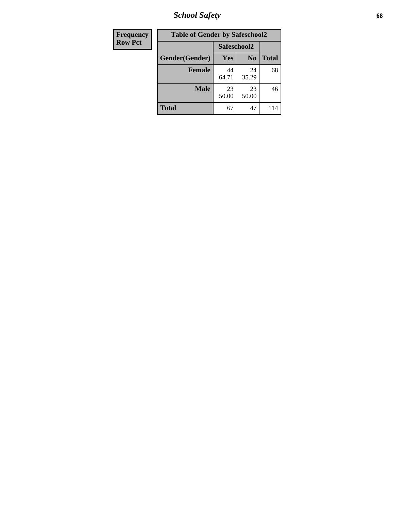*School Safety* **68**

| Frequency      | <b>Table of Gender by Safeschool2</b> |             |                |              |
|----------------|---------------------------------------|-------------|----------------|--------------|
| <b>Row Pct</b> |                                       | Safeschool2 |                |              |
|                | Gender(Gender)                        | <b>Yes</b>  | N <sub>0</sub> | <b>Total</b> |
|                | <b>Female</b>                         | 44<br>64.71 | 24<br>35.29    | 68           |
|                | <b>Male</b>                           | 23<br>50.00 | 23<br>50.00    | 46           |
|                | <b>Total</b>                          | 67          | 47             | 114          |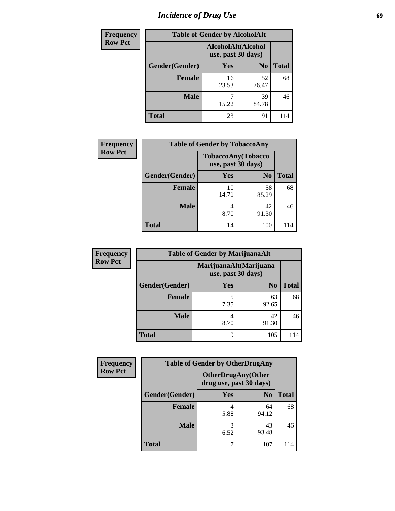# *Incidence of Drug Use* 69

| <b>Frequency</b> | <b>Table of Gender by AlcoholAlt</b> |                                          |                |              |  |
|------------------|--------------------------------------|------------------------------------------|----------------|--------------|--|
| <b>Row Pct</b>   |                                      | AlcoholAlt(Alcohol<br>use, past 30 days) |                |              |  |
|                  | Gender(Gender)                       | Yes                                      | N <sub>0</sub> | <b>Total</b> |  |
|                  | <b>Female</b>                        | 16<br>23.53                              | 52<br>76.47    | 68           |  |
|                  | <b>Male</b>                          | 15.22                                    | 39<br>84.78    | 46           |  |
|                  | <b>Total</b>                         | 23                                       | 91             | 114          |  |

| <b>Frequency</b> | <b>Table of Gender by TobaccoAny</b> |                    |                    |              |
|------------------|--------------------------------------|--------------------|--------------------|--------------|
| <b>Row Pct</b>   |                                      | use, past 30 days) | TobaccoAny(Tobacco |              |
|                  | Gender(Gender)                       | Yes                | N <sub>0</sub>     | <b>Total</b> |
|                  | Female                               | 10<br>14.71        | 58<br>85.29        | 68           |
|                  | <b>Male</b>                          | 4<br>8.70          | 42<br>91.30        | 46           |
|                  | <b>Total</b>                         | 14                 | 100                | 114          |

| <b>Frequency</b> | <b>Table of Gender by MarijuanaAlt</b> |                                              |                |              |  |
|------------------|----------------------------------------|----------------------------------------------|----------------|--------------|--|
| <b>Row Pct</b>   |                                        | MarijuanaAlt(Marijuana<br>use, past 30 days) |                |              |  |
|                  | Gender(Gender)                         | <b>Yes</b>                                   | N <sub>0</sub> | <b>Total</b> |  |
|                  | <b>Female</b>                          | 5<br>7.35                                    | 63<br>92.65    | 68           |  |
|                  | <b>Male</b>                            | 4<br>8.70                                    | 42<br>91.30    | 46           |  |
|                  | <b>Total</b>                           | 9                                            | 105            | 114          |  |

| <b>Frequency</b> | <b>Table of Gender by OtherDrugAny</b> |                         |                           |              |  |
|------------------|----------------------------------------|-------------------------|---------------------------|--------------|--|
| <b>Row Pct</b>   |                                        | drug use, past 30 days) | <b>OtherDrugAny(Other</b> |              |  |
|                  | Gender(Gender)                         | <b>Yes</b>              | N <sub>0</sub>            | <b>Total</b> |  |
|                  | <b>Female</b>                          | 5.88                    | 64<br>94.12               | 68           |  |
|                  | <b>Male</b>                            | 3<br>6.52               | 43<br>93.48               | 46           |  |
|                  | <b>Total</b>                           | 7                       | 107                       | 114          |  |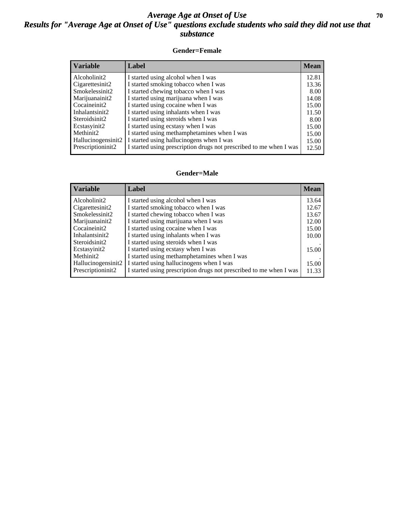### *Average Age at Onset of Use* 70 *Results for "Average Age at Onset of Use" questions exclude students who said they did not use that substance*

#### **Gender=Female**

| <b>Variable</b>                 | Label                                                              | <b>Mean</b> |
|---------------------------------|--------------------------------------------------------------------|-------------|
| Alcoholinit2                    | I started using alcohol when I was                                 | 12.81       |
| Cigarettesinit2                 | I started smoking tobacco when I was                               | 13.36       |
| Smokelessinit2                  | I started chewing tobacco when I was                               | 8.00        |
| Marijuanainit2                  | I started using marijuana when I was                               | 14.08       |
| Cocaineinit2                    | I started using cocaine when I was                                 | 15.00       |
| Inhalantsinit2                  | I started using inhalants when I was                               | 11.50       |
| Steroidsinit2                   | I started using steroids when I was                                | 8.00        |
| Ecstasyinit2                    | I started using ecstasy when I was                                 | 15.00       |
| Methinit2                       | I started using methamphetamines when I was                        | 15.00       |
| Hallucinogensinit2              | I started using hallucinogens when I was                           | 15.00       |
| Prescription in it <sub>2</sub> | I started using prescription drugs not prescribed to me when I was | 12.50       |

#### **Gender=Male**

| <b>Variable</b>    | Label                                                              | <b>Mean</b> |
|--------------------|--------------------------------------------------------------------|-------------|
| Alcoholinit2       | I started using alcohol when I was                                 | 13.64       |
| Cigarettesinit2    | I started smoking tobacco when I was                               | 12.67       |
| Smokelessinit2     | I started chewing tobacco when I was                               | 13.67       |
| Marijuanainit2     | I started using marijuana when I was                               | 12.00       |
| Cocaineinit2       | I started using cocaine when I was                                 | 15.00       |
| Inhalantsinit2     | I started using inhalants when I was                               | 10.00       |
| Steroidsinit2      | I started using steroids when I was                                |             |
| Ecstasyinit2       | I started using ecstasy when I was                                 | 15.00       |
| Methinit2          | I started using methamphetamines when I was                        |             |
| Hallucinogensinit2 | I started using hallucinogens when I was                           | 15.00       |
| Prescriptioninit2  | I started using prescription drugs not prescribed to me when I was | 11.33       |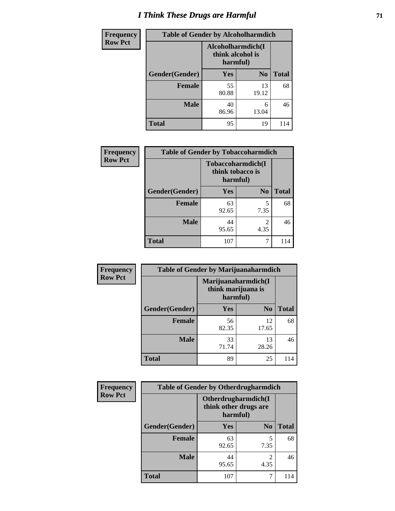# *I Think These Drugs are Harmful* **71**

| <b>Frequency</b> | <b>Table of Gender by Alcoholharmdich</b> |                                                   |                |              |
|------------------|-------------------------------------------|---------------------------------------------------|----------------|--------------|
| <b>Row Pct</b>   |                                           | Alcoholharmdich(I<br>think alcohol is<br>harmful) |                |              |
|                  | Gender(Gender)                            | Yes                                               | N <sub>0</sub> | <b>Total</b> |
|                  | <b>Female</b>                             | 55<br>80.88                                       | 13<br>19.12    | 68           |
|                  | <b>Male</b>                               | 40<br>86.96                                       | 6<br>13.04     | 46           |
|                  | <b>Total</b>                              | 95                                                | 19             | 114          |

| Frequency      | <b>Table of Gender by Tobaccoharmdich</b> |                                                   |                |              |
|----------------|-------------------------------------------|---------------------------------------------------|----------------|--------------|
| <b>Row Pct</b> |                                           | Tobaccoharmdich(I<br>think tobacco is<br>harmful) |                |              |
|                | Gender(Gender)                            | <b>Yes</b>                                        | N <sub>0</sub> | <b>Total</b> |
|                | <b>Female</b>                             | 63<br>92.65                                       | 5<br>7.35      | 68           |
|                | <b>Male</b>                               | 44<br>95.65                                       | 2<br>4.35      | 46           |
|                | <b>Total</b>                              | 107                                               |                | 114          |

| Frequency      | <b>Table of Gender by Marijuanaharmdich</b> |                                                       |                |              |  |
|----------------|---------------------------------------------|-------------------------------------------------------|----------------|--------------|--|
| <b>Row Pct</b> |                                             | Marijuanaharmdich(I<br>think marijuana is<br>harmful) |                |              |  |
|                | Gender(Gender)                              | <b>Yes</b>                                            | N <sub>0</sub> | <b>Total</b> |  |
|                | <b>Female</b>                               | 56<br>82.35                                           | 12<br>17.65    | 68           |  |
|                | <b>Male</b>                                 | 33<br>71.74                                           | 13<br>28.26    | 46           |  |
|                | <b>Total</b>                                | 89                                                    | 25             | 114          |  |

| <b>Frequency</b> | <b>Table of Gender by Otherdrugharmdich</b> |                                   |                        |              |
|------------------|---------------------------------------------|-----------------------------------|------------------------|--------------|
| <b>Row Pct</b>   |                                             | think other drugs are<br>harmful) | Otherdrugharmdich(I    |              |
|                  | Gender(Gender)                              | <b>Yes</b>                        | N <sub>0</sub>         | <b>Total</b> |
|                  | <b>Female</b>                               | 63<br>92.65                       | 5<br>7.35              | 68           |
|                  | <b>Male</b>                                 | 44<br>95.65                       | $\overline{c}$<br>4.35 | 46           |
|                  | <b>Total</b>                                | 107                               | 7                      | 114          |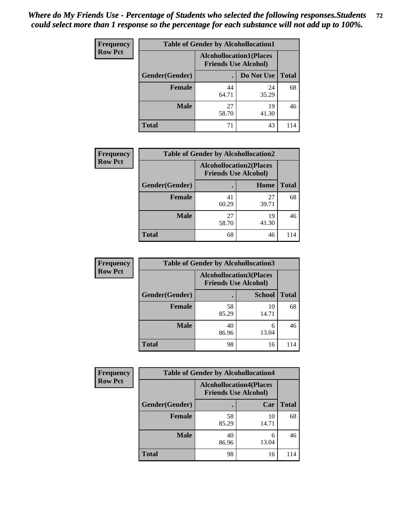| <b>Frequency</b> | <b>Table of Gender by Alcohollocation1</b> |                                                               |             |              |
|------------------|--------------------------------------------|---------------------------------------------------------------|-------------|--------------|
| <b>Row Pct</b>   |                                            | <b>Alcohollocation1(Places</b><br><b>Friends Use Alcohol)</b> |             |              |
|                  | Gender(Gender)                             |                                                               | Do Not Use  | <b>Total</b> |
|                  | <b>Female</b>                              | 44<br>64.71                                                   | 24<br>35.29 | 68           |
|                  | <b>Male</b>                                | 27<br>58.70                                                   | 19<br>41.30 | 46           |
|                  | <b>Total</b>                               |                                                               | 43          | 114          |

| <b>Frequency</b> | <b>Table of Gender by Alcohollocation2</b> |                                                               |             |              |
|------------------|--------------------------------------------|---------------------------------------------------------------|-------------|--------------|
| <b>Row Pct</b>   |                                            | <b>Alcohollocation2(Places</b><br><b>Friends Use Alcohol)</b> |             |              |
|                  | Gender(Gender)                             |                                                               | Home        | <b>Total</b> |
|                  | <b>Female</b>                              | 41<br>60.29                                                   | 27<br>39.71 | 68           |
|                  | <b>Male</b>                                | 27<br>58.70                                                   | 19<br>41.30 | 46           |
|                  | <b>Total</b>                               | 68                                                            | 46          |              |

| Frequency      | <b>Table of Gender by Alcohollocation3</b> |                             |                                |              |
|----------------|--------------------------------------------|-----------------------------|--------------------------------|--------------|
| <b>Row Pct</b> |                                            | <b>Friends Use Alcohol)</b> | <b>Alcohollocation3(Places</b> |              |
|                | Gender(Gender)                             |                             | <b>School</b>                  | <b>Total</b> |
|                | <b>Female</b>                              | 58<br>85.29                 | 10<br>14.71                    | 68           |
|                | <b>Male</b>                                | 40<br>86.96                 | 6<br>13.04                     | 46           |
|                | <b>Total</b>                               | 98                          | 16                             | 114          |

| <b>Frequency</b> | <b>Table of Gender by Alcohollocation4</b> |             |                                                               |              |
|------------------|--------------------------------------------|-------------|---------------------------------------------------------------|--------------|
| <b>Row Pct</b>   |                                            |             | <b>Alcohollocation4(Places</b><br><b>Friends Use Alcohol)</b> |              |
|                  | Gender(Gender)                             |             | Car                                                           | <b>Total</b> |
|                  | <b>Female</b>                              | 58<br>85.29 | 10<br>14.71                                                   | 68           |
|                  | <b>Male</b>                                | 40<br>86.96 | 6<br>13.04                                                    | 46           |
|                  | <b>Total</b>                               | 98          | 16                                                            | 114          |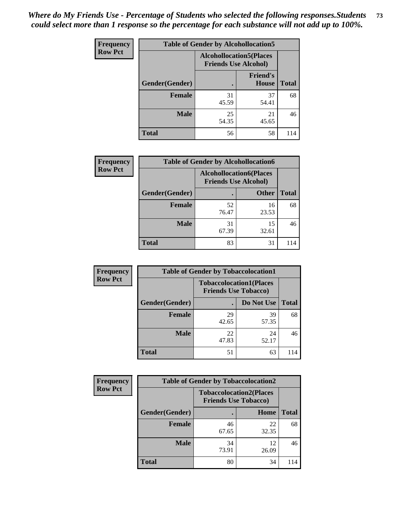| <b>Frequency</b> |                | <b>Table of Gender by Alcohollocation5</b>                     |                          |              |
|------------------|----------------|----------------------------------------------------------------|--------------------------|--------------|
| <b>Row Pct</b>   |                | <b>Alcohollocation5</b> (Places<br><b>Friends Use Alcohol)</b> |                          |              |
|                  | Gender(Gender) | $\bullet$                                                      | <b>Friend's</b><br>House | <b>Total</b> |
|                  | <b>Female</b>  | 31<br>45.59                                                    | 37<br>54.41              | 68           |
|                  | <b>Male</b>    | 25<br>54.35                                                    | 21<br>45.65              | 46           |
|                  | <b>Total</b>   | 56                                                             | 58                       | 114          |

| Frequency      | <b>Table of Gender by Alcohollocation6</b> |                                                               |              |              |  |
|----------------|--------------------------------------------|---------------------------------------------------------------|--------------|--------------|--|
| <b>Row Pct</b> |                                            | <b>Alcohollocation6(Places</b><br><b>Friends Use Alcohol)</b> |              |              |  |
|                | Gender(Gender)                             |                                                               | <b>Other</b> | <b>Total</b> |  |
|                | <b>Female</b>                              | 52<br>76.47                                                   | 16<br>23.53  | 68           |  |
|                | <b>Male</b>                                | 31<br>67.39                                                   | 15<br>32.61  | 46           |  |
|                | <b>Total</b>                               | 83                                                            | 31           | 114          |  |

| Frequency      | <b>Table of Gender by Tobaccolocation1</b>                    |             |             |              |  |
|----------------|---------------------------------------------------------------|-------------|-------------|--------------|--|
| <b>Row Pct</b> | <b>Tobaccolocation1(Places</b><br><b>Friends Use Tobacco)</b> |             |             |              |  |
|                | Gender(Gender)                                                |             | Do Not Use  | <b>Total</b> |  |
|                | Female                                                        | 29<br>42.65 | 39<br>57.35 | 68           |  |
|                | <b>Male</b>                                                   | 22<br>47.83 | 24<br>52.17 | 46           |  |
|                | <b>Total</b>                                                  | 51          | 63          | 114          |  |

| <b>Frequency</b> | <b>Table of Gender by Tobaccolocation2</b> |                             |                                |              |
|------------------|--------------------------------------------|-----------------------------|--------------------------------|--------------|
| <b>Row Pct</b>   |                                            | <b>Friends Use Tobacco)</b> | <b>Tobaccolocation2(Places</b> |              |
|                  | Gender(Gender)                             |                             | Home                           | <b>Total</b> |
|                  | Female                                     | 46<br>67.65                 | 22<br>32.35                    | 68           |
|                  | <b>Male</b>                                | 34<br>73.91                 | 12<br>26.09                    | 46           |
|                  | <b>Total</b>                               | 80                          | 34                             | 114          |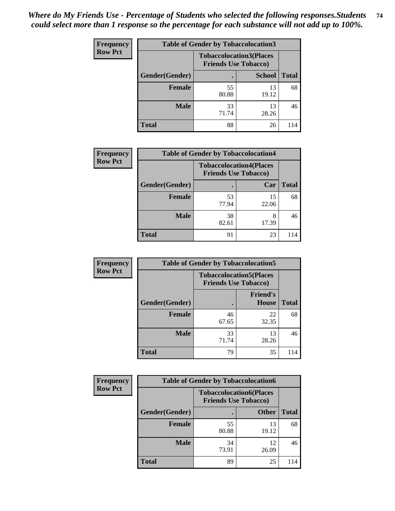| <b>Frequency</b> | <b>Table of Gender by Tobaccolocation3</b> |             |                                                               |              |
|------------------|--------------------------------------------|-------------|---------------------------------------------------------------|--------------|
| <b>Row Pct</b>   |                                            |             | <b>Tobaccolocation3(Places</b><br><b>Friends Use Tobacco)</b> |              |
|                  | Gender(Gender)                             |             | <b>School</b>                                                 | <b>Total</b> |
|                  | <b>Female</b>                              | 55<br>80.88 | 13<br>19.12                                                   | 68           |
|                  | <b>Male</b>                                | 33<br>71.74 | 13<br>28.26                                                   | 46           |
|                  | <b>Total</b>                               | 88          | 26                                                            | 114          |

| <b>Frequency</b> | <b>Table of Gender by Tobaccolocation4</b> |                                                               |             |              |
|------------------|--------------------------------------------|---------------------------------------------------------------|-------------|--------------|
| <b>Row Pct</b>   |                                            | <b>Tobaccolocation4(Places</b><br><b>Friends Use Tobacco)</b> |             |              |
|                  | Gender(Gender)                             |                                                               | Car         | <b>Total</b> |
|                  | Female                                     | 53<br>77.94                                                   | 15<br>22.06 | 68           |
|                  | <b>Male</b>                                | 38<br>82.61                                                   | 17.39       | 46           |
|                  | <b>Total</b>                               | 91                                                            | 23          | 114          |

| <b>Frequency</b> | <b>Table of Gender by Tobaccolocation5</b>                    |             |                          |              |
|------------------|---------------------------------------------------------------|-------------|--------------------------|--------------|
| <b>Row Pct</b>   | <b>Tobaccolocation5(Places</b><br><b>Friends Use Tobacco)</b> |             |                          |              |
|                  | Gender(Gender)                                                |             | <b>Friend's</b><br>House | <b>Total</b> |
|                  | <b>Female</b>                                                 | 46<br>67.65 | 22<br>32.35              | 68           |
|                  | <b>Male</b>                                                   | 33<br>71.74 | 13<br>28.26              | 46           |
|                  | <b>Total</b>                                                  | 79          | 35                       | 114          |

| <b>Frequency</b> | <b>Table of Gender by Tobaccolocation6</b> |                             |                                |              |
|------------------|--------------------------------------------|-----------------------------|--------------------------------|--------------|
| <b>Row Pct</b>   |                                            | <b>Friends Use Tobacco)</b> | <b>Tobaccolocation6(Places</b> |              |
|                  | Gender(Gender)                             |                             | <b>Other</b>                   | <b>Total</b> |
|                  | Female                                     | 55<br>80.88                 | 13<br>19.12                    | 68           |
|                  | <b>Male</b>                                | 34<br>73.91                 | 12<br>26.09                    | 46           |
|                  | <b>Total</b>                               | 89                          | 25                             | 114          |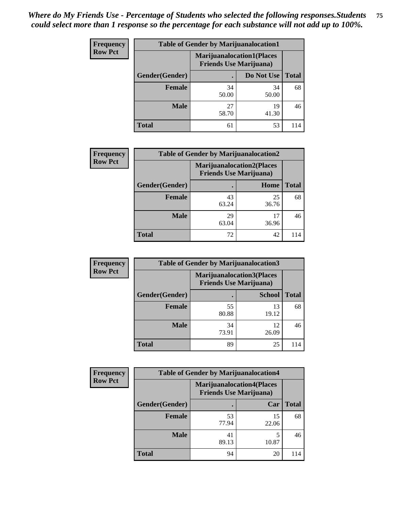| <b>Frequency</b> | <b>Table of Gender by Marijuanalocation1</b> |                                                                    |             |              |  |
|------------------|----------------------------------------------|--------------------------------------------------------------------|-------------|--------------|--|
| <b>Row Pct</b>   |                                              | <b>Marijuanalocation1(Places</b><br><b>Friends Use Marijuana</b> ) |             |              |  |
|                  | Gender(Gender)                               |                                                                    | Do Not Use  | <b>Total</b> |  |
|                  | <b>Female</b>                                | 34<br>50.00                                                        | 34<br>50.00 | 68           |  |
|                  | <b>Male</b>                                  | 27<br>58.70                                                        | 19<br>41.30 | 46           |  |
|                  | Total                                        | 61                                                                 | 53          |              |  |

| <b>Frequency</b> | <b>Table of Gender by Marijuanalocation2</b> |                                                                    |             |              |  |
|------------------|----------------------------------------------|--------------------------------------------------------------------|-------------|--------------|--|
| <b>Row Pct</b>   |                                              | <b>Marijuanalocation2(Places</b><br><b>Friends Use Marijuana</b> ) |             |              |  |
|                  | Gender(Gender)                               |                                                                    | Home        | <b>Total</b> |  |
|                  | <b>Female</b>                                | 43<br>63.24                                                        | 25<br>36.76 | 68           |  |
|                  | Male                                         | 29<br>63.04                                                        | 36.96       | 46           |  |
|                  | <b>Total</b>                                 | 72                                                                 | 42          | 114          |  |

| Frequency      | <b>Table of Gender by Marijuanalocation3</b> |             |                                                                    |              |
|----------------|----------------------------------------------|-------------|--------------------------------------------------------------------|--------------|
| <b>Row Pct</b> |                                              |             | <b>Marijuanalocation3(Places</b><br><b>Friends Use Marijuana</b> ) |              |
|                | Gender(Gender)                               |             | <b>School</b>                                                      | <b>Total</b> |
|                | Female                                       | 55<br>80.88 | 13<br>19.12                                                        | 68           |
|                | <b>Male</b>                                  | 34<br>73.91 | 12<br>26.09                                                        | 46           |
|                | <b>Total</b>                                 | 89          | 25                                                                 | 114          |

| <b>Frequency</b> | <b>Table of Gender by Marijuanalocation4</b> |                                |                                  |              |  |
|------------------|----------------------------------------------|--------------------------------|----------------------------------|--------------|--|
| <b>Row Pct</b>   |                                              | <b>Friends Use Marijuana</b> ) | <b>Marijuanalocation4(Places</b> |              |  |
|                  | Gender(Gender)                               |                                | Car                              | <b>Total</b> |  |
|                  | <b>Female</b>                                | 53<br>77.94                    | 15<br>22.06                      | 68           |  |
|                  | <b>Male</b>                                  | 41<br>89.13                    | 10.87                            | 46           |  |
|                  | <b>Total</b>                                 | 94                             | 20                               | 114          |  |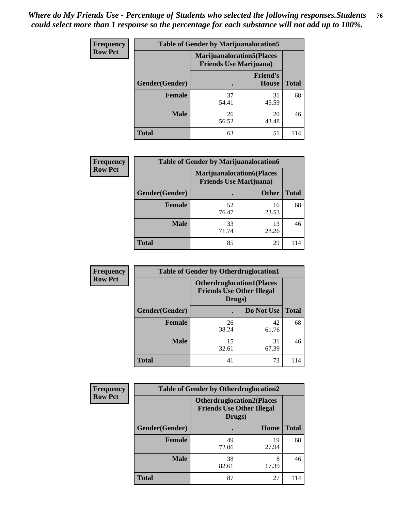| Frequency      | <b>Table of Gender by Marijuanalocation5</b> |                                                                     |                          |              |
|----------------|----------------------------------------------|---------------------------------------------------------------------|--------------------------|--------------|
| <b>Row Pct</b> |                                              | <b>Marijuanalocation5</b> (Places<br><b>Friends Use Marijuana</b> ) |                          |              |
|                | Gender(Gender)                               |                                                                     | <b>Friend's</b><br>House | <b>Total</b> |
|                | <b>Female</b>                                | 37<br>54.41                                                         | 31<br>45.59              | 68           |
|                | <b>Male</b>                                  | 26<br>56.52                                                         | 20<br>43.48              | 46           |
|                | <b>Total</b>                                 | 63                                                                  | 51                       | 114          |

| <b>Frequency</b> | <b>Table of Gender by Marijuanalocation6</b> |                                |                                  |              |  |
|------------------|----------------------------------------------|--------------------------------|----------------------------------|--------------|--|
| <b>Row Pct</b>   |                                              | <b>Friends Use Marijuana</b> ) | <b>Marijuanalocation6(Places</b> |              |  |
|                  | <b>Gender</b> (Gender)                       |                                | <b>Other</b>                     | <b>Total</b> |  |
|                  | <b>Female</b>                                | 52<br>76.47                    | 16<br>23.53                      | 68           |  |
|                  | <b>Male</b>                                  | 33<br>71.74                    | 13<br>28.26                      | 46           |  |
|                  | <b>Total</b>                                 | 85                             | 29                               |              |  |

| <b>Frequency</b> | <b>Table of Gender by Otherdruglocation1</b> |                                                                                |             |              |
|------------------|----------------------------------------------|--------------------------------------------------------------------------------|-------------|--------------|
| <b>Row Pct</b>   |                                              | <b>Otherdruglocation1(Places</b><br><b>Friends Use Other Illegal</b><br>Drugs) |             |              |
|                  | Gender(Gender)                               |                                                                                | Do Not Use  | <b>Total</b> |
|                  | Female                                       | 26<br>38.24                                                                    | 42<br>61.76 | 68           |
|                  | <b>Male</b>                                  | 15<br>32.61                                                                    | 31<br>67.39 | 46           |
|                  | <b>Total</b>                                 | 41                                                                             | 73          | 114          |

| Frequency      | <b>Table of Gender by Otherdruglocation2</b> |                                                                                |             |              |
|----------------|----------------------------------------------|--------------------------------------------------------------------------------|-------------|--------------|
| <b>Row Pct</b> |                                              | <b>Otherdruglocation2(Places</b><br><b>Friends Use Other Illegal</b><br>Drugs) |             |              |
|                | Gender(Gender)                               |                                                                                | Home        | <b>Total</b> |
|                | <b>Female</b>                                | 49<br>72.06                                                                    | 19<br>27.94 | 68           |
|                | <b>Male</b>                                  | 38<br>82.61                                                                    | 8<br>17.39  | 46           |
|                | <b>Total</b>                                 | 87                                                                             | 27          | 114          |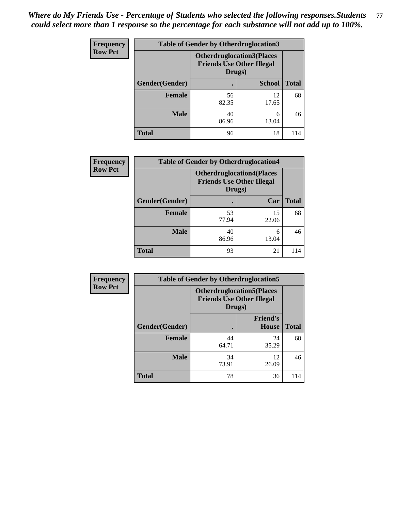| Frequency      | <b>Table of Gender by Otherdruglocation3</b> |                                                                                |               |              |
|----------------|----------------------------------------------|--------------------------------------------------------------------------------|---------------|--------------|
| <b>Row Pct</b> |                                              | <b>Otherdruglocation3(Places</b><br><b>Friends Use Other Illegal</b><br>Drugs) |               |              |
|                | Gender(Gender)                               |                                                                                | <b>School</b> | <b>Total</b> |
|                | <b>Female</b>                                | 56<br>82.35                                                                    | 12<br>17.65   | 68           |
|                | <b>Male</b>                                  | 40<br>86.96                                                                    | 6<br>13.04    | 46           |
|                | <b>Total</b>                                 | 96                                                                             | 18            | 114          |

| Frequency      | <b>Table of Gender by Otherdruglocation4</b> |                                                                                |             |              |
|----------------|----------------------------------------------|--------------------------------------------------------------------------------|-------------|--------------|
| <b>Row Pct</b> |                                              | <b>Otherdruglocation4(Places</b><br><b>Friends Use Other Illegal</b><br>Drugs) |             |              |
|                | Gender(Gender)                               |                                                                                | Car         | <b>Total</b> |
|                | <b>Female</b>                                | 53<br>77.94                                                                    | 15<br>22.06 | 68           |
|                | <b>Male</b>                                  | 40<br>86.96                                                                    | 6<br>13.04  | 46           |
|                | <b>Total</b>                                 | 93                                                                             | 21          | 114          |

| Frequency      | <b>Table of Gender by Otherdruglocation5</b> |                                                                                |                                 |              |
|----------------|----------------------------------------------|--------------------------------------------------------------------------------|---------------------------------|--------------|
| <b>Row Pct</b> |                                              | <b>Otherdruglocation5(Places</b><br><b>Friends Use Other Illegal</b><br>Drugs) |                                 |              |
|                | Gender(Gender)                               |                                                                                | <b>Friend's</b><br><b>House</b> | <b>Total</b> |
|                | <b>Female</b>                                | 44<br>64.71                                                                    | 24<br>35.29                     | 68           |
|                | <b>Male</b>                                  | 34<br>73.91                                                                    | 12<br>26.09                     | 46           |
|                | <b>Total</b>                                 | 78                                                                             | 36                              | 114          |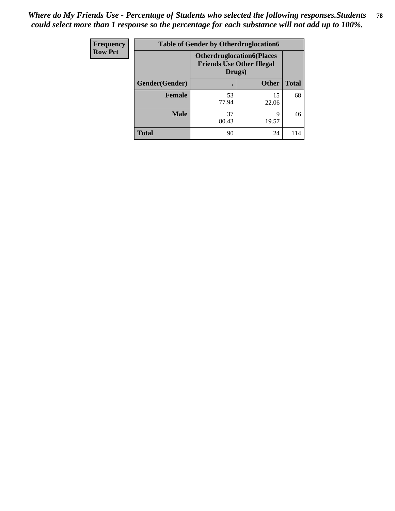| <b>Frequency</b> | <b>Table of Gender by Otherdruglocation6</b> |                                                                                |              |              |
|------------------|----------------------------------------------|--------------------------------------------------------------------------------|--------------|--------------|
| <b>Row Pct</b>   |                                              | <b>Otherdruglocation6(Places</b><br><b>Friends Use Other Illegal</b><br>Drugs) |              |              |
|                  | Gender(Gender)                               |                                                                                | <b>Other</b> | <b>Total</b> |
|                  | Female                                       | 53<br>77.94                                                                    | 15<br>22.06  | 68           |
|                  | <b>Male</b>                                  | 37<br>80.43                                                                    | q<br>19.57   | 46           |
|                  | <b>Total</b>                                 | 90                                                                             | 24           | 114          |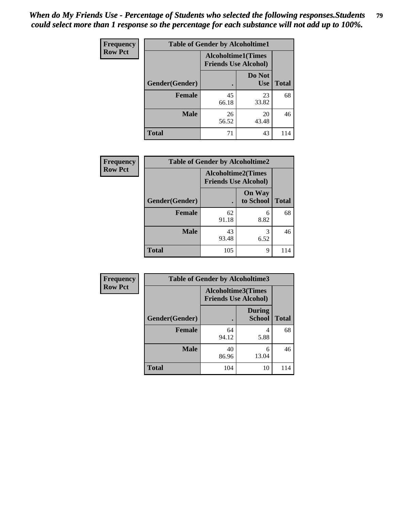| Frequency      | <b>Table of Gender by Alcoholtime1</b> |                                                          |                      |              |
|----------------|----------------------------------------|----------------------------------------------------------|----------------------|--------------|
| <b>Row Pct</b> |                                        | <b>Alcoholtime1(Times</b><br><b>Friends Use Alcohol)</b> |                      |              |
|                | Gender(Gender)                         |                                                          | Do Not<br><b>Use</b> | <b>Total</b> |
|                | <b>Female</b>                          | 45<br>66.18                                              | 23<br>33.82          | 68           |
|                | <b>Male</b>                            | 26<br>56.52                                              | 20<br>43.48          | 46           |
|                | <b>Total</b>                           | 71                                                       | 43                   | 114          |

| Frequency      | <b>Table of Gender by Alcoholtime2</b> |                                                          |                            |              |
|----------------|----------------------------------------|----------------------------------------------------------|----------------------------|--------------|
| <b>Row Pct</b> |                                        | <b>Alcoholtime2(Times</b><br><b>Friends Use Alcohol)</b> |                            |              |
|                | Gender(Gender)                         |                                                          | <b>On Way</b><br>to School | <b>Total</b> |
|                | <b>Female</b>                          | 62<br>91.18                                              | 6<br>8.82                  | 68           |
|                | <b>Male</b>                            | 43<br>93.48                                              | 3<br>6.52                  | 46           |
|                | <b>Total</b>                           | 105                                                      | 9                          | 114          |

| <b>Frequency</b> | <b>Table of Gender by Alcoholtime3</b> |                                                          |                                |              |
|------------------|----------------------------------------|----------------------------------------------------------|--------------------------------|--------------|
| <b>Row Pct</b>   |                                        | <b>Alcoholtime3(Times</b><br><b>Friends Use Alcohol)</b> |                                |              |
|                  | Gender(Gender)                         |                                                          | <b>During</b><br><b>School</b> | <b>Total</b> |
|                  | Female                                 | 64<br>94.12                                              | 4<br>5.88                      | 68           |
|                  | <b>Male</b>                            | 40<br>86.96                                              | 6<br>13.04                     | 46           |
|                  | <b>Total</b>                           | 104                                                      | 10                             | 114          |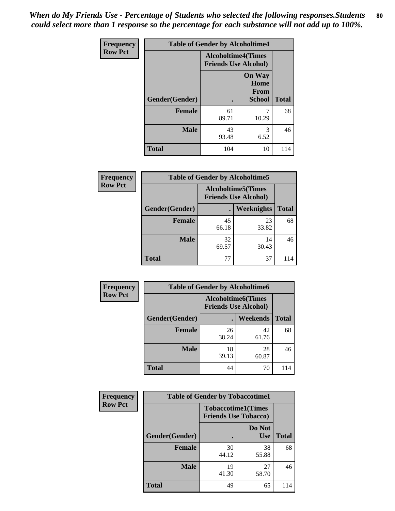*When do My Friends Use - Percentage of Students who selected the following responses.Students could select more than 1 response so the percentage for each substance will not add up to 100%.* **80**

| <b>Frequency</b> | <b>Table of Gender by Alcoholtime4</b> |                                                          |                               |              |
|------------------|----------------------------------------|----------------------------------------------------------|-------------------------------|--------------|
| <b>Row Pct</b>   |                                        | <b>Alcoholtime4(Times</b><br><b>Friends Use Alcohol)</b> |                               |              |
|                  |                                        |                                                          | <b>On Way</b><br>Home<br>From |              |
|                  | Gender(Gender)                         |                                                          | <b>School</b>                 | <b>Total</b> |
|                  | <b>Female</b>                          | 61<br>89.71                                              | 7<br>10.29                    | 68           |
|                  | <b>Male</b>                            | 43<br>93.48                                              | 3<br>6.52                     | 46           |
|                  | <b>Total</b>                           | 104                                                      | 10                            | 114          |

| <b>Frequency</b> | <b>Table of Gender by Alcoholtime5</b> |                                                          |                   |              |  |
|------------------|----------------------------------------|----------------------------------------------------------|-------------------|--------------|--|
| <b>Row Pct</b>   |                                        | <b>Alcoholtime5(Times</b><br><b>Friends Use Alcohol)</b> |                   |              |  |
|                  | Gender(Gender)                         | $\bullet$                                                | <b>Weeknights</b> | <b>Total</b> |  |
|                  | <b>Female</b>                          | 45<br>66.18                                              | 23<br>33.82       | 68           |  |
|                  | <b>Male</b>                            | 32<br>69.57                                              | 14<br>30.43       | 46           |  |
|                  | <b>Total</b>                           | 77                                                       | 37                | 114          |  |

| <b>Frequency</b> | <b>Table of Gender by Alcoholtime6</b> |             |                                                          |              |
|------------------|----------------------------------------|-------------|----------------------------------------------------------|--------------|
| <b>Row Pct</b>   |                                        |             | <b>Alcoholtime6(Times</b><br><b>Friends Use Alcohol)</b> |              |
|                  | Gender(Gender)                         |             | Weekends                                                 | <b>Total</b> |
|                  | Female                                 | 26<br>38.24 | 42<br>61.76                                              | 68           |
|                  | <b>Male</b>                            | 18<br>39.13 | 28<br>60.87                                              | 46           |
|                  | <b>Total</b>                           | 44          | 70                                                       | 114          |

| Frequency      | <b>Table of Gender by Tobaccotime1</b> |                                                          |                      |              |
|----------------|----------------------------------------|----------------------------------------------------------|----------------------|--------------|
| <b>Row Pct</b> |                                        | <b>Tobaccotime1(Times</b><br><b>Friends Use Tobacco)</b> |                      |              |
|                | Gender(Gender)                         |                                                          | Do Not<br><b>Use</b> | <b>Total</b> |
|                | <b>Female</b>                          | 30<br>44.12                                              | 38<br>55.88          | 68           |
|                | <b>Male</b>                            | 19<br>41.30                                              | 27<br>58.70          | 46           |
|                | <b>Total</b>                           | 49                                                       | 65                   | 114          |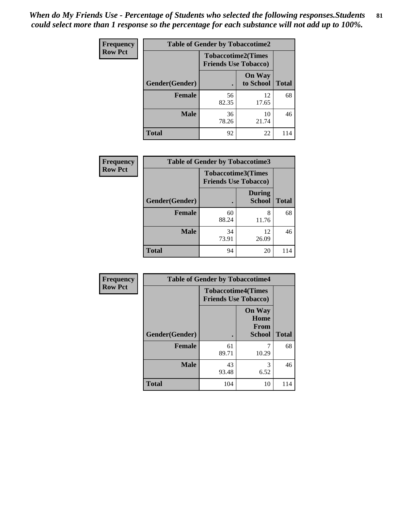| <b>Frequency</b> | <b>Table of Gender by Tobaccotime2</b> |                                                          |                            |              |
|------------------|----------------------------------------|----------------------------------------------------------|----------------------------|--------------|
| <b>Row Pct</b>   |                                        | <b>Tobaccotime2(Times</b><br><b>Friends Use Tobacco)</b> |                            |              |
|                  | Gender(Gender)                         |                                                          | <b>On Way</b><br>to School | <b>Total</b> |
|                  | <b>Female</b>                          | 56<br>82.35                                              | 12<br>17.65                | 68           |
|                  | <b>Male</b>                            | 36<br>78.26                                              | 10<br>21.74                | 46           |
|                  | <b>Total</b>                           | 92                                                       | 22                         | 114          |

| <b>Frequency</b> | <b>Table of Gender by Tobaccotime3</b> |                                                          |                                |              |
|------------------|----------------------------------------|----------------------------------------------------------|--------------------------------|--------------|
| <b>Row Pct</b>   |                                        | <b>Tobaccotime3(Times</b><br><b>Friends Use Tobacco)</b> |                                |              |
|                  | Gender(Gender)                         |                                                          | <b>During</b><br><b>School</b> | <b>Total</b> |
|                  | <b>Female</b>                          | 60<br>88.24                                              | 8<br>11.76                     | 68           |
|                  | <b>Male</b>                            | 34<br>73.91                                              | 12<br>26.09                    | 46           |
|                  | <b>Total</b>                           | 94                                                       | 20                             | 114          |

| Frequency      | <b>Table of Gender by Tobaccotime4</b> |                                                          |                                                       |              |
|----------------|----------------------------------------|----------------------------------------------------------|-------------------------------------------------------|--------------|
| <b>Row Pct</b> |                                        | <b>Tobaccotime4(Times</b><br><b>Friends Use Tobacco)</b> |                                                       |              |
|                | Gender(Gender)                         |                                                          | <b>On Way</b><br>Home<br><b>From</b><br><b>School</b> | <b>Total</b> |
|                | <b>Female</b>                          | 61<br>89.71                                              | 10.29                                                 | 68           |
|                | <b>Male</b>                            | 43<br>93.48                                              | 3<br>6.52                                             | 46           |
|                | <b>Total</b>                           | 104                                                      | 10                                                    | 114          |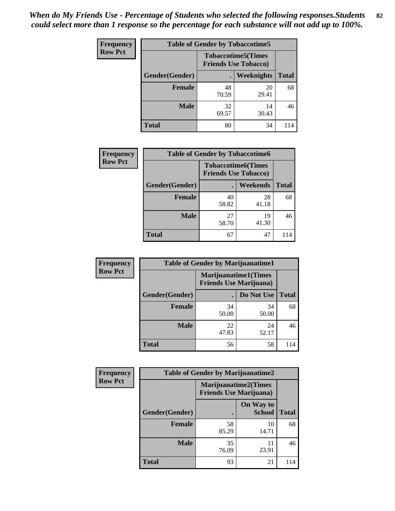| <b>Frequency</b> | <b>Table of Gender by Tobaccotime5</b> |                                                           |             |              |  |
|------------------|----------------------------------------|-----------------------------------------------------------|-------------|--------------|--|
| <b>Row Pct</b>   |                                        | <b>Tobaccotime5</b> (Times<br><b>Friends Use Tobacco)</b> |             |              |  |
|                  | <b>Gender</b> (Gender)                 |                                                           | Weeknights  | <b>Total</b> |  |
|                  | <b>Female</b>                          | 48<br>70.59                                               | 20<br>29.41 | 68           |  |
|                  | <b>Male</b>                            | 32<br>69.57                                               | 14<br>30.43 | 46           |  |
|                  | Total                                  | 80                                                        | 34          | 114          |  |

| <b>Frequency</b> |                | <b>Table of Gender by Tobaccotime6</b>                   |                 |              |
|------------------|----------------|----------------------------------------------------------|-----------------|--------------|
| <b>Row Pct</b>   |                | <b>Tobaccotime6(Times</b><br><b>Friends Use Tobacco)</b> |                 |              |
|                  | Gender(Gender) |                                                          | <b>Weekends</b> | <b>Total</b> |
|                  | Female         | 40<br>58.82                                              | 28<br>41.18     | 68           |
|                  | <b>Male</b>    | 27<br>58.70                                              | 19<br>41.30     | 46           |
|                  | <b>Total</b>   | 67                                                       | 47              |              |

| <b>Frequency</b> | <b>Table of Gender by Marijuanatime1</b> |                                |                             |              |
|------------------|------------------------------------------|--------------------------------|-----------------------------|--------------|
| <b>Row Pct</b>   |                                          | <b>Friends Use Marijuana</b> ) | <b>Marijuanatime1(Times</b> |              |
|                  | Gender(Gender)                           |                                | Do Not Use                  | <b>Total</b> |
|                  | <b>Female</b>                            | 34<br>50.00                    | 34<br>50.00                 | 68           |
|                  | <b>Male</b>                              | 22<br>47.83                    | 24<br>52.17                 | 46           |
|                  | <b>Total</b>                             | 56                             | 58                          | 114          |

| <b>Frequency</b> | <b>Table of Gender by Marijuanatime2</b> |                                                        |                            |              |
|------------------|------------------------------------------|--------------------------------------------------------|----------------------------|--------------|
| <b>Row Pct</b>   |                                          | Marijuanatime2(Times<br><b>Friends Use Marijuana</b> ) |                            |              |
|                  | Gender(Gender)                           |                                                        | On Way to<br><b>School</b> | <b>Total</b> |
|                  | <b>Female</b>                            | 58<br>85.29                                            | 10<br>14.71                | 68           |
|                  | <b>Male</b>                              | 35<br>76.09                                            | 11<br>23.91                | 46           |
|                  | <b>Total</b>                             | 93                                                     | 21                         | 114          |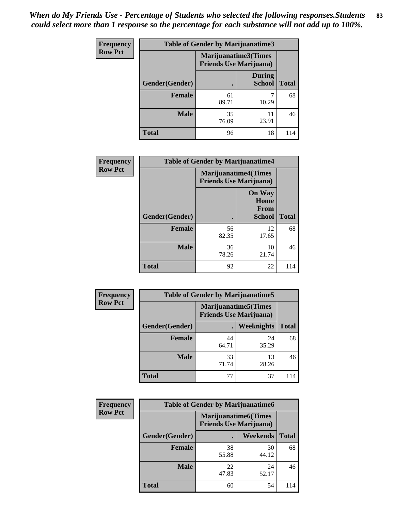| Frequency      | Table of Gender by Marijuanatime3 |                                                        |                                |              |
|----------------|-----------------------------------|--------------------------------------------------------|--------------------------------|--------------|
| <b>Row Pct</b> |                                   | Marijuanatime3(Times<br><b>Friends Use Marijuana</b> ) |                                |              |
|                | Gender(Gender)                    |                                                        | <b>During</b><br><b>School</b> | <b>Total</b> |
|                | <b>Female</b>                     | 61<br>89.71                                            | 10.29                          | 68           |
|                | <b>Male</b>                       | 35<br>76.09                                            | 11<br>23.91                    | 46           |
|                | <b>Total</b>                      | 96                                                     | 18                             | 114          |

| Frequency      | <b>Table of Gender by Marijuanatime4</b> |                             |                                                |              |
|----------------|------------------------------------------|-----------------------------|------------------------------------------------|--------------|
| <b>Row Pct</b> |                                          | <b>Marijuanatime4(Times</b> | <b>Friends Use Marijuana</b> )                 |              |
|                | Gender(Gender)                           |                             | <b>On Way</b><br>Home<br>From<br><b>School</b> | <b>Total</b> |
|                | <b>Female</b>                            | 56<br>82.35                 | 12<br>17.65                                    | 68           |
|                | <b>Male</b>                              | 36<br>78.26                 | 10<br>21.74                                    | 46           |
|                | <b>Total</b>                             | 92                          | 22                                             | 114          |

| Frequency      | <b>Table of Gender by Marijuanatime5</b> |                                                                |             |              |  |
|----------------|------------------------------------------|----------------------------------------------------------------|-------------|--------------|--|
| <b>Row Pct</b> |                                          | <b>Marijuanatime5</b> (Times<br><b>Friends Use Marijuana</b> ) |             |              |  |
|                | Gender(Gender)                           |                                                                | Weeknights  | <b>Total</b> |  |
|                | <b>Female</b>                            | 44<br>64.71                                                    | 24<br>35.29 | 68           |  |
|                | <b>Male</b>                              | 33<br>71.74                                                    | 13<br>28.26 | 46           |  |
|                | <b>Total</b>                             | 77                                                             | 37          | 114          |  |

| <b>Frequency</b> | <b>Table of Gender by Marijuanatime6</b> |                                                               |             |              |  |
|------------------|------------------------------------------|---------------------------------------------------------------|-------------|--------------|--|
| <b>Row Pct</b>   |                                          | <b>Marijuanatime6(Times</b><br><b>Friends Use Marijuana</b> ) |             |              |  |
|                  | Gender(Gender)                           |                                                               | Weekends    | <b>Total</b> |  |
|                  | <b>Female</b>                            | 38<br>55.88                                                   | 30<br>44.12 | 68           |  |
|                  | <b>Male</b>                              | 22<br>47.83                                                   | 24<br>52.17 | 46           |  |
|                  | <b>Total</b>                             | 60                                                            | 54          | 114          |  |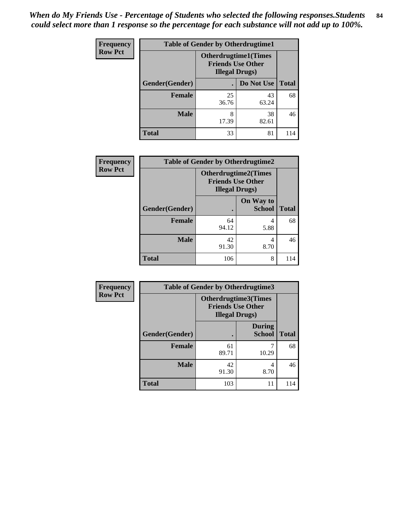*When do My Friends Use - Percentage of Students who selected the following responses.Students could select more than 1 response so the percentage for each substance will not add up to 100%.* **84**

| <b>Frequency</b> | <b>Table of Gender by Otherdrugtime1</b> |                                                                                   |             |              |  |  |
|------------------|------------------------------------------|-----------------------------------------------------------------------------------|-------------|--------------|--|--|
| <b>Row Pct</b>   |                                          | <b>Otherdrugtime1(Times</b><br><b>Friends Use Other</b><br><b>Illegal Drugs</b> ) |             |              |  |  |
|                  | Gender(Gender)                           |                                                                                   | Do Not Use  | <b>Total</b> |  |  |
|                  | <b>Female</b>                            | 25<br>36.76                                                                       | 43<br>63.24 | 68           |  |  |
|                  | <b>Male</b>                              | 8<br>17.39                                                                        | 38<br>82.61 | 46           |  |  |
|                  | <b>Total</b>                             | 33                                                                                | 81          | 114          |  |  |

| Frequency      | <b>Table of Gender by Otherdrugtime2</b> |                                                                                   |                            |              |  |
|----------------|------------------------------------------|-----------------------------------------------------------------------------------|----------------------------|--------------|--|
| <b>Row Pct</b> |                                          | <b>Otherdrugtime2(Times</b><br><b>Friends Use Other</b><br><b>Illegal Drugs</b> ) |                            |              |  |
|                | Gender(Gender)                           |                                                                                   | On Way to<br><b>School</b> | <b>Total</b> |  |
|                | <b>Female</b>                            | 64<br>94.12                                                                       | 4<br>5.88                  | 68           |  |
|                | <b>Male</b>                              | 42<br>91.30                                                                       | 4<br>8.70                  | 46           |  |
|                | <b>Total</b>                             | 106                                                                               | 8                          | 114          |  |

| <b>Frequency</b> |                | <b>Table of Gender by Otherdrugtime3</b>                                   |                                |              |  |
|------------------|----------------|----------------------------------------------------------------------------|--------------------------------|--------------|--|
| <b>Row Pct</b>   |                | Otherdrugtime3(Times<br><b>Friends Use Other</b><br><b>Illegal Drugs</b> ) |                                |              |  |
|                  | Gender(Gender) |                                                                            | <b>During</b><br><b>School</b> | <b>Total</b> |  |
|                  | <b>Female</b>  | 61<br>89.71                                                                | 10.29                          | 68           |  |
|                  | <b>Male</b>    | 42<br>91.30                                                                | 4<br>8.70                      | 46           |  |
|                  | <b>Total</b>   | 103                                                                        | 11                             | 114          |  |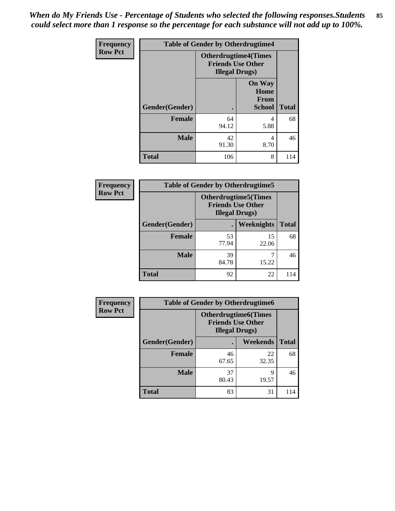*When do My Friends Use - Percentage of Students who selected the following responses.Students could select more than 1 response so the percentage for each substance will not add up to 100%.* **85**

| Frequency      | <b>Table of Gender by Otherdrugtime4</b> |                                                                                   |                                                |              |
|----------------|------------------------------------------|-----------------------------------------------------------------------------------|------------------------------------------------|--------------|
| <b>Row Pct</b> |                                          | <b>Otherdrugtime4(Times</b><br><b>Friends Use Other</b><br><b>Illegal Drugs</b> ) |                                                |              |
|                | <b>Gender</b> (Gender)                   |                                                                                   | <b>On Way</b><br>Home<br>From<br><b>School</b> | <b>Total</b> |
|                | <b>Female</b>                            | 64<br>94.12                                                                       | 4<br>5.88                                      | 68           |
|                | <b>Male</b>                              | 42<br>91.30                                                                       | 4<br>8.70                                      | 46           |
|                | <b>Total</b>                             | 106                                                                               | 8                                              | 114          |

| <b>Frequency</b> |                | <b>Table of Gender by Otherdrugtime5</b>                                           |             |              |  |  |
|------------------|----------------|------------------------------------------------------------------------------------|-------------|--------------|--|--|
| <b>Row Pct</b>   |                | <b>Otherdrugtime5</b> (Times<br><b>Friends Use Other</b><br><b>Illegal Drugs</b> ) |             |              |  |  |
|                  | Gender(Gender) | $\blacksquare$                                                                     | Weeknights  | <b>Total</b> |  |  |
|                  | Female         | 53<br>77.94                                                                        | 15<br>22.06 | 68           |  |  |
|                  | <b>Male</b>    | 39<br>84.78                                                                        | 15.22       | 46           |  |  |
|                  | <b>Total</b>   | 92                                                                                 | 22          | 114          |  |  |

| <b>Frequency</b> | <b>Table of Gender by Otherdrugtime6</b> |                                                                                   |             |              |  |
|------------------|------------------------------------------|-----------------------------------------------------------------------------------|-------------|--------------|--|
| <b>Row Pct</b>   |                                          | <b>Otherdrugtime6(Times</b><br><b>Friends Use Other</b><br><b>Illegal Drugs</b> ) |             |              |  |
|                  | Gender(Gender)                           |                                                                                   | Weekends    | <b>Total</b> |  |
|                  | <b>Female</b>                            | 46<br>67.65                                                                       | 22<br>32.35 | 68           |  |
|                  | <b>Male</b>                              | 37<br>80.43                                                                       | 9<br>19.57  | 46           |  |
|                  | <b>Total</b>                             | 83                                                                                | 31          | 114          |  |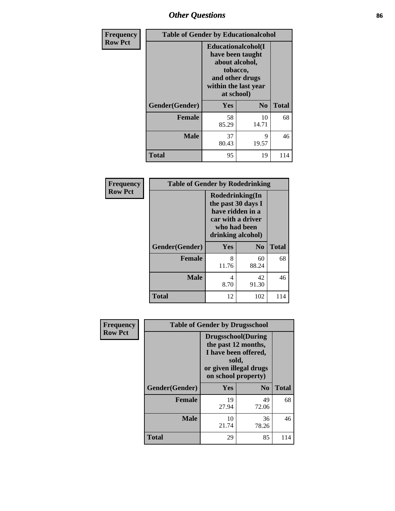# *Other Questions* **86**

| <b>Frequency</b> | <b>Table of Gender by Educationalcohol</b> |                                                                                                                                       |                |              |  |
|------------------|--------------------------------------------|---------------------------------------------------------------------------------------------------------------------------------------|----------------|--------------|--|
| <b>Row Pct</b>   |                                            | <b>Educationalcohol</b> (I<br>have been taught<br>about alcohol,<br>tobacco,<br>and other drugs<br>within the last year<br>at school) |                |              |  |
|                  | Gender(Gender)                             | <b>Yes</b>                                                                                                                            | N <sub>0</sub> | <b>Total</b> |  |
|                  | <b>Female</b>                              | 58<br>85.29                                                                                                                           | 10<br>14.71    | 68           |  |
|                  | <b>Male</b>                                | 37<br>80.43                                                                                                                           | 9<br>19.57     | 46           |  |
|                  | <b>Total</b>                               | 95                                                                                                                                    | 19             | 114          |  |

| Frequency      | <b>Table of Gender by Rodedrinking</b> |                                                                                                                     |             |              |  |  |
|----------------|----------------------------------------|---------------------------------------------------------------------------------------------------------------------|-------------|--------------|--|--|
| <b>Row Pct</b> |                                        | Rodedrinking(In<br>the past 30 days I<br>have ridden in a<br>car with a driver<br>who had been<br>drinking alcohol) |             |              |  |  |
|                | Gender(Gender)                         | Yes                                                                                                                 | $\bf N_0$   | <b>Total</b> |  |  |
|                | <b>Female</b>                          | 8<br>11.76                                                                                                          | 60<br>88.24 | 68           |  |  |
|                | <b>Male</b>                            | 4<br>8.70                                                                                                           | 42<br>91.30 | 46           |  |  |
|                | <b>Total</b>                           | 12                                                                                                                  | 102         | 114          |  |  |

| Frequency      |                | <b>Table of Gender by Drugsschool</b>                                                                                               |                |              |  |  |
|----------------|----------------|-------------------------------------------------------------------------------------------------------------------------------------|----------------|--------------|--|--|
| <b>Row Pct</b> |                | <b>Drugsschool</b> (During<br>the past 12 months,<br>I have been offered,<br>sold,<br>or given illegal drugs<br>on school property) |                |              |  |  |
|                | Gender(Gender) | Yes                                                                                                                                 | N <sub>0</sub> | <b>Total</b> |  |  |
|                | <b>Female</b>  | 19<br>27.94                                                                                                                         | 49<br>72.06    | 68           |  |  |
|                | <b>Male</b>    | 10<br>21.74                                                                                                                         | 36<br>78.26    | 46           |  |  |
|                | <b>Total</b>   | 29                                                                                                                                  | 85             | 114          |  |  |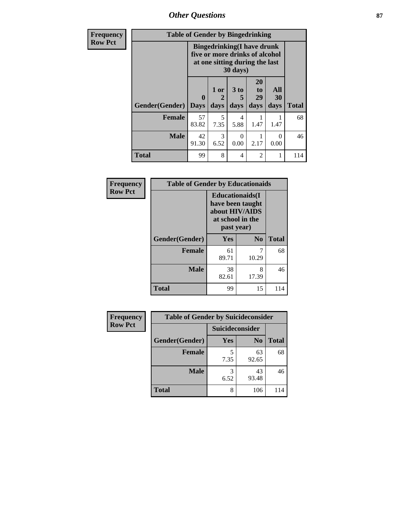*Other Questions* **87**

| <b>Frequency</b> | <b>Table of Gender by Bingedrinking</b> |                                                                                                                             |              |                   |                        |                   |              |
|------------------|-----------------------------------------|-----------------------------------------------------------------------------------------------------------------------------|--------------|-------------------|------------------------|-------------------|--------------|
| <b>Row Pct</b>   |                                         | <b>Bingedrinking</b> (I have drunk<br>five or more drinks of alcohol<br>at one sitting during the last<br>$30 \text{ days}$ |              |                   |                        |                   |              |
|                  | Gender(Gender)                          | $\mathbf{0}$<br><b>Days</b>                                                                                                 | 1 or<br>days | 3 to<br>5<br>days | 20<br>to<br>29<br>days | All<br>30<br>days | <b>Total</b> |
|                  | Female                                  | 57<br>83.82                                                                                                                 | 5<br>7.35    | 4<br>5.88         | 1.47                   | 1.47              | 68           |
|                  | <b>Male</b>                             | 42<br>91.30                                                                                                                 | 3<br>6.52    | 0<br>0.00         | 2.17                   | ∩<br>0.00         | 46           |
|                  | <b>Total</b>                            | 99                                                                                                                          | 8            | $\overline{4}$    | $\overline{2}$         |                   | 114          |

| Frequency      | <b>Table of Gender by Educationaids</b> |                                                                                                 |                |              |
|----------------|-----------------------------------------|-------------------------------------------------------------------------------------------------|----------------|--------------|
| <b>Row Pct</b> |                                         | <b>Educationaids</b> (I<br>have been taught<br>about HIV/AIDS<br>at school in the<br>past year) |                |              |
|                | Gender(Gender)                          | Yes                                                                                             | N <sub>o</sub> | <b>Total</b> |
|                | <b>Female</b>                           | 61<br>89.71                                                                                     | 10.29          | 68           |
|                | <b>Male</b>                             | 38<br>82.61                                                                                     | 8<br>17.39     | 46           |
|                | <b>Total</b>                            | 99                                                                                              | 15             | 114          |

| Frequency      | <b>Table of Gender by Suicideconsider</b> |                 |                |              |
|----------------|-------------------------------------------|-----------------|----------------|--------------|
| <b>Row Pct</b> |                                           | Suicideconsider |                |              |
|                | Gender(Gender)                            | Yes             | N <sub>0</sub> | <b>Total</b> |
|                | <b>Female</b>                             | 7.35            | 63<br>92.65    | 68           |
|                | <b>Male</b>                               | 6.52            | 43<br>93.48    | 46           |
|                | <b>Total</b>                              | 8               | 106            | 114          |